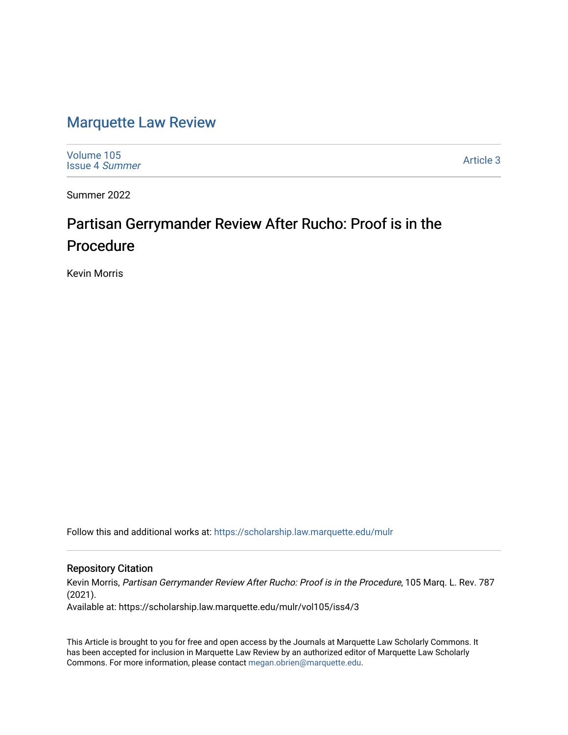# [Marquette Law Review](https://scholarship.law.marquette.edu/mulr)

[Volume 105](https://scholarship.law.marquette.edu/mulr/vol105) [Issue 4](https://scholarship.law.marquette.edu/mulr/vol105/iss4) Summer

[Article 3](https://scholarship.law.marquette.edu/mulr/vol105/iss4/3) 

Summer 2022

# Partisan Gerrymander Review After Rucho: Proof is in the Procedure

Kevin Morris

Follow this and additional works at: [https://scholarship.law.marquette.edu/mulr](https://scholarship.law.marquette.edu/mulr?utm_source=scholarship.law.marquette.edu%2Fmulr%2Fvol105%2Fiss4%2F3&utm_medium=PDF&utm_campaign=PDFCoverPages) 

# Repository Citation

Kevin Morris, Partisan Gerrymander Review After Rucho: Proof is in the Procedure, 105 Marq. L. Rev. 787 (2021). Available at: https://scholarship.law.marquette.edu/mulr/vol105/iss4/3

This Article is brought to you for free and open access by the Journals at Marquette Law Scholarly Commons. It has been accepted for inclusion in Marquette Law Review by an authorized editor of Marquette Law Scholarly Commons. For more information, please contact [megan.obrien@marquette.edu](mailto:megan.obrien@marquette.edu).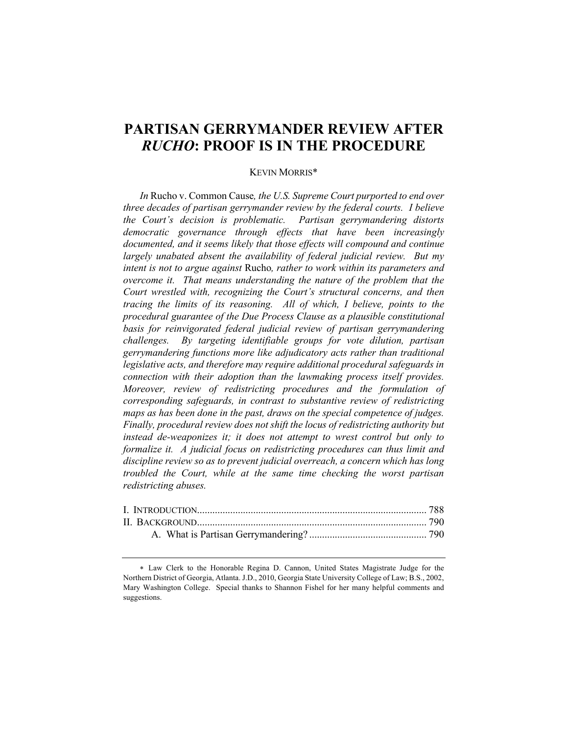# **PARTISAN GERRYMANDER REVIEW AFTER**  *RUCHO***: PROOF IS IN THE PROCEDURE**

# KEVIN MORRIS\*

*In* Rucho v. Common Cause*, the U.S. Supreme Court purported to end over three decades of partisan gerrymander review by the federal courts. I believe the Court's decision is problematic. Partisan gerrymandering distorts democratic governance through effects that have been increasingly*  documented, and it seems likely that those effects will compound and continue *largely unabated absent the availability of federal judicial review. But my intent is not to argue against* Rucho*, rather to work within its parameters and overcome it. That means understanding the nature of the problem that the Court wrestled with, recognizing the Court's structural concerns, and then tracing the limits of its reasoning. All of which, I believe, points to the procedural guarantee of the Due Process Clause as a plausible constitutional basis for reinvigorated federal judicial review of partisan gerrymandering challenges. By targeting identifiable groups for vote dilution, partisan gerrymandering functions more like adjudicatory acts rather than traditional legislative acts, and therefore may require additional procedural safeguards in connection with their adoption than the lawmaking process itself provides. Moreover, review of redistricting procedures and the formulation of corresponding safeguards, in contrast to substantive review of redistricting maps as has been done in the past, draws on the special competence of judges. Finally, procedural review does not shift the locus of redistricting authority but instead de-weaponizes it; it does not attempt to wrest control but only to formalize it. A judicial focus on redistricting procedures can thus limit and discipline review so as to prevent judicial overreach, a concern which has long troubled the Court, while at the same time checking the worst partisan redistricting abuses.*

<sup>\*</sup> Law Clerk to the Honorable Regina D. Cannon, United States Magistrate Judge for the Northern District of Georgia, Atlanta. J.D., 2010, Georgia State University College of Law; B.S., 2002, Mary Washington College. Special thanks to Shannon Fishel for her many helpful comments and suggestions.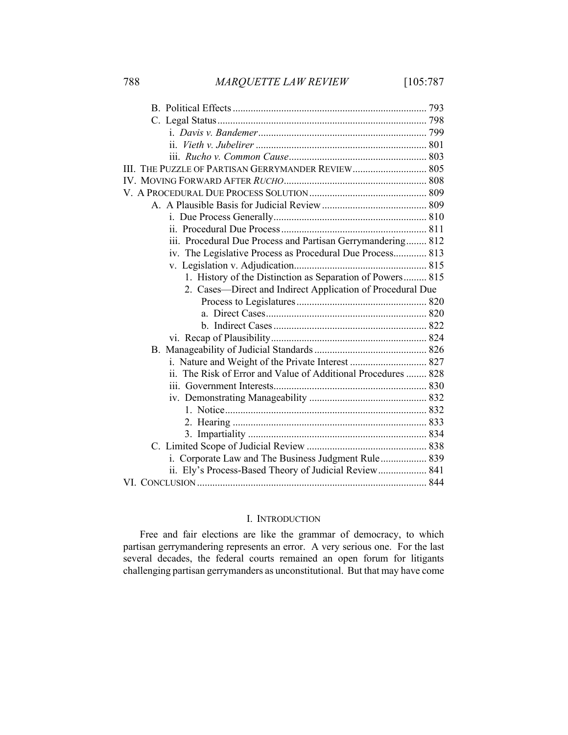| III. THE PUZZLE OF PARTISAN GERRYMANDER REVIEW 805            |
|---------------------------------------------------------------|
|                                                               |
|                                                               |
|                                                               |
|                                                               |
|                                                               |
| iii. Procedural Due Process and Partisan Gerrymandering 812   |
| iv. The Legislative Process as Procedural Due Process 813     |
|                                                               |
| 1. History of the Distinction as Separation of Powers 815     |
| 2. Cases—Direct and Indirect Application of Procedural Due    |
|                                                               |
|                                                               |
|                                                               |
|                                                               |
|                                                               |
| i. Nature and Weight of the Private Interest  827             |
| ii. The Risk of Error and Value of Additional Procedures  828 |
|                                                               |
|                                                               |
|                                                               |
|                                                               |
|                                                               |
|                                                               |
| i. Corporate Law and The Business Judgment Rule 839           |
| ii. Ely's Process-Based Theory of Judicial Review 841         |
|                                                               |

# I. INTRODUCTION

Free and fair elections are like the grammar of democracy, to which partisan gerrymandering represents an error. A very serious one. For the last several decades, the federal courts remained an open forum for litigants challenging partisan gerrymanders as unconstitutional. But that may have come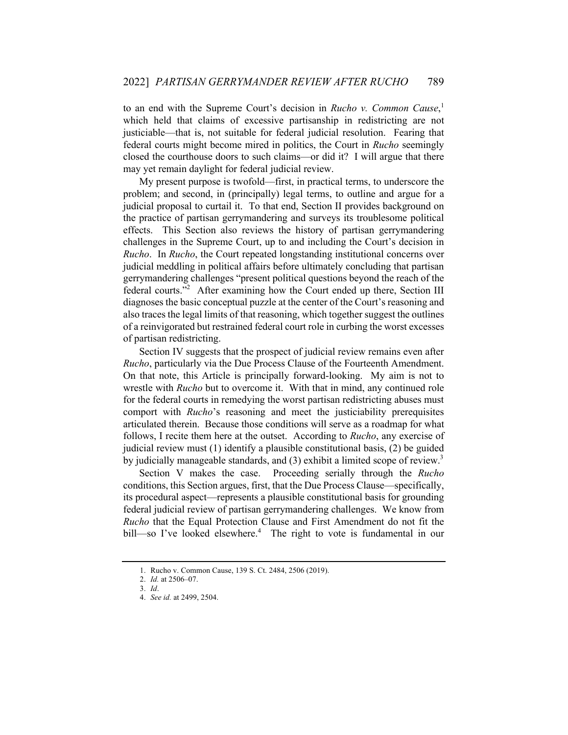to an end with the Supreme Court's decision in *Rucho v. Common Cause*, 1 which held that claims of excessive partisanship in redistricting are not justiciable—that is, not suitable for federal judicial resolution. Fearing that federal courts might become mired in politics, the Court in *Rucho* seemingly closed the courthouse doors to such claims—or did it? I will argue that there may yet remain daylight for federal judicial review.

My present purpose is twofold—first, in practical terms, to underscore the problem; and second, in (principally) legal terms, to outline and argue for a judicial proposal to curtail it. To that end, Section II provides background on the practice of partisan gerrymandering and surveys its troublesome political effects. This Section also reviews the history of partisan gerrymandering challenges in the Supreme Court, up to and including the Court's decision in *Rucho*. In *Rucho*, the Court repeated longstanding institutional concerns over judicial meddling in political affairs before ultimately concluding that partisan gerrymandering challenges "present political questions beyond the reach of the federal courts."<sup>2</sup> After examining how the Court ended up there, Section III diagnoses the basic conceptual puzzle at the center of the Court's reasoning and also traces the legal limits of that reasoning, which together suggest the outlines of a reinvigorated but restrained federal court role in curbing the worst excesses of partisan redistricting.

Section IV suggests that the prospect of judicial review remains even after *Rucho*, particularly via the Due Process Clause of the Fourteenth Amendment. On that note, this Article is principally forward-looking. My aim is not to wrestle with *Rucho* but to overcome it. With that in mind, any continued role for the federal courts in remedying the worst partisan redistricting abuses must comport with *Rucho*'s reasoning and meet the justiciability prerequisites articulated therein. Because those conditions will serve as a roadmap for what follows, I recite them here at the outset. According to *Rucho*, any exercise of judicial review must (1) identify a plausible constitutional basis, (2) be guided by judicially manageable standards, and  $(3)$  exhibit a limited scope of review.<sup>3</sup>

Section V makes the case. Proceeding serially through the *Rucho* conditions, this Section argues, first, that the Due Process Clause—specifically, its procedural aspect—represents a plausible constitutional basis for grounding federal judicial review of partisan gerrymandering challenges. We know from *Rucho* that the Equal Protection Clause and First Amendment do not fit the bill—so I've looked elsewhere.<sup>4</sup> The right to vote is fundamental in our

<sup>1.</sup> Rucho v. Common Cause, 139 S. Ct. 2484, 2506 (2019).

<sup>2.</sup> *Id.* at 2506–07.

<sup>3.</sup> *Id*.

<sup>4.</sup> *See id.* at 2499, 2504.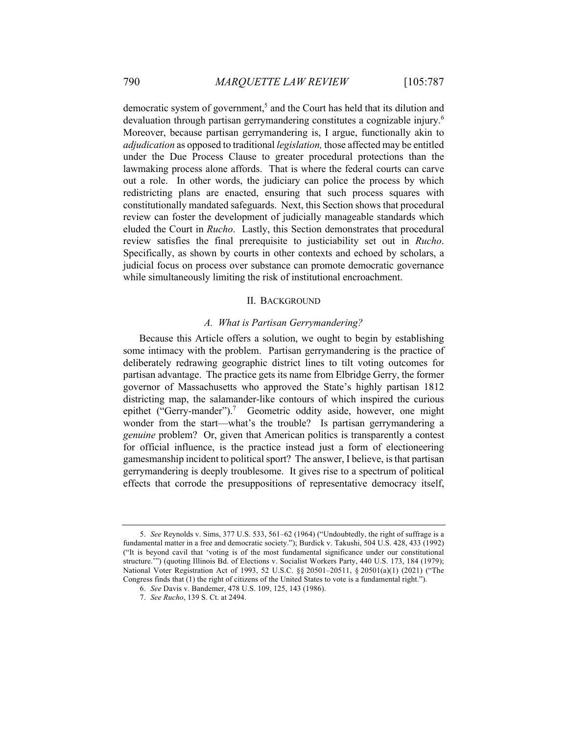democratic system of government,<sup>5</sup> and the Court has held that its dilution and devaluation through partisan gerrymandering constitutes a cognizable injury.<sup>6</sup> Moreover, because partisan gerrymandering is, I argue, functionally akin to *adjudication* as opposed to traditional *legislation,* those affected may be entitled under the Due Process Clause to greater procedural protections than the lawmaking process alone affords. That is where the federal courts can carve out a role. In other words, the judiciary can police the process by which redistricting plans are enacted, ensuring that such process squares with constitutionally mandated safeguards. Next, this Section shows that procedural review can foster the development of judicially manageable standards which eluded the Court in *Rucho*. Lastly, this Section demonstrates that procedural review satisfies the final prerequisite to justiciability set out in *Rucho*. Specifically, as shown by courts in other contexts and echoed by scholars, a judicial focus on process over substance can promote democratic governance while simultaneously limiting the risk of institutional encroachment.

#### II. BACKGROUND

# *A. What is Partisan Gerrymandering?*

Because this Article offers a solution, we ought to begin by establishing some intimacy with the problem. Partisan gerrymandering is the practice of deliberately redrawing geographic district lines to tilt voting outcomes for partisan advantage. The practice gets its name from Elbridge Gerry, the former governor of Massachusetts who approved the State's highly partisan 1812 districting map, the salamander-like contours of which inspired the curious epithet ("Gerry-mander").<sup>7</sup> Geometric oddity aside, however, one might wonder from the start—what's the trouble? Is partisan gerrymandering a *genuine* problem? Or, given that American politics is transparently a contest for official influence, is the practice instead just a form of electioneering gamesmanship incident to political sport? The answer, I believe, is that partisan gerrymandering is deeply troublesome. It gives rise to a spectrum of political effects that corrode the presuppositions of representative democracy itself,

<sup>5.</sup> *See* Reynolds v. Sims, 377 U.S. 533, 561–62 (1964) ("Undoubtedly, the right of suffrage is a fundamental matter in a free and democratic society."); Burdick v. Takushi, 504 U.S. 428, 433 (1992) ("It is beyond cavil that 'voting is of the most fundamental significance under our constitutional structure.'") (quoting Illinois Bd. of Elections v. Socialist Workers Party, 440 U.S. 173, 184 (1979); National Voter Registration Act of 1993, 52 U.S.C. §§ 20501*–*20511, § 20501(a)(1) (2021) ("The Congress finds that (1) the right of citizens of the United States to vote is a fundamental right.").

<sup>6.</sup> *See* Davis v. Bandemer, 478 U.S. 109, 125, 143 (1986).

<sup>7.</sup> *See Rucho*, 139 S. Ct. at 2494.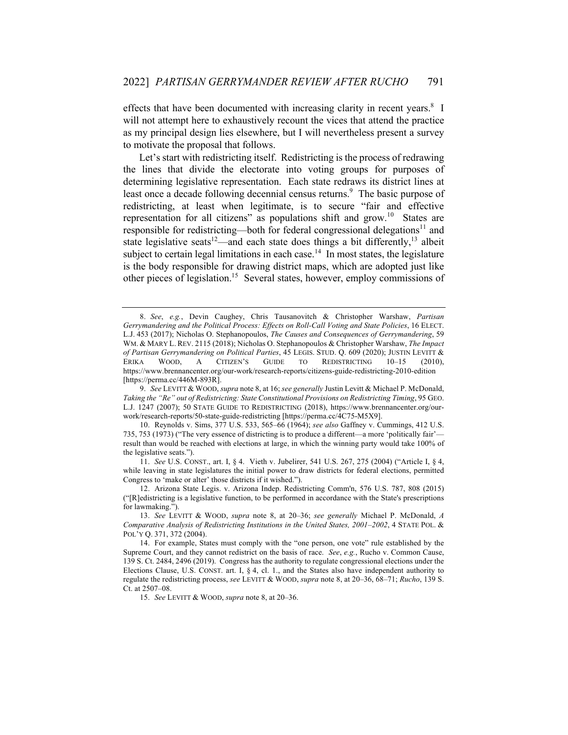effects that have been documented with increasing clarity in recent years.<sup>8</sup> I will not attempt here to exhaustively recount the vices that attend the practice as my principal design lies elsewhere, but I will nevertheless present a survey to motivate the proposal that follows.

Let's start with redistricting itself. Redistricting is the process of redrawing the lines that divide the electorate into voting groups for purposes of determining legislative representation. Each state redraws its district lines at least once a decade following decennial census returns.<sup>9</sup> The basic purpose of redistricting, at least when legitimate, is to secure "fair and effective representation for all citizens" as populations shift and grow.<sup>10</sup> States are responsible for redistricting—both for federal congressional delegations<sup>11</sup> and state legislative seats<sup>12</sup>—and each state does things a bit differently,<sup>13</sup> albeit subject to certain legal limitations in each case.<sup>14</sup> In most states, the legislature is the body responsible for drawing district maps, which are adopted just like other pieces of legislation.<sup>15</sup> Several states, however, employ commissions of

15. *See* LEVITT & WOOD, *supra* note 8, at 20–36.

<sup>8.</sup> *See*, *e.g.*, Devin Caughey, Chris Tausanovitch & Christopher Warshaw, *Partisan Gerrymandering and the Political Process: Effects on Roll-Call Voting and State Policies*, 16 ELECT. L.J. 453 (2017); Nicholas O. Stephanopoulos, *The Causes and Consequences of Gerrymandering*, 59 WM. & MARY L. REV. 2115 (2018); Nicholas O. Stephanopoulos & Christopher Warshaw, *The Impact of Partisan Gerrymandering on Political Parties*, 45 LEGIS. STUD. Q. 609 (2020); JUSTIN LEVITT & ERIKA WOOD, A CITIZEN'S GUIDE TO REDISTRICTING 10–15 (2010), https://www.brennancenter.org/our-work/research-reports/citizens-guide-redistricting-2010-edition [https://perma.cc/446M-893R].

<sup>9.</sup> *See* LEVITT & WOOD, *supra* note 8, at 16; *see generally* Justin Levitt & Michael P. McDonald, *Taking the "Re" out of Redistricting: State Constitutional Provisions on Redistricting Timing*, 95 GEO. L.J. 1247 (2007); 50 STATE GUIDE TO REDISTRICTING (2018), https://www.brennancenter.org/ourwork/research-reports/50-state-guide-redistricting [https://perma.cc/4C75-M5X9].

<sup>10.</sup> Reynolds v. Sims, 377 U.S. 533, 565–66 (1964); *see also* Gaffney v. Cummings, 412 U.S. 735, 753 (1973) ("The very essence of districting is to produce a different—a more 'politically fair' result than would be reached with elections at large, in which the winning party would take 100% of the legislative seats.").

<sup>11.</sup> *See* U.S. CONST., art. I, § 4. Vieth v. Jubelirer, 541 U.S. 267, 275 (2004) ("Article I, § 4, while leaving in state legislatures the initial power to draw districts for federal elections, permitted Congress to 'make or alter' those districts if it wished.").

<sup>12.</sup> Arizona State Legis. v. Arizona Indep. Redistricting Comm'n, 576 U.S. 787, 808 (2015) ("[R]edistricting is a legislative function, to be performed in accordance with the State's prescriptions for lawmaking.").

<sup>13.</sup> *See* LEVITT & WOOD, *supra* note 8, at 20–36; *see generally* Michael P. McDonald, *A Comparative Analysis of Redistricting Institutions in the United States, 2001–2002*, 4 STATE POL. & POL'Y Q. 371, 372 (2004).

<sup>14.</sup> For example, States must comply with the "one person, one vote" rule established by the Supreme Court, and they cannot redistrict on the basis of race. *See*, *e.g.*, Rucho v. Common Cause, 139 S. Ct. 2484, 2496 (2019). Congress has the authority to regulate congressional elections under the Elections Clause, U.S. CONST. art. I, § 4, cl. 1., and the States also have independent authority to regulate the redistricting process, *see* LEVITT & WOOD, *supra* note 8, at 20–36, 68–71; *Rucho*, 139 S. Ct. at 2507–08.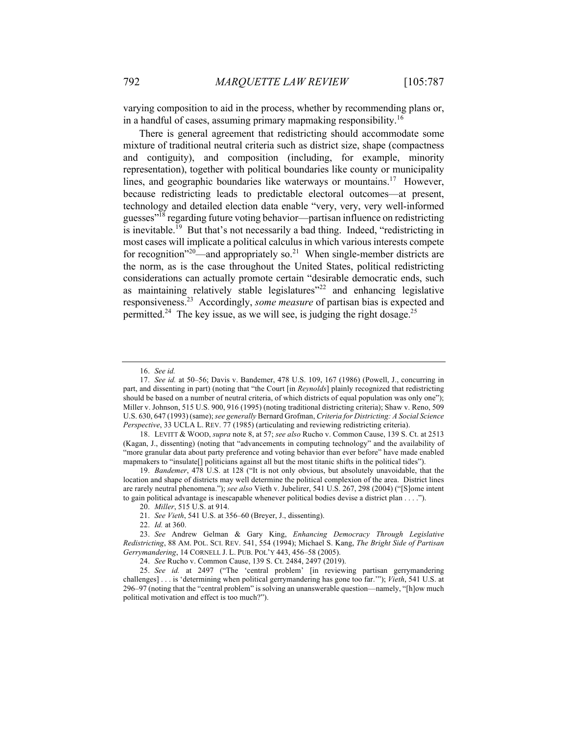varying composition to aid in the process, whether by recommending plans or, in a handful of cases, assuming primary mapmaking responsibility.<sup>16</sup>

There is general agreement that redistricting should accommodate some mixture of traditional neutral criteria such as district size, shape (compactness and contiguity), and composition (including, for example, minority representation), together with political boundaries like county or municipality lines, and geographic boundaries like waterways or mountains.<sup>17</sup> However, because redistricting leads to predictable electoral outcomes—at present, technology and detailed election data enable "very, very, very well-informed guesses"18 regarding future voting behavior—partisan influence on redistricting is inevitable.<sup>19</sup> But that's not necessarily a bad thing. Indeed, "redistricting in most cases will implicate a political calculus in which various interests compete for recognition"<sup>20</sup>—and appropriately so.<sup>21</sup> When single-member districts are the norm, as is the case throughout the United States, political redistricting considerations can actually promote certain "desirable democratic ends, such as maintaining relatively stable legislatures"<sup>22</sup> and enhancing legislative responsiveness.23 Accordingly, *some measure* of partisan bias is expected and permitted.<sup>24</sup> The key issue, as we will see, is judging the right dosage.<sup>25</sup>

22. *Id.* at 360.

<sup>16.</sup> *See id.*

<sup>17.</sup> *See id.* at 50–56; Davis v. Bandemer, 478 U.S. 109, 167 (1986) (Powell, J., concurring in part, and dissenting in part) (noting that "the Court [in *Reynolds*] plainly recognized that redistricting should be based on a number of neutral criteria, of which districts of equal population was only one"); Miller v. Johnson, 515 U.S. 900, 916 (1995) (noting traditional districting criteria); Shaw v. Reno, 509 U.S. 630, 647 (1993) (same); *see generally* Bernard Grofman, *Criteria for Districting: A Social Science Perspective*, 33 UCLA L. REV. 77 (1985) (articulating and reviewing redistricting criteria).

<sup>18.</sup> LEVITT & WOOD, *supra* note 8, at 57; *see also* Rucho v. Common Cause, 139 S. Ct. at 2513 (Kagan, J., dissenting) (noting that "advancements in computing technology" and the availability of "more granular data about party preference and voting behavior than ever before" have made enabled mapmakers to "insulate[] politicians against all but the most titanic shifts in the political tides").

<sup>19.</sup> *Bandemer*, 478 U.S. at 128 ("It is not only obvious, but absolutely unavoidable, that the location and shape of districts may well determine the political complexion of the area. District lines are rarely neutral phenomena."); *see also* Vieth v. Jubelirer, 541 U.S. 267, 298 (2004) ("[S]ome intent to gain political advantage is inescapable whenever political bodies devise a district plan . . . .").

<sup>20.</sup> *Miller*, 515 U.S. at 914.

<sup>21.</sup> *See Vieth*, 541 U.S. at 356–60 (Breyer, J., dissenting).

<sup>23.</sup> *See* Andrew Gelman & Gary King, *Enhancing Democracy Through Legislative Redistricting*, 88 AM. POL. SCI. REV. 541, 554 (1994); Michael S. Kang, *The Bright Side of Partisan Gerrymandering*, 14 CORNELL J. L. PUB. POL'Y 443, 456–58 (2005).

<sup>24.</sup> *See* Rucho v. Common Cause, 139 S. Ct. 2484, 2497 (2019).

<sup>25.</sup> *See id.* at 2497 ("The 'central problem' [in reviewing partisan gerrymandering challenges] . . . is 'determining when political gerrymandering has gone too far.'"); *Vieth*, 541 U.S. at 296–97 (noting that the "central problem" is solving an unanswerable question—namely, "[h]ow much political motivation and effect is too much?").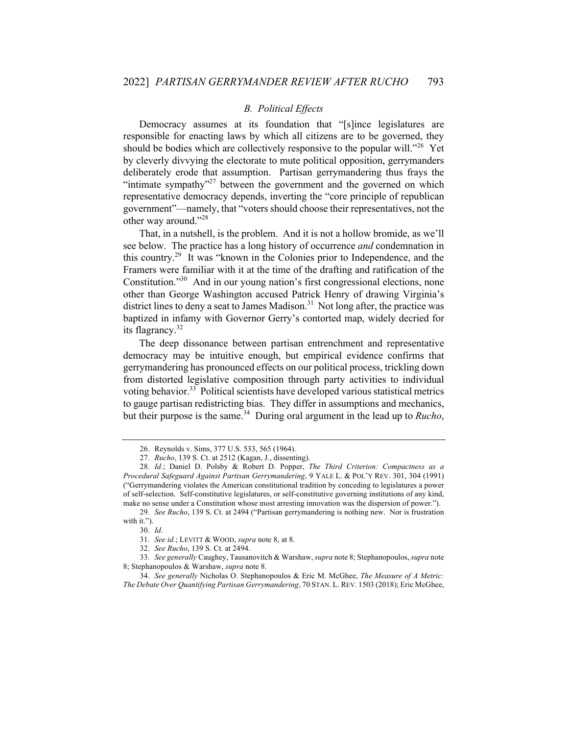# *B. Political Effects*

Democracy assumes at its foundation that "[s]ince legislatures are responsible for enacting laws by which all citizens are to be governed, they should be bodies which are collectively responsive to the popular will.<sup>"26</sup> Yet by cleverly divvying the electorate to mute political opposition, gerrymanders deliberately erode that assumption. Partisan gerrymandering thus frays the "intimate sympathy"<sup>27</sup> between the government and the governed on which representative democracy depends, inverting the "core principle of republican government"—namely, that "voters should choose their representatives, not the other way around."<sup>28</sup>

That, in a nutshell, is the problem. And it is not a hollow bromide, as we'll see below. The practice has a long history of occurrence *and* condemnation in this country.<sup>29</sup> It was "known in the Colonies prior to Independence, and the Framers were familiar with it at the time of the drafting and ratification of the Constitution."30 And in our young nation's first congressional elections, none other than George Washington accused Patrick Henry of drawing Virginia's district lines to deny a seat to James Madison.<sup>31</sup> Not long after, the practice was baptized in infamy with Governor Gerry's contorted map, widely decried for its flagrancy. $32$ 

The deep dissonance between partisan entrenchment and representative democracy may be intuitive enough, but empirical evidence confirms that gerrymandering has pronounced effects on our political process, trickling down from distorted legislative composition through party activities to individual voting behavior.<sup>33</sup> Political scientists have developed various statistical metrics to gauge partisan redistricting bias. They differ in assumptions and mechanics, but their purpose is the same.<sup>34</sup> During oral argument in the lead up to *Rucho*,

<sup>26.</sup> Reynolds v. Sims, 377 U.S. 533, 565 (1964).

<sup>27.</sup> *Rucho*, 139 S. Ct. at 2512 (Kagan, J., dissenting).

<sup>28.</sup> *Id.*; Daniel D. Polsby & Robert D. Popper, *The Third Criterion: Compactness as a Procedural Safeguard Against Partisan Gerrymandering*, 9 YALE L. & POL'Y REV. 301, 304 (1991) ("Gerrymandering violates the American constitutional tradition by conceding to legislatures a power of self-selection. Self-constitutive legislatures, or self-constitutive governing institutions of any kind, make no sense under a Constitution whose most arresting innovation was the dispersion of power.").

<sup>29.</sup> *See Rucho*, 139 S. Ct. at 2494 ("Partisan gerrymandering is nothing new. Nor is frustration with it.").

<sup>30.</sup> *Id*.

<sup>31.</sup> *See id.*; LEVITT & WOOD, *supra* note 8, at 8.

<sup>32.</sup> *See Rucho*, 139 S. Ct. at 2494.

<sup>33.</sup> *See generally* Caughey, Tausanovitch & Warshaw, *supra* note 8; Stephanopoulos, *supra* note 8; Stephanopoulos & Warshaw, *supra* note 8.

<sup>34.</sup> *See generally* Nicholas O. Stephanopoulos & Eric M. McGhee, *The Measure of A Metric: The Debate Over Quantifying Partisan Gerrymandering*, 70 STAN. L. REV. 1503 (2018); Eric McGhee,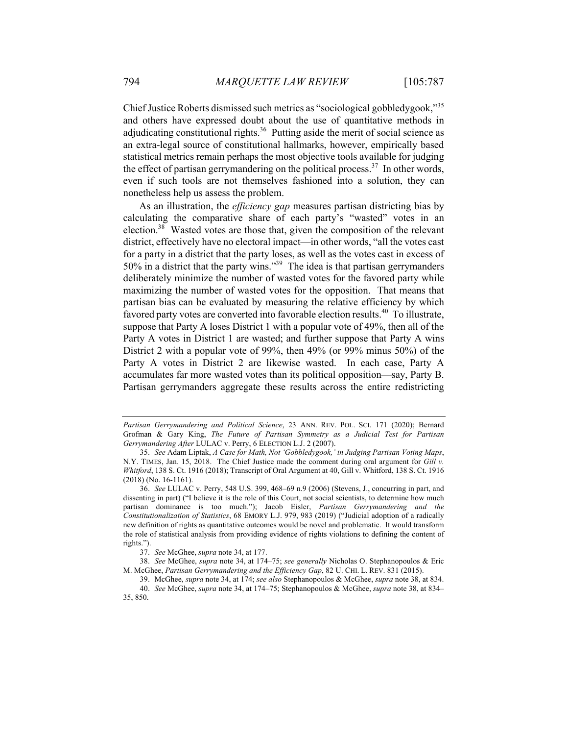Chief Justice Roberts dismissed such metrics as "sociological gobbledygook,"35 and others have expressed doubt about the use of quantitative methods in adjudicating constitutional rights.<sup>36</sup> Putting aside the merit of social science as an extra-legal source of constitutional hallmarks, however, empirically based statistical metrics remain perhaps the most objective tools available for judging the effect of partisan gerrymandering on the political process.<sup>37</sup> In other words, even if such tools are not themselves fashioned into a solution, they can nonetheless help us assess the problem.

As an illustration, the *efficiency gap* measures partisan districting bias by calculating the comparative share of each party's "wasted" votes in an election.<sup>38</sup> Wasted votes are those that, given the composition of the relevant district, effectively have no electoral impact—in other words, "all the votes cast for a party in a district that the party loses, as well as the votes cast in excess of  $50\%$  in a district that the party wins."<sup>39</sup> The idea is that partisan gerrymanders deliberately minimize the number of wasted votes for the favored party while maximizing the number of wasted votes for the opposition. That means that partisan bias can be evaluated by measuring the relative efficiency by which favored party votes are converted into favorable election results.<sup>40</sup> To illustrate, suppose that Party A loses District 1 with a popular vote of 49%, then all of the Party A votes in District 1 are wasted; and further suppose that Party A wins District 2 with a popular vote of 99%, then 49% (or 99% minus 50%) of the Party A votes in District 2 are likewise wasted. In each case, Party A accumulates far more wasted votes than its political opposition—say, Party B. Partisan gerrymanders aggregate these results across the entire redistricting

*Partisan Gerrymandering and Political Science*, 23 ANN. REV. POL. SCI. 171 (2020); Bernard Grofman & Gary King, *The Future of Partisan Symmetry as a Judicial Test for Partisan Gerrymandering After* LULAC v. Perry, 6 ELECTION L.J. 2 (2007).

<sup>35.</sup> *See* Adam Liptak, *A Case for Math, Not 'Gobbledygook,' in Judging Partisan Voting Maps*, N.Y. TIMES, Jan. 15, 2018. The Chief Justice made the comment during oral argument for *Gill v. Whitford*, 138 S. Ct. 1916 (2018); Transcript of Oral Argument at 40, Gill v. Whitford, 138 S. Ct. 1916 (2018) (No. 16-1161).

<sup>36.</sup> *See* LULAC v. Perry, 548 U.S. 399, 468–69 n.9 (2006) (Stevens, J., concurring in part, and dissenting in part) ("I believe it is the role of this Court, not social scientists, to determine how much partisan dominance is too much."); Jacob Eisler, *Partisan Gerrymandering and the Constitutionalization of Statistics*, 68 EMORY L.J. 979, 983 (2019) ("Judicial adoption of a radically new definition of rights as quantitative outcomes would be novel and problematic. It would transform the role of statistical analysis from providing evidence of rights violations to defining the content of rights.").

<sup>37.</sup> *See* McGhee, *supra* note 34, at 177.

<sup>38.</sup> *See* McGhee, *supra* note 34, at 174–75; *see generally* Nicholas O. Stephanopoulos & Eric M. McGhee, *Partisan Gerrymandering and the Efficiency Gap*, 82 U. CHI. L. REV. 831 (2015).

<sup>39.</sup> McGhee, *supra* note 34, at 174; *see also* Stephanopoulos & McGhee, *supra* note 38, at 834. 40. *See* McGhee, *supra* note 34, at 174–75; Stephanopoulos & McGhee, *supra* note 38, at 834– 35, 850.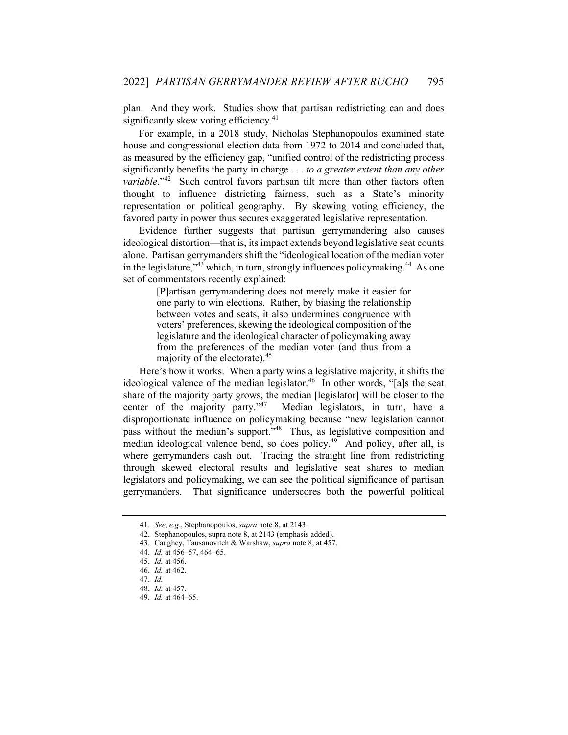plan. And they work. Studies show that partisan redistricting can and does significantly skew voting efficiency.<sup>41</sup>

For example, in a 2018 study, Nicholas Stephanopoulos examined state house and congressional election data from 1972 to 2014 and concluded that, as measured by the efficiency gap, "unified control of the redistricting process significantly benefits the party in charge . . . *to a greater extent than any other variable*."<sup>42</sup> Such control favors partisan tilt more than other factors often thought to influence districting fairness, such as a State's minority representation or political geography. By skewing voting efficiency, the favored party in power thus secures exaggerated legislative representation.

Evidence further suggests that partisan gerrymandering also causes ideological distortion—that is, its impact extends beyond legislative seat counts alone. Partisan gerrymanders shift the "ideological location of the median voter in the legislature,  $143$  which, in turn, strongly influences policymaking.<sup>44</sup> As one set of commentators recently explained:

> [P]artisan gerrymandering does not merely make it easier for one party to win elections. Rather, by biasing the relationship between votes and seats, it also undermines congruence with voters' preferences, skewing the ideological composition of the legislature and the ideological character of policymaking away from the preferences of the median voter (and thus from a majority of the electorate). 45

Here's how it works. When a party wins a legislative majority, it shifts the ideological valence of the median legislator.<sup>46</sup> In other words, "[a]s the seat share of the majority party grows, the median [legislator] will be closer to the center of the majority party."<sup>47</sup> Median legislators, in turn, have a disproportionate influence on policymaking because "new legislation cannot pass without the median's support."48 Thus, as legislative composition and median ideological valence bend, so does policy.<sup>49</sup> And policy, after all, is where gerrymanders cash out. Tracing the straight line from redistricting through skewed electoral results and legislative seat shares to median legislators and policymaking, we can see the political significance of partisan gerrymanders. That significance underscores both the powerful political

<sup>41.</sup> *See*, *e.g.*, Stephanopoulos, *supra* note 8, at 2143.

<sup>42.</sup> Stephanopoulos, supra note 8, at 2143 (emphasis added).

<sup>43.</sup> Caughey, Tausanovitch & Warshaw, *supra* note 8, at 457.

<sup>44.</sup> *Id.* at 456–57, 464–65.

<sup>45.</sup> *Id.* at 456.

<sup>46.</sup> *Id.* at 462.

<sup>47.</sup> *Id.*

<sup>48.</sup> *Id.* at 457.

<sup>49.</sup> *Id.* at 464–65.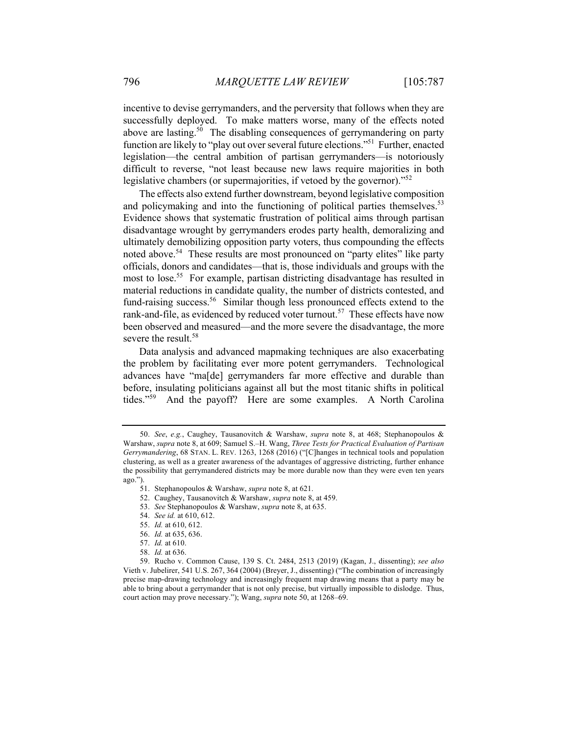incentive to devise gerrymanders, and the perversity that follows when they are successfully deployed. To make matters worse, many of the effects noted above are lasting.<sup>50</sup> The disabling consequences of gerrymandering on party function are likely to "play out over several future elections."51 Further, enacted legislation—the central ambition of partisan gerrymanders—is notoriously difficult to reverse, "not least because new laws require majorities in both legislative chambers (or supermajorities, if vetoed by the governor)."<sup>52</sup>

The effects also extend further downstream, beyond legislative composition and policymaking and into the functioning of political parties themselves.<sup>53</sup> Evidence shows that systematic frustration of political aims through partisan disadvantage wrought by gerrymanders erodes party health, demoralizing and ultimately demobilizing opposition party voters, thus compounding the effects noted above.<sup>54</sup> These results are most pronounced on "party elites" like party officials, donors and candidates—that is, those individuals and groups with the most to lose.<sup>55</sup> For example, partisan districting disadvantage has resulted in material reductions in candidate quality, the number of districts contested, and fund-raising success.<sup>56</sup> Similar though less pronounced effects extend to the rank-and-file, as evidenced by reduced voter turnout.<sup>57</sup> These effects have now been observed and measured—and the more severe the disadvantage, the more severe the result.<sup>58</sup>

Data analysis and advanced mapmaking techniques are also exacerbating the problem by facilitating ever more potent gerrymanders. Technological advances have "ma[de] gerrymanders far more effective and durable than before, insulating politicians against all but the most titanic shifts in political tides."59 And the payoff? Here are some examples. A North Carolina

53. *See* Stephanopoulos & Warshaw, *supra* note 8, at 635.

54. *See id.* at 610, 612.

55. *Id.* at 610, 612.

- 57. *Id.* at 610.
- 58. *Id.* at 636.

<sup>50.</sup> *See*, *e.g.*, Caughey, Tausanovitch & Warshaw, *supra* note 8, at 468; Stephanopoulos & Warshaw, *supra* note 8, at 609; Samuel S.–H. Wang, *Three Tests for Practical Evaluation of Partisan Gerrymandering*, 68 STAN. L. REV. 1263, 1268 (2016) ("[C]hanges in technical tools and population clustering, as well as a greater awareness of the advantages of aggressive districting, further enhance the possibility that gerrymandered districts may be more durable now than they were even ten years ago.").

<sup>51.</sup> Stephanopoulos & Warshaw, *supra* note 8, at 621.

<sup>52.</sup> Caughey, Tausanovitch & Warshaw, *supra* note 8, at 459.

<sup>56.</sup> *Id.* at 635, 636.

<sup>59.</sup> Rucho v. Common Cause, 139 S. Ct. 2484, 2513 (2019) (Kagan, J., dissenting); *see also*  Vieth v. Jubelirer, 541 U.S. 267, 364 (2004) (Breyer, J., dissenting) ("The combination of increasingly precise map-drawing technology and increasingly frequent map drawing means that a party may be able to bring about a gerrymander that is not only precise, but virtually impossible to dislodge. Thus, court action may prove necessary."); Wang, *supra* note 50, at 1268–69.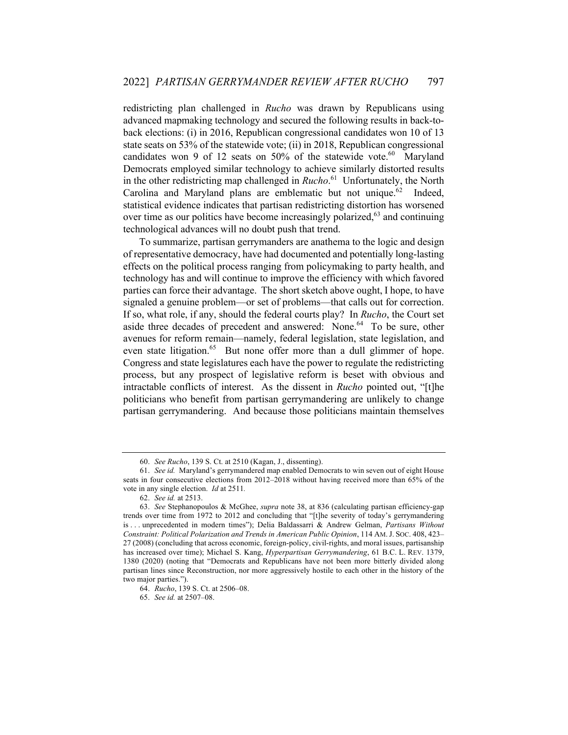redistricting plan challenged in *Rucho* was drawn by Republicans using advanced mapmaking technology and secured the following results in back-toback elections: (i) in 2016, Republican congressional candidates won 10 of 13 state seats on 53% of the statewide vote; (ii) in 2018, Republican congressional candidates won 9 of 12 seats on 50% of the statewide vote. $60$  Maryland Democrats employed similar technology to achieve similarly distorted results in the other redistricting map challenged in *Rucho*. <sup>61</sup> Unfortunately, the North Carolina and Maryland plans are emblematic but not unique.<sup>62</sup> Indeed, statistical evidence indicates that partisan redistricting distortion has worsened over time as our politics have become increasingly polarized, $63$  and continuing technological advances will no doubt push that trend.

To summarize, partisan gerrymanders are anathema to the logic and design of representative democracy, have had documented and potentially long-lasting effects on the political process ranging from policymaking to party health, and technology has and will continue to improve the efficiency with which favored parties can force their advantage. The short sketch above ought, I hope, to have signaled a genuine problem—or set of problems—that calls out for correction. If so, what role, if any, should the federal courts play? In *Rucho*, the Court set aside three decades of precedent and answered: None.<sup>64</sup> To be sure, other avenues for reform remain—namely, federal legislation, state legislation, and even state litigation.<sup>65</sup> But none offer more than a dull glimmer of hope. Congress and state legislatures each have the power to regulate the redistricting process, but any prospect of legislative reform is beset with obvious and intractable conflicts of interest. As the dissent in *Rucho* pointed out, "[t]he politicians who benefit from partisan gerrymandering are unlikely to change partisan gerrymandering. And because those politicians maintain themselves

<sup>60.</sup> *See Rucho*, 139 S. Ct. at 2510 (Kagan, J., dissenting).

<sup>61.</sup> *See id.* Maryland's gerrymandered map enabled Democrats to win seven out of eight House seats in four consecutive elections from 2012–2018 without having received more than 65% of the vote in any single election. *Id* at 2511*.*

<sup>62.</sup> *See id.* at 2513.

<sup>63.</sup> *See* Stephanopoulos & McGhee, *supra* note 38, at 836 (calculating partisan efficiency-gap trends over time from 1972 to 2012 and concluding that "[t]he severity of today's gerrymandering is . . . unprecedented in modern times"); Delia Baldassarri & Andrew Gelman, *Partisans Without Constraint: Political Polarization and Trends in American Public Opinion*, 114 AM.J. SOC. 408, 423– 27 (2008) (concluding that across economic, foreign-policy, civil-rights, and moral issues, partisanship has increased over time); Michael S. Kang, *Hyperpartisan Gerrymandering*, 61 B.C. L. REV. 1379, 1380 (2020) (noting that "Democrats and Republicans have not been more bitterly divided along partisan lines since Reconstruction, nor more aggressively hostile to each other in the history of the two major parties.").

<sup>64.</sup> *Rucho*, 139 S. Ct. at 2506–08.

<sup>65.</sup> *See id.* at 2507–08.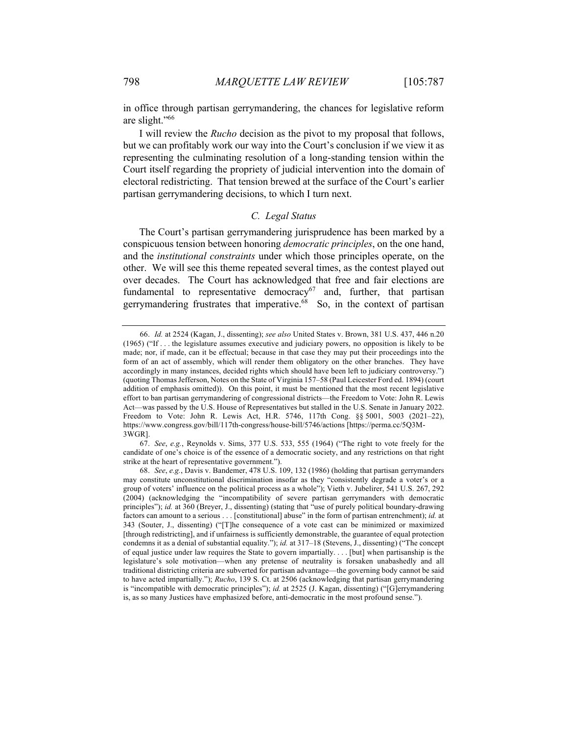in office through partisan gerrymandering, the chances for legislative reform are slight."66

I will review the *Rucho* decision as the pivot to my proposal that follows, but we can profitably work our way into the Court's conclusion if we view it as representing the culminating resolution of a long-standing tension within the Court itself regarding the propriety of judicial intervention into the domain of electoral redistricting. That tension brewed at the surface of the Court's earlier partisan gerrymandering decisions, to which I turn next.

#### *C. Legal Status*

The Court's partisan gerrymandering jurisprudence has been marked by a conspicuous tension between honoring *democratic principles*, on the one hand, and the *institutional constraints* under which those principles operate, on the other. We will see this theme repeated several times, as the contest played out over decades. The Court has acknowledged that free and fair elections are fundamental to representative democracy<sup>67</sup> and, further, that partisan gerrymandering frustrates that imperative.<sup>68</sup> So, in the context of partisan

<sup>66.</sup> *Id.* at 2524 (Kagan, J., dissenting); *see also* United States v. Brown, 381 U.S. 437, 446 n.20 (1965) ("If . . . the legislature assumes executive and judiciary powers, no opposition is likely to be made; nor, if made, can it be effectual; because in that case they may put their proceedings into the form of an act of assembly, which will render them obligatory on the other branches. They have accordingly in many instances, decided rights which should have been left to judiciary controversy.") (quoting Thomas Jefferson, Notes on the State of Virginia 157–58 (Paul Leicester Ford ed. 1894) (court addition of emphasis omitted)). On this point, it must be mentioned that the most recent legislative effort to ban partisan gerrymandering of congressional districts—the Freedom to Vote: John R. Lewis Act—was passed by the U.S. House of Representatives but stalled in the U.S. Senate in January 2022. Freedom to Vote: John R. Lewis Act, H.R. 5746, 117th Cong. §§ 5001, 5003 (2021–22), https://www.congress.gov/bill/117th-congress/house-bill/5746/actions [https://perma.cc/5Q3M-3WGR].

<sup>67.</sup> *See*, *e.g.*, Reynolds v. Sims, 377 U.S. 533, 555 (1964) ("The right to vote freely for the candidate of one's choice is of the essence of a democratic society, and any restrictions on that right strike at the heart of representative government.").

<sup>68.</sup> *See*, *e.g.*, Davis v. Bandemer, 478 U.S. 109, 132 (1986) (holding that partisan gerrymanders may constitute unconstitutional discrimination insofar as they "consistently degrade a voter's or a group of voters' influence on the political process as a whole"); Vieth v. Jubelirer, 541 U.S. 267, 292 (2004) (acknowledging the "incompatibility of severe partisan gerrymanders with democratic principles"); *id.* at 360 (Breyer, J., dissenting) (stating that "use of purely political boundary-drawing factors can amount to a serious . . . [constitutional] abuse" in the form of partisan entrenchment); *id.* at 343 (Souter, J., dissenting) ("[T]he consequence of a vote cast can be minimized or maximized [through redistricting], and if unfairness is sufficiently demonstrable, the guarantee of equal protection condemns it as a denial of substantial equality."); *id.* at 317–18 (Stevens, J., dissenting) ("The concept of equal justice under law requires the State to govern impartially. . . . [but] when partisanship is the legislature's sole motivation—when any pretense of neutrality is forsaken unabashedly and all traditional districting criteria are subverted for partisan advantage—the governing body cannot be said to have acted impartially."); *Rucho*, 139 S. Ct. at 2506 (acknowledging that partisan gerrymandering is "incompatible with democratic principles"); *id.* at 2525 (J. Kagan, dissenting) ("[G]errymandering is, as so many Justices have emphasized before, anti-democratic in the most profound sense.").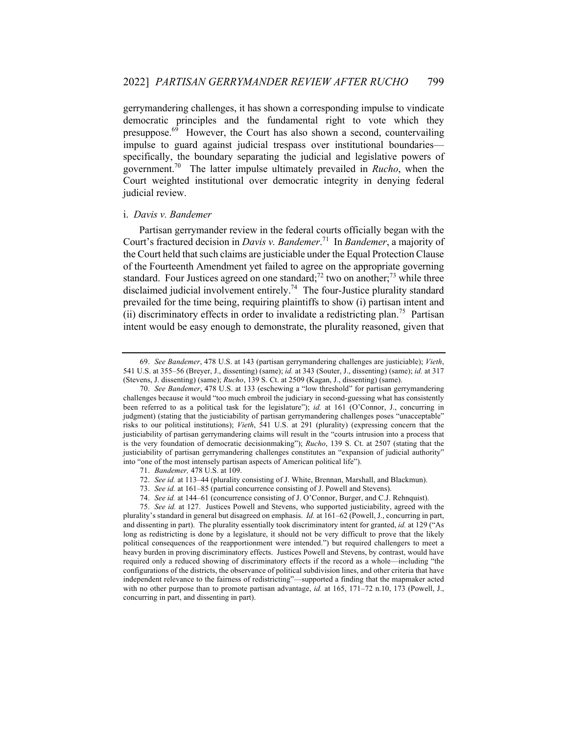gerrymandering challenges, it has shown a corresponding impulse to vindicate democratic principles and the fundamental right to vote which they presuppose. $69$  However, the Court has also shown a second, countervailing impulse to guard against judicial trespass over institutional boundaries specifically, the boundary separating the judicial and legislative powers of government.70 The latter impulse ultimately prevailed in *Rucho*, when the Court weighted institutional over democratic integrity in denying federal judicial review.

#### i. *Davis v. Bandemer*

Partisan gerrymander review in the federal courts officially began with the Court's fractured decision in *Davis v. Bandemer*. <sup>71</sup> In *Bandemer*, a majority of the Court held that such claims are justiciable under the Equal Protection Clause of the Fourteenth Amendment yet failed to agree on the appropriate governing standard. Four Justices agreed on one standard;<sup>72</sup> two on another;<sup>73</sup> while three disclaimed judicial involvement entirely.<sup>74</sup> The four-Justice plurality standard prevailed for the time being, requiring plaintiffs to show (i) partisan intent and (ii) discriminatory effects in order to invalidate a redistricting plan.<sup>75</sup> Partisan intent would be easy enough to demonstrate, the plurality reasoned, given that

74. *See id.* at 144–61 (concurrence consisting of J. O'Connor, Burger, and C.J. Rehnquist).

<sup>69.</sup> *See Bandemer*, 478 U.S. at 143 (partisan gerrymandering challenges are justiciable); *Vieth*, 541 U.S. at 355–56 (Breyer, J., dissenting) (same); *id.* at 343 (Souter, J., dissenting) (same); *id.* at 317 (Stevens, J. dissenting) (same); *Rucho*, 139 S. Ct. at 2509 (Kagan, J., dissenting) (same).

<sup>70.</sup> *See Bandemer*, 478 U.S. at 133 (eschewing a "low threshold" for partisan gerrymandering challenges because it would "too much embroil the judiciary in second-guessing what has consistently been referred to as a political task for the legislature"); *id.* at 161 (O'Connor, J., concurring in judgment) (stating that the justiciability of partisan gerrymandering challenges poses "unacceptable" risks to our political institutions); *Vieth*, 541 U.S. at 291 (plurality) (expressing concern that the justiciability of partisan gerrymandering claims will result in the "courts intrusion into a process that is the very foundation of democratic decisionmaking"); *Rucho*, 139 S. Ct. at 2507 (stating that the justiciability of partisan gerrymandering challenges constitutes an "expansion of judicial authority" into "one of the most intensely partisan aspects of American political life").

<sup>71.</sup> *Bandemer,* 478 U.S. at 109.

<sup>72.</sup> *See id.* at 113–44 (plurality consisting of J. White, Brennan, Marshall, and Blackmun).

<sup>73.</sup> *See id.* at 161–85 (partial concurrence consisting of J. Powell and Stevens).

<sup>75.</sup> *See id.* at 127. Justices Powell and Stevens, who supported justiciability, agreed with the plurality's standard in general but disagreed on emphasis. *Id.* at 161–62 (Powell, J., concurring in part, and dissenting in part). The plurality essentially took discriminatory intent for granted, *id.* at 129 ("As long as redistricting is done by a legislature, it should not be very difficult to prove that the likely political consequences of the reapportionment were intended.") but required challengers to meet a heavy burden in proving discriminatory effects. Justices Powell and Stevens, by contrast, would have required only a reduced showing of discriminatory effects if the record as a whole—including "the configurations of the districts, the observance of political subdivision lines, and other criteria that have independent relevance to the fairness of redistricting"—supported a finding that the mapmaker acted with no other purpose than to promote partisan advantage, *id.* at 165, 171–72 n.10, 173 (Powell, J., concurring in part, and dissenting in part).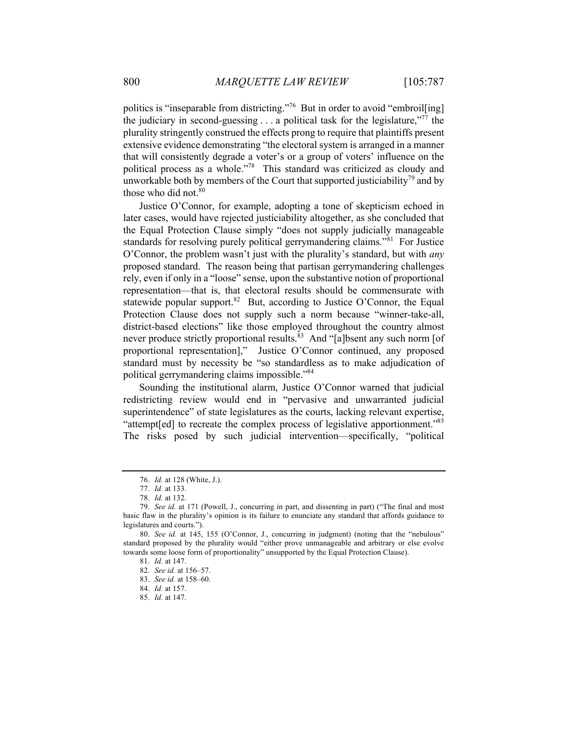politics is "inseparable from districting."<sup>76</sup> But in order to avoid "embroil [ing] the judiciary in second-guessing  $\dots$  a political task for the legislature,"<sup>77</sup> the plurality stringently construed the effects prong to require that plaintiffs present extensive evidence demonstrating "the electoral system is arranged in a manner that will consistently degrade a voter's or a group of voters' influence on the political process as a whole."<sup>78</sup> This standard was criticized as cloudy and unworkable both by members of the Court that supported justiciability<sup>79</sup> and by those who did not.<sup>80</sup>

Justice O'Connor, for example, adopting a tone of skepticism echoed in later cases, would have rejected justiciability altogether, as she concluded that the Equal Protection Clause simply "does not supply judicially manageable standards for resolving purely political gerrymandering claims."<sup>81</sup> For Justice O'Connor, the problem wasn't just with the plurality's standard, but with *any* proposed standard. The reason being that partisan gerrymandering challenges rely, even if only in a "loose" sense, upon the substantive notion of proportional representation—that is, that electoral results should be commensurate with statewide popular support.<sup>82</sup> But, according to Justice O'Connor, the Equal Protection Clause does not supply such a norm because "winner-take-all, district-based elections" like those employed throughout the country almost never produce strictly proportional results.<sup>83</sup> And "[a]bsent any such norm [of proportional representation]," Justice O'Connor continued, any proposed standard must by necessity be "so standardless as to make adjudication of political gerrymandering claims impossible."84

Sounding the institutional alarm, Justice O'Connor warned that judicial redistricting review would end in "pervasive and unwarranted judicial superintendence" of state legislatures as the courts, lacking relevant expertise, "attempt[ed] to recreate the complex process of legislative apportionment."<sup>85</sup> The risks posed by such judicial intervention—specifically, "political

<sup>76.</sup> *Id.* at 128 (White, J.).

<sup>77.</sup> *Id.* at 133.

<sup>78.</sup> *Id.* at 132.

<sup>79.</sup> *See id.* at 171 (Powell, J., concurring in part, and dissenting in part) ("The final and most basic flaw in the plurality's opinion is its failure to enunciate any standard that affords guidance to legislatures and courts.").

<sup>80.</sup> *See id.* at 145, 155 (O'Connor, J., concurring in judgment) (noting that the "nebulous" standard proposed by the plurality would "either prove unmanageable and arbitrary or else evolve towards some loose form of proportionality" unsupported by the Equal Protection Clause).

<sup>81.</sup> *Id.* at 147.

<sup>82.</sup> *See id.* at 156–57.

<sup>83.</sup> *See id.* at 158–60.

<sup>84.</sup> *Id.* at 157.

<sup>85.</sup> *Id.* at 147.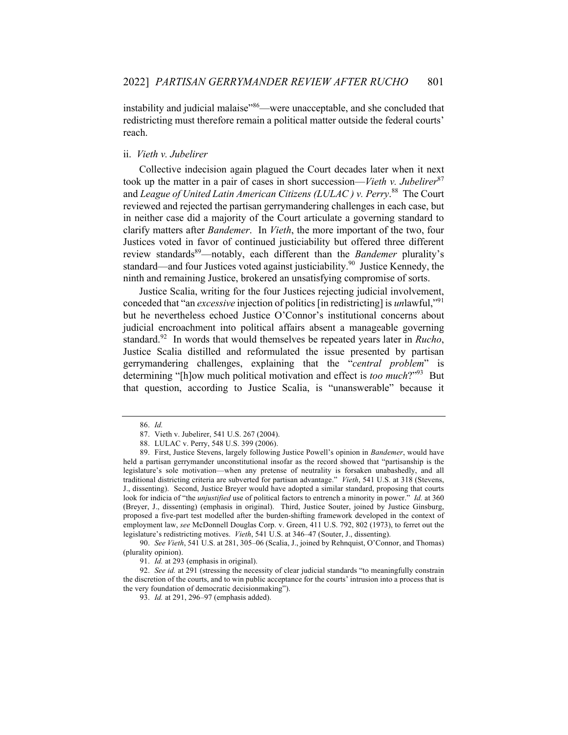instability and judicial malaise"<sup>86</sup>—were unacceptable, and she concluded that redistricting must therefore remain a political matter outside the federal courts' reach.

#### ii. *Vieth v. Jubelirer*

Collective indecision again plagued the Court decades later when it next took up the matter in a pair of cases in short succession—*Vieth v. Jubelirer*<sup>87</sup> and *League of United Latin American Citizens (LULAC ) v. Perry*. <sup>88</sup> The Court reviewed and rejected the partisan gerrymandering challenges in each case, but in neither case did a majority of the Court articulate a governing standard to clarify matters after *Bandemer*. In *Vieth*, the more important of the two, four Justices voted in favor of continued justiciability but offered three different review standards<sup>89</sup>—notably, each different than the *Bandemer* plurality's standard—and four Justices voted against justiciability.<sup>90</sup> Justice Kennedy, the ninth and remaining Justice, brokered an unsatisfying compromise of sorts.

Justice Scalia, writing for the four Justices rejecting judicial involvement, conceded that "an *excessive* injection of politics [in redistricting] is *un*lawful,"<sup>91</sup> but he nevertheless echoed Justice O'Connor's institutional concerns about judicial encroachment into political affairs absent a manageable governing standard.<sup>92</sup> In words that would themselves be repeated years later in *Rucho*, Justice Scalia distilled and reformulated the issue presented by partisan gerrymandering challenges, explaining that the "*central problem*" is determining "[h]ow much political motivation and effect is *too much*?"93 But that question, according to Justice Scalia, is "unanswerable" because it

90. *See Vieth*, 541 U.S. at 281, 305–06 (Scalia, J., joined by Rehnquist, O'Connor, and Thomas) (plurality opinion).

91. *Id.* at 293 (emphasis in original).

92. *See id.* at 291 (stressing the necessity of clear judicial standards "to meaningfully constrain the discretion of the courts, and to win public acceptance for the courts' intrusion into a process that is the very foundation of democratic decisionmaking").

<sup>86.</sup> *Id.*

<sup>87.</sup> Vieth v. Jubelirer, 541 U.S. 267 (2004).

<sup>88.</sup> LULAC v. Perry, 548 U.S. 399 (2006).

<sup>89.</sup> First, Justice Stevens, largely following Justice Powell's opinion in *Bandemer*, would have held a partisan gerrymander unconstitutional insofar as the record showed that "partisanship is the legislature's sole motivation—when any pretense of neutrality is forsaken unabashedly, and all traditional districting criteria are subverted for partisan advantage." *Vieth*, 541 U.S. at 318 (Stevens, J., dissenting). Second, Justice Breyer would have adopted a similar standard, proposing that courts look for indicia of "the *unjustified* use of political factors to entrench a minority in power." *Id.* at 360 (Breyer, J., dissenting) (emphasis in original). Third, Justice Souter, joined by Justice Ginsburg, proposed a five-part test modelled after the burden-shifting framework developed in the context of employment law, *see* McDonnell Douglas Corp. v. Green, 411 U.S. 792, 802 (1973), to ferret out the legislature's redistricting motives. *Vieth*, 541 U.S. at 346–47 (Souter, J., dissenting).

<sup>93.</sup> *Id.* at 291, 296–97 (emphasis added).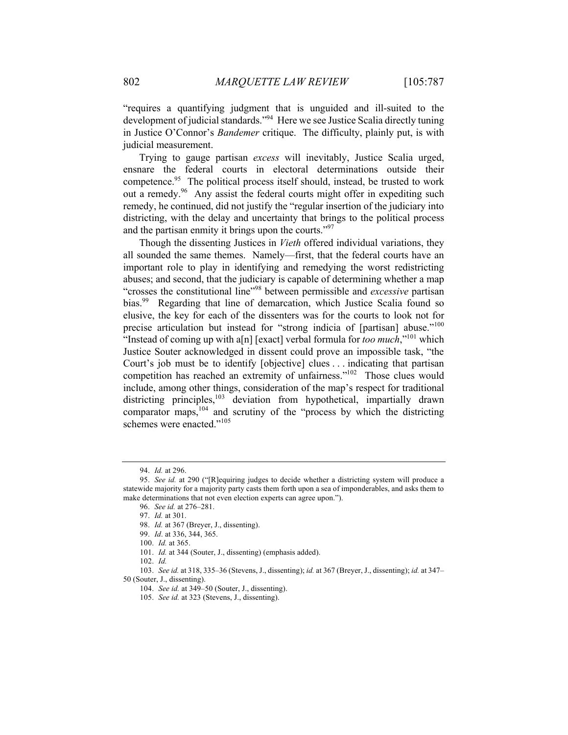"requires a quantifying judgment that is unguided and ill-suited to the development of judicial standards."<sup>94</sup> Here we see Justice Scalia directly tuning in Justice O'Connor's *Bandemer* critique. The difficulty, plainly put, is with judicial measurement.

Trying to gauge partisan *excess* will inevitably, Justice Scalia urged, ensnare the federal courts in electoral determinations outside their competence.<sup>95</sup> The political process itself should, instead, be trusted to work out a remedy.<sup>96</sup> Any assist the federal courts might offer in expediting such remedy, he continued, did not justify the "regular insertion of the judiciary into districting, with the delay and uncertainty that brings to the political process and the partisan enmity it brings upon the courts."<sup>97</sup>

Though the dissenting Justices in *Vieth* offered individual variations, they all sounded the same themes. Namely—first, that the federal courts have an important role to play in identifying and remedying the worst redistricting abuses; and second, that the judiciary is capable of determining whether a map "crosses the constitutional line"98 between permissible and *excessive* partisan bias.<sup>99</sup> Regarding that line of demarcation, which Justice Scalia found so elusive, the key for each of the dissenters was for the courts to look not for precise articulation but instead for "strong indicia of [partisan] abuse."<sup>100</sup> "Instead of coming up with a[n] [exact] verbal formula for *too much*,"101 which Justice Souter acknowledged in dissent could prove an impossible task, "the Court's job must be to identify [objective] clues . . . indicating that partisan competition has reached an extremity of unfairness."<sup>102</sup> Those clues would include, among other things, consideration of the map's respect for traditional districting principles,  $103$  deviation from hypothetical, impartially drawn comparator maps,<sup>104</sup> and scrutiny of the "process by which the districting schemes were enacted."<sup>105</sup>

<sup>94.</sup> *Id.* at 296.

<sup>95.</sup> *See id.* at 290 ("[R]equiring judges to decide whether a districting system will produce a statewide majority for a majority party casts them forth upon a sea of imponderables, and asks them to make determinations that not even election experts can agree upon.").

<sup>96.</sup> *See id.* at 276–281.

<sup>97.</sup> *Id.* at 301.

<sup>98.</sup> *Id.* at 367 (Breyer, J., dissenting).

<sup>99.</sup> *Id*. at 336, 344, 365.

<sup>100.</sup> *Id.* at 365.

<sup>101.</sup> *Id.* at 344 (Souter, J., dissenting) (emphasis added).

<sup>102.</sup> *Id.*

<sup>103.</sup> *See id.* at 318, 335–36 (Stevens, J., dissenting); *id.* at 367 (Breyer, J., dissenting); *id.* at 347– 50 (Souter, J., dissenting).

<sup>104.</sup> *See id.* at 349–50 (Souter, J., dissenting).

<sup>105.</sup> *See id.* at 323 (Stevens, J., dissenting).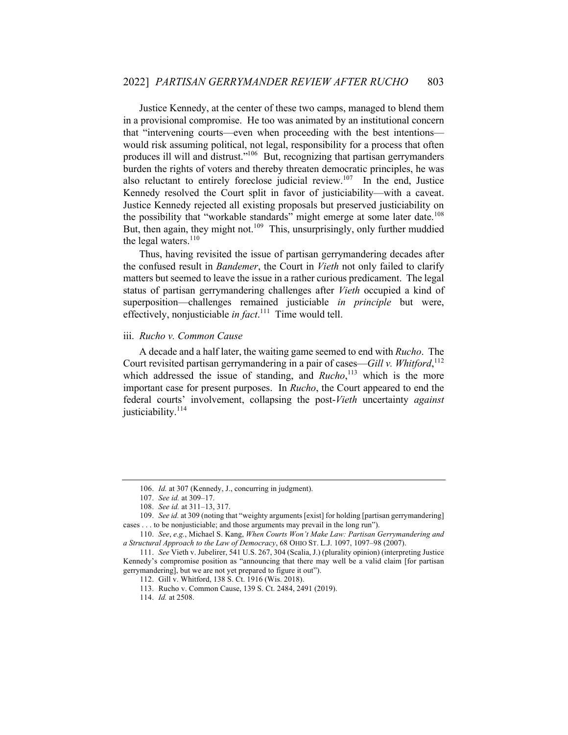Justice Kennedy, at the center of these two camps, managed to blend them in a provisional compromise. He too was animated by an institutional concern that "intervening courts—even when proceeding with the best intentions would risk assuming political, not legal, responsibility for a process that often produces ill will and distrust."<sup>106</sup> But, recognizing that partisan gerrymanders burden the rights of voters and thereby threaten democratic principles, he was also reluctant to entirely foreclose judicial review.<sup>107</sup> In the end, Justice Kennedy resolved the Court split in favor of justiciability—with a caveat. Justice Kennedy rejected all existing proposals but preserved justiciability on the possibility that "workable standards" might emerge at some later date.<sup>108</sup> But, then again, they might not.<sup>109</sup> This, unsurprisingly, only further muddied the legal waters. $110$ 

Thus, having revisited the issue of partisan gerrymandering decades after the confused result in *Bandemer*, the Court in *Vieth* not only failed to clarify matters but seemed to leave the issue in a rather curious predicament. The legal status of partisan gerrymandering challenges after *Vieth* occupied a kind of superposition—challenges remained justiciable *in principle* but were, effectively, nonjusticiable *in fact*. <sup>111</sup> Time would tell.

#### iii. *Rucho v. Common Cause*

A decade and a half later, the waiting game seemed to end with *Rucho*. The Court revisited partisan gerrymandering in a pair of cases—*Gill v. Whitford*, 112 which addressed the issue of standing, and *Rucho*,<sup>113</sup> which is the more important case for present purposes. In *Rucho*, the Court appeared to end the federal courts' involvement, collapsing the post-*Vieth* uncertainty *against* justiciability.<sup>114</sup>

<sup>106.</sup> *Id.* at 307 (Kennedy, J., concurring in judgment).

<sup>107.</sup> *See id.* at 309–17.

<sup>108.</sup> *See id.* at 311–13, 317.

<sup>109.</sup> *See id.* at 309 (noting that "weighty arguments [exist] for holding [partisan gerrymandering] cases . . . to be nonjusticiable; and those arguments may prevail in the long run").

<sup>110.</sup> *See*, *e.g.*, Michael S. Kang, *When Courts Won't Make Law: Partisan Gerrymandering and a Structural Approach to the Law of Democracy*, 68 OHIO ST. L.J. 1097, 1097–98 (2007).

<sup>111.</sup> *See* Vieth v. Jubelirer, 541 U.S. 267, 304 (Scalia, J.) (plurality opinion) (interpreting Justice Kennedy's compromise position as "announcing that there may well be a valid claim [for partisan gerrymandering], but we are not yet prepared to figure it out").

<sup>112.</sup> Gill v. Whitford, 138 S. Ct. 1916 (Wis. 2018).

<sup>113.</sup> Rucho v. Common Cause, 139 S. Ct. 2484, 2491 (2019).

<sup>114.</sup> *Id.* at 2508.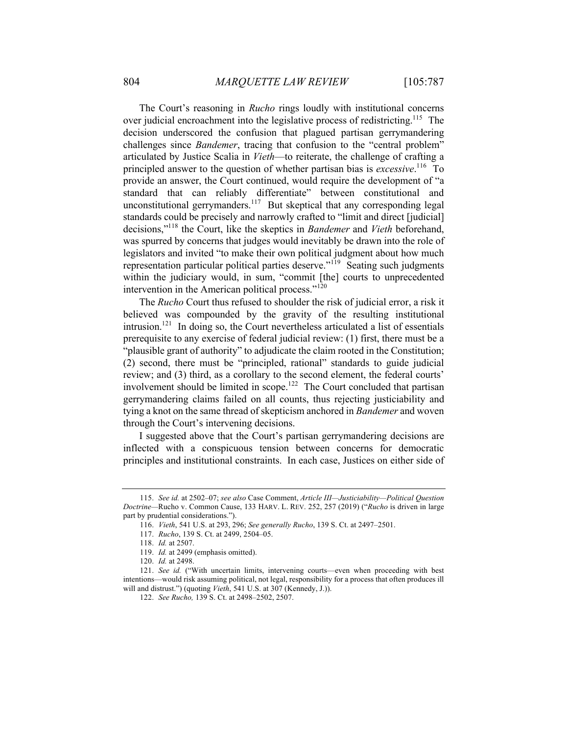The Court's reasoning in *Rucho* rings loudly with institutional concerns over judicial encroachment into the legislative process of redistricting.<sup>115</sup> The decision underscored the confusion that plagued partisan gerrymandering challenges since *Bandemer*, tracing that confusion to the "central problem" articulated by Justice Scalia in *Vieth*—to reiterate, the challenge of crafting a principled answer to the question of whether partisan bias is *excessive*. <sup>116</sup> To provide an answer, the Court continued, would require the development of "a standard that can reliably differentiate" between constitutional and unconstitutional gerrymanders.<sup>117</sup> But skeptical that any corresponding legal standards could be precisely and narrowly crafted to "limit and direct [judicial] decisions,"118 the Court, like the skeptics in *Bandemer* and *Vieth* beforehand, was spurred by concerns that judges would inevitably be drawn into the role of legislators and invited "to make their own political judgment about how much representation particular political parties deserve."<sup>119</sup> Seating such judgments within the judiciary would, in sum, "commit [the] courts to unprecedented intervention in the American political process."<sup>120</sup>

The *Rucho* Court thus refused to shoulder the risk of judicial error, a risk it believed was compounded by the gravity of the resulting institutional intrusion.<sup>121</sup> In doing so, the Court nevertheless articulated a list of essentials prerequisite to any exercise of federal judicial review: (1) first, there must be a "plausible grant of authority" to adjudicate the claim rooted in the Constitution; (2) second, there must be "principled, rational" standards to guide judicial review; and (3) third, as a corollary to the second element, the federal courts' involvement should be limited in scope.<sup>122</sup> The Court concluded that partisan gerrymandering claims failed on all counts, thus rejecting justiciability and tying a knot on the same thread of skepticism anchored in *Bandemer* and woven through the Court's intervening decisions.

I suggested above that the Court's partisan gerrymandering decisions are inflected with a conspicuous tension between concerns for democratic principles and institutional constraints. In each case, Justices on either side of

<sup>115.</sup> *See id.* at 2502–07; *see also* Case Comment, *Article III—Justiciability—Political Question Doctrine—*Rucho v. Common Cause, 133 HARV. L. REV. 252, 257 (2019) ("*Rucho* is driven in large part by prudential considerations.").

<sup>116.</sup> *Vieth*, 541 U.S. at 293, 296; *See generally Rucho*, 139 S. Ct. at 2497–2501.

<sup>117.</sup> *Rucho*, 139 S. Ct. at 2499, 2504–05.

<sup>118.</sup> *Id.* at 2507.

<sup>119.</sup> *Id.* at 2499 (emphasis omitted).

<sup>120.</sup> *Id.* at 2498.

<sup>121.</sup> *See id.* ("With uncertain limits, intervening courts—even when proceeding with best intentions—would risk assuming political, not legal, responsibility for a process that often produces ill will and distrust.") (quoting *Vieth*, 541 U.S. at 307 (Kennedy, J.)).

<sup>122.</sup> *See Rucho,* 139 S. Ct. at 2498–2502, 2507.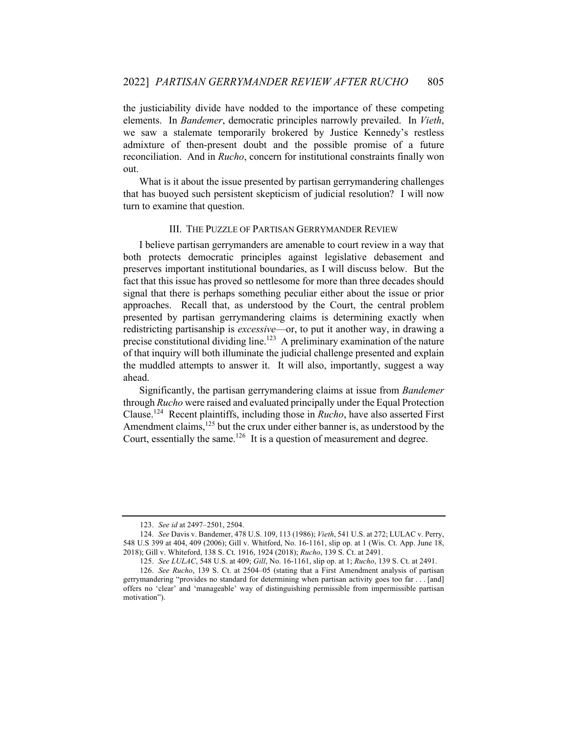the justiciability divide have nodded to the importance of these competing elements. In *Bandemer*, democratic principles narrowly prevailed. In *Vieth*, we saw a stalemate temporarily brokered by Justice Kennedy's restless admixture of then-present doubt and the possible promise of a future reconciliation. And in *Rucho*, concern for institutional constraints finally won out.

What is it about the issue presented by partisan gerrymandering challenges that has buoyed such persistent skepticism of judicial resolution? I will now turn to examine that question.

# III. THE PUZZLE OF PARTISAN GERRYMANDER REVIEW

I believe partisan gerrymanders are amenable to court review in a way that both protects democratic principles against legislative debasement and preserves important institutional boundaries, as I will discuss below. But the fact that this issue has proved so nettlesome for more than three decades should signal that there is perhaps something peculiar either about the issue or prior approaches. Recall that, as understood by the Court, the central problem presented by partisan gerrymandering claims is determining exactly when redistricting partisanship is *excessive*—or, to put it another way, in drawing a precise constitutional dividing line.<sup>123</sup> A preliminary examination of the nature of that inquiry will both illuminate the judicial challenge presented and explain the muddled attempts to answer it. It will also, importantly, suggest a way ahead.

Significantly, the partisan gerrymandering claims at issue from *Bandemer* through *Rucho* were raised and evaluated principally under the Equal Protection Clause.124 Recent plaintiffs, including those in *Rucho*, have also asserted First Amendment claims,<sup>125</sup> but the crux under either banner is, as understood by the Court, essentially the same.<sup>126</sup> It is a question of measurement and degree.

<sup>123.</sup> *See id* at 2497–2501, 2504.

<sup>124.</sup> *See* Davis v. Bandemer, 478 U.S. 109, 113 (1986); *Vieth*, 541 U.S. at 272; LULAC v. Perry, 548 U.S 399 at 404, 409 (2006); Gill v. Whitford, No. 16-1161, slip op. at 1 (Wis. Ct. App. June 18, 2018); Gill v. Whiteford, 138 S. Ct. 1916, 1924 (2018); *Rucho*, 139 S. Ct. at 2491.

<sup>125.</sup> *See LULAC*, 548 U.S. at 409; *Gill*, No. 16-1161, slip op. at 1; *Rucho*, 139 S. Ct. at 2491.

<sup>126.</sup> *See Rucho*, 139 S. Ct. at 2504–05 (stating that a First Amendment analysis of partisan gerrymandering "provides no standard for determining when partisan activity goes too far . . . [and] offers no 'clear' and 'manageable' way of distinguishing permissible from impermissible partisan motivation").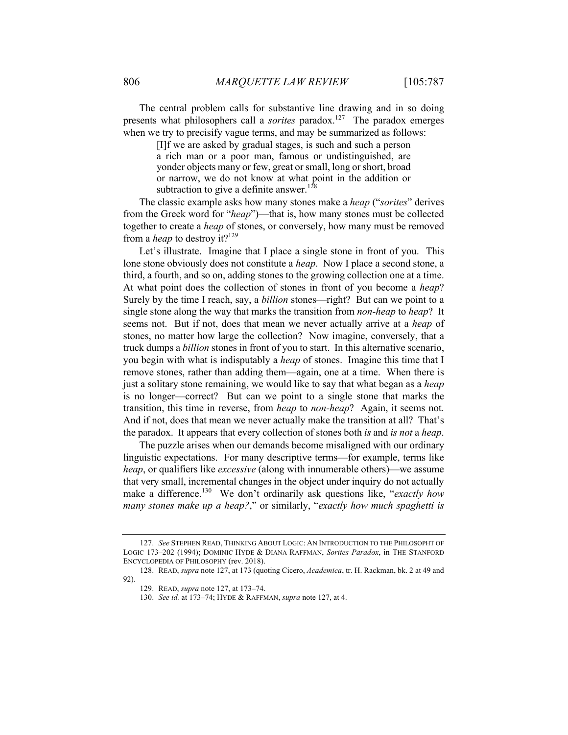The central problem calls for substantive line drawing and in so doing presents what philosophers call a *sorites* paradox.<sup>127</sup> The paradox emerges when we try to precisify vague terms, and may be summarized as follows:

> [I]f we are asked by gradual stages, is such and such a person a rich man or a poor man, famous or undistinguished, are yonder objects many or few, great or small, long or short, broad or narrow, we do not know at what point in the addition or subtraction to give a definite answer.<sup>128</sup>

The classic example asks how many stones make a *heap* ("*sorites*" derives from the Greek word for "*heap*")—that is, how many stones must be collected together to create a *heap* of stones, or conversely, how many must be removed from a *heap* to destroy it?<sup>129</sup>

Let's illustrate. Imagine that I place a single stone in front of you. This lone stone obviously does not constitute a *heap*. Now I place a second stone, a third, a fourth, and so on, adding stones to the growing collection one at a time. At what point does the collection of stones in front of you become a *heap*? Surely by the time I reach, say, a *billion* stones—right? But can we point to a single stone along the way that marks the transition from *non-heap* to *heap*? It seems not. But if not, does that mean we never actually arrive at a *heap* of stones, no matter how large the collection? Now imagine, conversely, that a truck dumps a *billion* stones in front of you to start. In this alternative scenario, you begin with what is indisputably a *heap* of stones. Imagine this time that I remove stones, rather than adding them—again, one at a time. When there is just a solitary stone remaining, we would like to say that what began as a *heap* is no longer—correct? But can we point to a single stone that marks the transition, this time in reverse, from *heap* to *non-heap*? Again, it seems not. And if not, does that mean we never actually make the transition at all? That's the paradox. It appears that every collection of stones both *is* and *is not* a *heap*.

The puzzle arises when our demands become misaligned with our ordinary linguistic expectations. For many descriptive terms—for example, terms like *heap*, or qualifiers like *excessive* (along with innumerable others)—we assume that very small, incremental changes in the object under inquiry do not actually make a difference.<sup>130</sup> We don't ordinarily ask questions like, "*exactly how many stones make up a heap?*," or similarly, "*exactly how much spaghetti is* 

<sup>127.</sup> *See* STEPHEN READ, THINKING ABOUT LOGIC: AN INTRODUCTION TO THE PHILOSOPHT OF LOGIC 173–202 (1994); DOMINIC HYDE & DIANA RAFFMAN, *Sorites Paradox*, in THE STANFORD ENCYCLOPEDIA OF PHILOSOPHY (rev. 2018).

<sup>128.</sup> READ, *supra* note 127, at 173 (quoting Cicero, *Academica*, tr. H. Rackman, bk. 2 at 49 and 92).

<sup>129.</sup> READ, *supra* note 127, at 173–74.

<sup>130.</sup> *See id.* at 173–74; HYDE & RAFFMAN, *supra* note 127, at 4.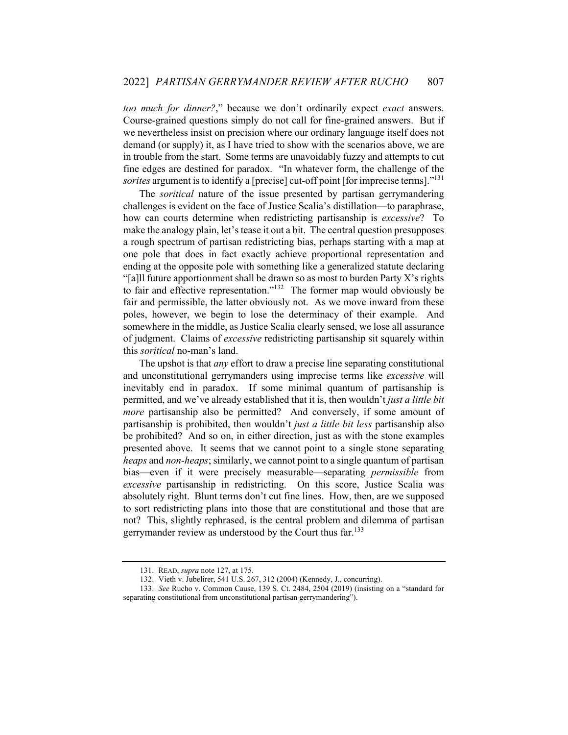*too much for dinner?*," because we don't ordinarily expect *exact* answers. Course-grained questions simply do not call for fine-grained answers. But if we nevertheless insist on precision where our ordinary language itself does not demand (or supply) it, as I have tried to show with the scenarios above, we are in trouble from the start. Some terms are unavoidably fuzzy and attempts to cut fine edges are destined for paradox. "In whatever form, the challenge of the *sorites* argument is to identify a [precise] cut-off point [for imprecise terms]."131

The *soritical* nature of the issue presented by partisan gerrymandering challenges is evident on the face of Justice Scalia's distillation—to paraphrase, how can courts determine when redistricting partisanship is *excessive*? To make the analogy plain, let's tease it out a bit. The central question presupposes a rough spectrum of partisan redistricting bias, perhaps starting with a map at one pole that does in fact exactly achieve proportional representation and ending at the opposite pole with something like a generalized statute declaring "[a]ll future apportionment shall be drawn so as most to burden Party X's rights" to fair and effective representation." $132$  The former map would obviously be fair and permissible, the latter obviously not. As we move inward from these poles, however, we begin to lose the determinacy of their example. And somewhere in the middle, as Justice Scalia clearly sensed, we lose all assurance of judgment. Claims of *excessive* redistricting partisanship sit squarely within this *soritical* no-man's land.

The upshot is that *any* effort to draw a precise line separating constitutional and unconstitutional gerrymanders using imprecise terms like *excessive* will inevitably end in paradox. If some minimal quantum of partisanship is permitted, and we've already established that it is, then wouldn't *just a little bit more* partisanship also be permitted? And conversely, if some amount of partisanship is prohibited, then wouldn't *just a little bit less* partisanship also be prohibited? And so on, in either direction, just as with the stone examples presented above. It seems that we cannot point to a single stone separating *heaps* and *non-heaps*; similarly, we cannot point to a single quantum of partisan bias—even if it were precisely measurable—separating *permissible* from *excessive* partisanship in redistricting. On this score, Justice Scalia was absolutely right. Blunt terms don't cut fine lines. How, then, are we supposed to sort redistricting plans into those that are constitutional and those that are not? This, slightly rephrased, is the central problem and dilemma of partisan gerrymander review as understood by the Court thus far.<sup>133</sup>

<sup>131.</sup> READ, *supra* note 127, at 175.

<sup>132.</sup> Vieth v. Jubelirer, 541 U.S. 267, 312 (2004) (Kennedy, J., concurring).

<sup>133.</sup> *See* Rucho v. Common Cause, 139 S. Ct. 2484, 2504 (2019) (insisting on a "standard for separating constitutional from unconstitutional partisan gerrymandering").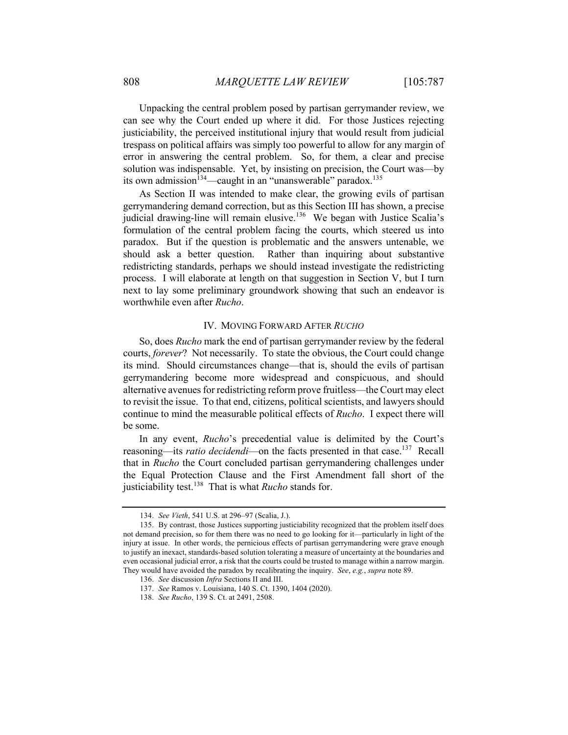Unpacking the central problem posed by partisan gerrymander review, we can see why the Court ended up where it did. For those Justices rejecting justiciability, the perceived institutional injury that would result from judicial trespass on political affairs was simply too powerful to allow for any margin of error in answering the central problem. So, for them, a clear and precise solution was indispensable. Yet, by insisting on precision, the Court was—by its own admission<sup>134</sup>—caught in an "unanswerable" paradox.<sup>135</sup>

As Section II was intended to make clear, the growing evils of partisan gerrymandering demand correction, but as this Section III has shown, a precise judicial drawing-line will remain elusive.<sup>136</sup> We began with Justice Scalia's formulation of the central problem facing the courts, which steered us into paradox. But if the question is problematic and the answers untenable, we should ask a better question. Rather than inquiring about substantive redistricting standards, perhaps we should instead investigate the redistricting process. I will elaborate at length on that suggestion in Section V, but I turn next to lay some preliminary groundwork showing that such an endeavor is worthwhile even after *Rucho*.

#### IV. MOVING FORWARD AFTER *RUCHO*

So, does *Rucho* mark the end of partisan gerrymander review by the federal courts, *forever*? Not necessarily. To state the obvious, the Court could change its mind. Should circumstances change—that is, should the evils of partisan gerrymandering become more widespread and conspicuous, and should alternative avenues for redistricting reform prove fruitless—the Court may elect to revisit the issue. To that end, citizens, political scientists, and lawyers should continue to mind the measurable political effects of *Rucho*. I expect there will be some.

In any event, *Rucho*'s precedential value is delimited by the Court's reasoning—its *ratio decidendi*—on the facts presented in that case.<sup>137</sup> Recall that in *Rucho* the Court concluded partisan gerrymandering challenges under the Equal Protection Clause and the First Amendment fall short of the justiciability test.<sup>138</sup> That is what *Rucho* stands for.

<sup>134.</sup> *See Vieth*, 541 U.S. at 296–97 (Scalia, J.).

<sup>135.</sup> By contrast, those Justices supporting justiciability recognized that the problem itself does not demand precision, so for them there was no need to go looking for it—particularly in light of the injury at issue. In other words, the pernicious effects of partisan gerrymandering were grave enough to justify an inexact, standards-based solution tolerating a measure of uncertainty at the boundaries and even occasional judicial error, a risk that the courts could be trusted to manage within a narrow margin. They would have avoided the paradox by recalibrating the inquiry. *See*, *e.g.*, *supra* note 89.

<sup>136.</sup> *See* discussion *Infra* Sections II and III.

<sup>137.</sup> *See* Ramos v. Louisiana, 140 S. Ct. 1390, 1404 (2020).

<sup>138.</sup> *See Rucho*, 139 S. Ct. at 2491, 2508.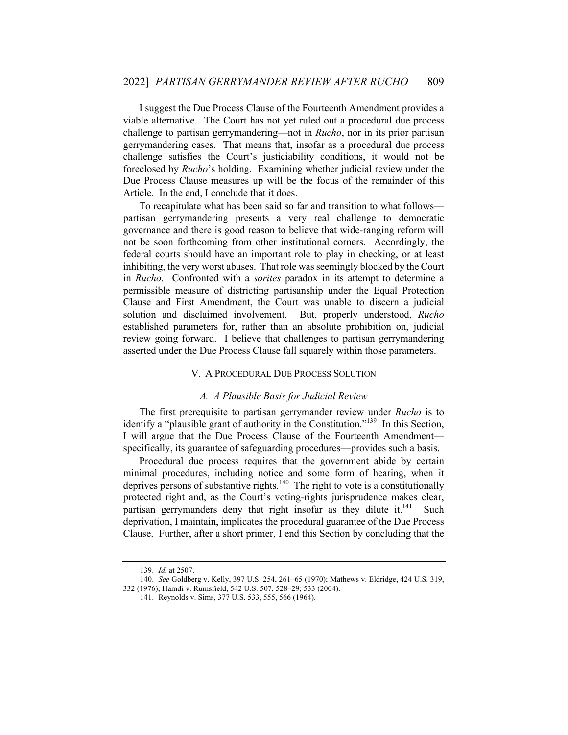I suggest the Due Process Clause of the Fourteenth Amendment provides a viable alternative. The Court has not yet ruled out a procedural due process challenge to partisan gerrymandering—not in *Rucho*, nor in its prior partisan gerrymandering cases. That means that, insofar as a procedural due process challenge satisfies the Court's justiciability conditions, it would not be foreclosed by *Rucho*'s holding. Examining whether judicial review under the Due Process Clause measures up will be the focus of the remainder of this Article. In the end, I conclude that it does.

To recapitulate what has been said so far and transition to what follows partisan gerrymandering presents a very real challenge to democratic governance and there is good reason to believe that wide-ranging reform will not be soon forthcoming from other institutional corners. Accordingly, the federal courts should have an important role to play in checking, or at least inhibiting, the very worst abuses. That role was seemingly blocked by the Court in *Rucho*. Confronted with a *sorites* paradox in its attempt to determine a permissible measure of districting partisanship under the Equal Protection Clause and First Amendment, the Court was unable to discern a judicial solution and disclaimed involvement. But, properly understood, *Rucho* established parameters for, rather than an absolute prohibition on, judicial review going forward. I believe that challenges to partisan gerrymandering asserted under the Due Process Clause fall squarely within those parameters.

# V. A PROCEDURAL DUE PROCESS SOLUTION

# *A. A Plausible Basis for Judicial Review*

The first prerequisite to partisan gerrymander review under *Rucho* is to identify a "plausible grant of authority in the Constitution."<sup>139</sup> In this Section, I will argue that the Due Process Clause of the Fourteenth Amendment specifically, its guarantee of safeguarding procedures—provides such a basis.

Procedural due process requires that the government abide by certain minimal procedures, including notice and some form of hearing, when it deprives persons of substantive rights.<sup>140</sup> The right to vote is a constitutionally protected right and, as the Court's voting-rights jurisprudence makes clear, partisan gerrymanders deny that right insofar as they dilute it.<sup>141</sup> Such deprivation, I maintain, implicates the procedural guarantee of the Due Process Clause. Further, after a short primer, I end this Section by concluding that the

<sup>139.</sup> *Id.* at 2507.

<sup>140.</sup> *See* Goldberg v. Kelly, 397 U.S. 254, 261–65 (1970); Mathews v. Eldridge, 424 U.S. 319, 332 (1976); Hamdi v. Rumsfield, 542 U.S. 507, 528–29; 533 (2004).

<sup>141.</sup> Reynolds v. Sims, 377 U.S. 533, 555, 566 (1964).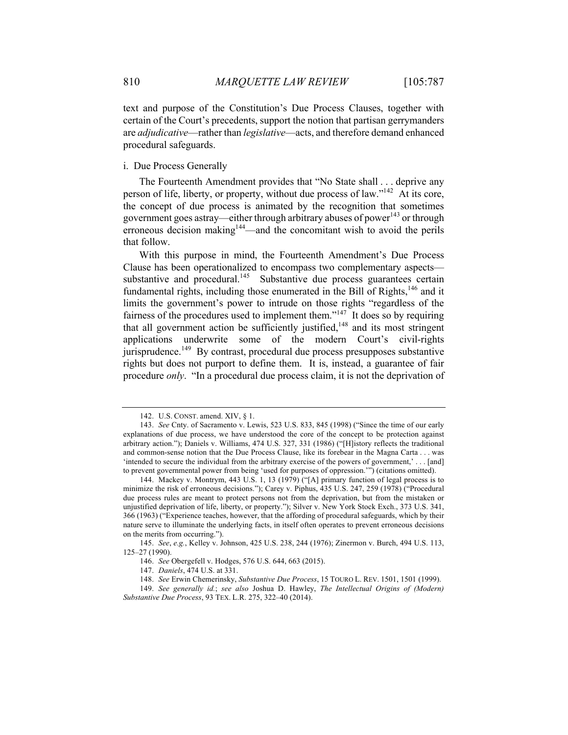text and purpose of the Constitution's Due Process Clauses, together with certain of the Court's precedents, support the notion that partisan gerrymanders are *adjudicative*—rather than *legislative*—acts, and therefore demand enhanced procedural safeguards.

#### i. Due Process Generally

The Fourteenth Amendment provides that "No State shall . . . deprive any person of life, liberty, or property, without due process of law."<sup>142</sup> At its core, the concept of due process is animated by the recognition that sometimes government goes astray—either through arbitrary abuses of power<sup>143</sup> or through erroneous decision making<sup>144</sup>—and the concomitant wish to avoid the perils that follow.

With this purpose in mind, the Fourteenth Amendment's Due Process Clause has been operationalized to encompass two complementary aspects substantive and procedural.<sup>145</sup> Substantive due process guarantees certain fundamental rights, including those enumerated in the Bill of Rights,<sup>146</sup> and it limits the government's power to intrude on those rights "regardless of the fairness of the procedures used to implement them."<sup>147</sup> It does so by requiring that all government action be sufficiently justified, $148$  and its most stringent applications underwrite some of the modern Court's civil-rights jurisprudence.<sup>149</sup> By contrast, procedural due process presupposes substantive rights but does not purport to define them. It is, instead, a guarantee of fair procedure *only*. "In a procedural due process claim, it is not the deprivation of

<sup>142.</sup> U.S. CONST. amend. XIV, § 1.

<sup>143.</sup> *See* Cnty. of Sacramento v. Lewis, 523 U.S. 833, 845 (1998) ("Since the time of our early explanations of due process, we have understood the core of the concept to be protection against arbitrary action."); Daniels v. Williams, 474 U.S. 327, 331 (1986) ("[H]istory reflects the traditional and common-sense notion that the Due Process Clause, like its forebear in the Magna Carta . . . was 'intended to secure the individual from the arbitrary exercise of the powers of government,' . . . [and] to prevent governmental power from being 'used for purposes of oppression.'") (citations omitted).

<sup>144.</sup> Mackey v. Montrym, 443 U.S. 1, 13 (1979) ("[A] primary function of legal process is to minimize the risk of erroneous decisions."); Carey v. Piphus, 435 U.S. 247, 259 (1978) ("Procedural due process rules are meant to protect persons not from the deprivation, but from the mistaken or unjustified deprivation of life, liberty, or property."); Silver v. New York Stock Exch., 373 U.S. 341, 366 (1963) ("Experience teaches, however, that the affording of procedural safeguards, which by their nature serve to illuminate the underlying facts, in itself often operates to prevent erroneous decisions on the merits from occurring.").

<sup>145.</sup> *See*, *e.g.*, Kelley v. Johnson, 425 U.S. 238, 244 (1976); Zinermon v. Burch, 494 U.S. 113, 125–27 (1990).

<sup>146.</sup> *See* Obergefell v. Hodges, 576 U.S. 644, 663 (2015).

<sup>147.</sup> *Daniels*, 474 U.S. at 331.

<sup>148.</sup> *See* Erwin Chemerinsky, *Substantive Due Process*, 15 TOURO L. REV. 1501, 1501 (1999).

<sup>149.</sup> *See generally id.*; *see also* Joshua D. Hawley, *The Intellectual Origins of (Modern) Substantive Due Process*, 93 TEX. L.R. 275, 322–40 (2014).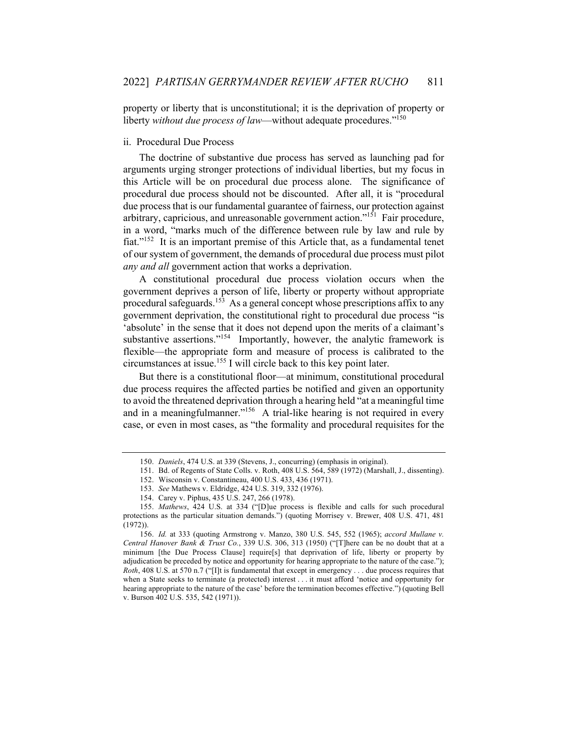property or liberty that is unconstitutional; it is the deprivation of property or liberty *without due process of law*—without adequate procedures."<sup>150</sup>

#### ii. Procedural Due Process

The doctrine of substantive due process has served as launching pad for arguments urging stronger protections of individual liberties, but my focus in this Article will be on procedural due process alone. The significance of procedural due process should not be discounted. After all, it is "procedural due process that is our fundamental guarantee of fairness, our protection against arbitrary, capricious, and unreasonable government action."<sup>151</sup> Fair procedure, in a word, "marks much of the difference between rule by law and rule by fiat."<sup>152</sup> It is an important premise of this Article that, as a fundamental tenet of our system of government, the demands of procedural due process must pilot *any and all* government action that works a deprivation.

A constitutional procedural due process violation occurs when the government deprives a person of life, liberty or property without appropriate procedural safeguards.<sup>153</sup> As a general concept whose prescriptions affix to any government deprivation, the constitutional right to procedural due process "is 'absolute' in the sense that it does not depend upon the merits of a claimant's substantive assertions."<sup>154</sup> Importantly, however, the analytic framework is flexible—the appropriate form and measure of process is calibrated to the circumstances at issue.<sup>155</sup> I will circle back to this key point later.

But there is a constitutional floor—at minimum, constitutional procedural due process requires the affected parties be notified and given an opportunity to avoid the threatened deprivation through a hearing held "at a meaningful time and in a meaningfulmanner."<sup>156</sup> A trial-like hearing is not required in every case, or even in most cases, as "the formality and procedural requisites for the

<sup>150.</sup> *Daniels*, 474 U.S. at 339 (Stevens, J., concurring) (emphasis in original).

<sup>151.</sup> Bd. of Regents of State Colls. v. Roth, 408 U.S. 564, 589 (1972) (Marshall, J., dissenting).

<sup>152.</sup> Wisconsin v. Constantineau, 400 U.S. 433, 436 (1971).

<sup>153.</sup> *See* Mathews v. Eldridge, 424 U.S. 319, 332 (1976).

<sup>154.</sup> Carey v. Piphus, 435 U.S. 247, 266 (1978).

<sup>155.</sup> *Mathews*, 424 U.S. at 334 ("[D]ue process is flexible and calls for such procedural protections as the particular situation demands.") (quoting Morrisey v. Brewer, 408 U.S. 471, 481 (1972)).

<sup>156.</sup> *Id.* at 333 (quoting Armstrong v. Manzo, 380 U.S. 545, 552 (1965); *accord Mullane v. Central Hanover Bank & Trust Co.*, 339 U.S. 306, 313 (1950) ("[T]here can be no doubt that at a minimum [the Due Process Clause] require[s] that deprivation of life, liberty or property by adjudication be preceded by notice and opportunity for hearing appropriate to the nature of the case."); *Roth*, 408 U.S. at 570 n.7 ("[I]t is fundamental that except in emergency . . . due process requires that when a State seeks to terminate (a protected) interest . . . it must afford 'notice and opportunity for hearing appropriate to the nature of the case' before the termination becomes effective.") (quoting Bell v. Burson 402 U.S. 535, 542 (1971)).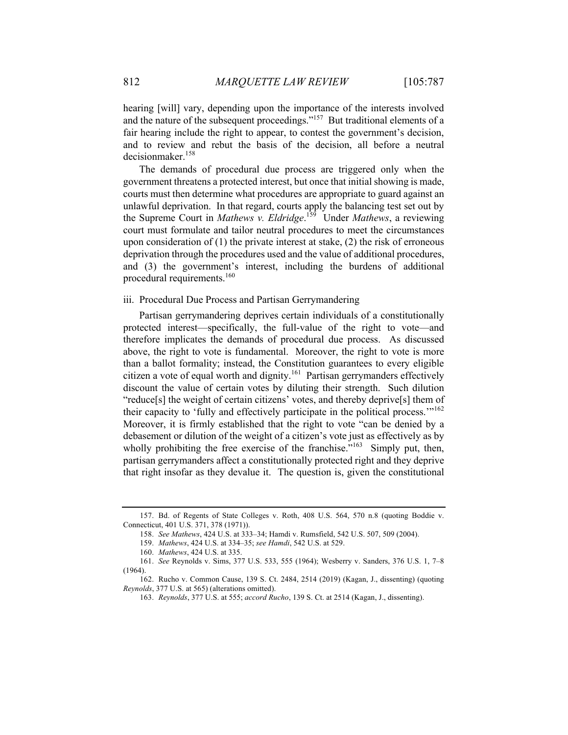hearing [will] vary, depending upon the importance of the interests involved and the nature of the subsequent proceedings."<sup>157</sup> But traditional elements of a fair hearing include the right to appear, to contest the government's decision, and to review and rebut the basis of the decision, all before a neutral decisionmaker.<sup>158</sup>

The demands of procedural due process are triggered only when the government threatens a protected interest, but once that initial showing is made, courts must then determine what procedures are appropriate to guard against an unlawful deprivation. In that regard, courts apply the balancing test set out by the Supreme Court in *Mathews v. Eldridge*. <sup>159</sup> Under *Mathews*, a reviewing court must formulate and tailor neutral procedures to meet the circumstances upon consideration of  $(1)$  the private interest at stake,  $(2)$  the risk of erroneous deprivation through the procedures used and the value of additional procedures, and (3) the government's interest, including the burdens of additional procedural requirements. $160$ 

#### iii. Procedural Due Process and Partisan Gerrymandering

Partisan gerrymandering deprives certain individuals of a constitutionally protected interest—specifically, the full-value of the right to vote—and therefore implicates the demands of procedural due process. As discussed above, the right to vote is fundamental. Moreover, the right to vote is more than a ballot formality; instead, the Constitution guarantees to every eligible citizen a vote of equal worth and dignity.<sup>161</sup> Partisan gerrymanders effectively discount the value of certain votes by diluting their strength. Such dilution "reduce[s] the weight of certain citizens' votes, and thereby deprive[s] them of their capacity to 'fully and effectively participate in the political process."<sup>162</sup> Moreover, it is firmly established that the right to vote "can be denied by a debasement or dilution of the weight of a citizen's vote just as effectively as by wholly prohibiting the free exercise of the franchise."<sup>163</sup> Simply put, then, partisan gerrymanders affect a constitutionally protected right and they deprive that right insofar as they devalue it. The question is, given the constitutional

<sup>157.</sup> Bd. of Regents of State Colleges v. Roth, 408 U.S. 564, 570 n.8 (quoting Boddie v. Connecticut, 401 U.S. 371, 378 (1971)).

<sup>158.</sup> *See Mathews*, 424 U.S. at 333–34; Hamdi v. Rumsfield, 542 U.S. 507, 509 (2004).

<sup>159.</sup> *Mathews*, 424 U.S. at 334–35; *see Hamdi*, 542 U.S. at 529.

<sup>160.</sup> *Mathews*, 424 U.S. at 335.

<sup>161.</sup> *See* Reynolds v. Sims, 377 U.S. 533, 555 (1964); Wesberry v. Sanders, 376 U.S. 1, 7–8 (1964).

<sup>162.</sup> Rucho v. Common Cause, 139 S. Ct. 2484, 2514 (2019) (Kagan, J., dissenting) (quoting *Reynolds*, 377 U.S. at 565) (alterations omitted).

<sup>163.</sup> *Reynolds*, 377 U.S. at 555; *accord Rucho*, 139 S. Ct. at 2514 (Kagan, J., dissenting).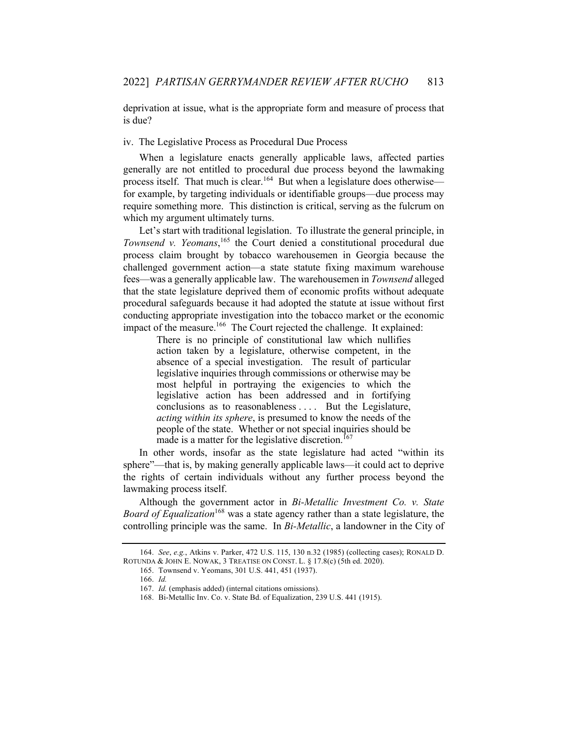deprivation at issue, what is the appropriate form and measure of process that is due?

#### iv. The Legislative Process as Procedural Due Process

When a legislature enacts generally applicable laws, affected parties generally are not entitled to procedural due process beyond the lawmaking process itself. That much is clear.<sup>164</sup> But when a legislature does otherwise for example, by targeting individuals or identifiable groups—due process may require something more. This distinction is critical, serving as the fulcrum on which my argument ultimately turns.

Let's start with traditional legislation. To illustrate the general principle, in Townsend v. Yeomans,<sup>165</sup> the Court denied a constitutional procedural due process claim brought by tobacco warehousemen in Georgia because the challenged government action—a state statute fixing maximum warehouse fees—was a generally applicable law. The warehousemen in *Townsend* alleged that the state legislature deprived them of economic profits without adequate procedural safeguards because it had adopted the statute at issue without first conducting appropriate investigation into the tobacco market or the economic impact of the measure.<sup>166</sup> The Court rejected the challenge. It explained:

> There is no principle of constitutional law which nullifies action taken by a legislature, otherwise competent, in the absence of a special investigation. The result of particular legislative inquiries through commissions or otherwise may be most helpful in portraying the exigencies to which the legislative action has been addressed and in fortifying conclusions as to reasonableness . . . . But the Legislature, *acting within its sphere*, is presumed to know the needs of the people of the state. Whether or not special inquiries should be made is a matter for the legislative discretion.<sup>167</sup>

In other words, insofar as the state legislature had acted "within its sphere"—that is, by making generally applicable laws—it could act to deprive the rights of certain individuals without any further process beyond the lawmaking process itself.

Although the government actor in *Bi-Metallic Investment Co. v. State Board of Equalization*<sup>168</sup> was a state agency rather than a state legislature, the controlling principle was the same. In *Bi-Metallic*, a landowner in the City of

<sup>164.</sup> *See*, *e.g.*, Atkins v. Parker, 472 U.S. 115, 130 n.32 (1985) (collecting cases); RONALD D. ROTUNDA & JOHN E. NOWAK, 3 TREATISE ON CONST. L. § 17.8(c) (5th ed. 2020).

<sup>165.</sup> Townsend v. Yeomans, 301 U.S. 441, 451 (1937).

<sup>166.</sup> *Id.*

<sup>167.</sup> *Id.* (emphasis added) (internal citations omissions).

<sup>168.</sup> Bi-Metallic Inv. Co. v. State Bd. of Equalization, 239 U.S. 441 (1915).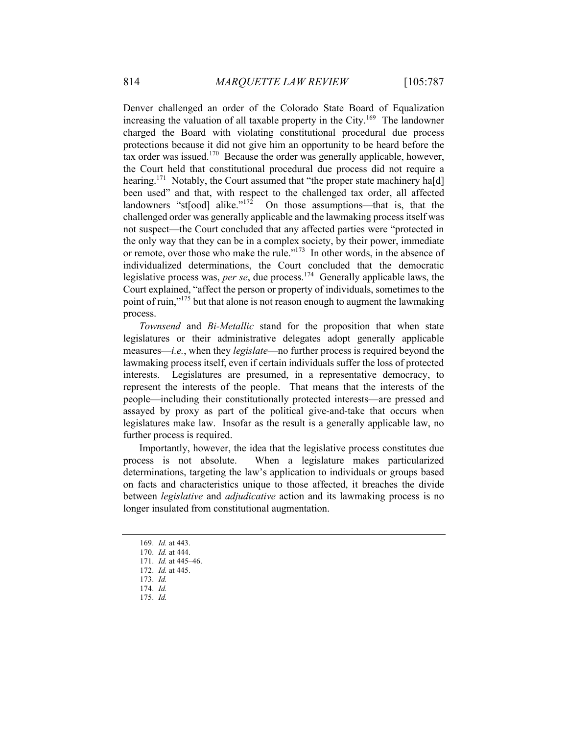Denver challenged an order of the Colorado State Board of Equalization increasing the valuation of all taxable property in the City.<sup>169</sup> The landowner charged the Board with violating constitutional procedural due process protections because it did not give him an opportunity to be heard before the tax order was issued.<sup>170</sup> Because the order was generally applicable, however, the Court held that constitutional procedural due process did not require a hearing.<sup>171</sup> Notably, the Court assumed that "the proper state machinery ha[d] been used" and that, with respect to the challenged tax order, all affected landowners "st[ood] alike."<sup>172</sup> On those assumptions—that is, that the challenged order was generally applicable and the lawmaking process itself was not suspect—the Court concluded that any affected parties were "protected in the only way that they can be in a complex society, by their power, immediate or remote, over those who make the rule."173 In other words, in the absence of individualized determinations, the Court concluded that the democratic legislative process was, *per se*, due process.<sup>174</sup> Generally applicable laws, the Court explained, "affect the person or property of individuals, sometimes to the point of ruin,"<sup>175</sup> but that alone is not reason enough to augment the lawmaking process.

*Townsend* and *Bi-Metallic* stand for the proposition that when state legislatures or their administrative delegates adopt generally applicable measures—*i.e.*, when they *legislate*—no further process is required beyond the lawmaking process itself, even if certain individuals suffer the loss of protected interests. Legislatures are presumed, in a representative democracy, to represent the interests of the people. That means that the interests of the people—including their constitutionally protected interests—are pressed and assayed by proxy as part of the political give-and-take that occurs when legislatures make law. Insofar as the result is a generally applicable law, no further process is required.

Importantly, however, the idea that the legislative process constitutes due process is not absolute. When a legislature makes particularized determinations, targeting the law's application to individuals or groups based on facts and characteristics unique to those affected, it breaches the divide between *legislative* and *adjudicative* action and its lawmaking process is no longer insulated from constitutional augmentation.

<sup>169.</sup> *Id.* at 443.

<sup>170.</sup> *Id.* at 444.

<sup>171.</sup> *Id.* at 445–46.

<sup>172.</sup> *Id.* at 445.

<sup>173.</sup> *Id.*

<sup>174.</sup> *Id.*

<sup>175.</sup> *Id.*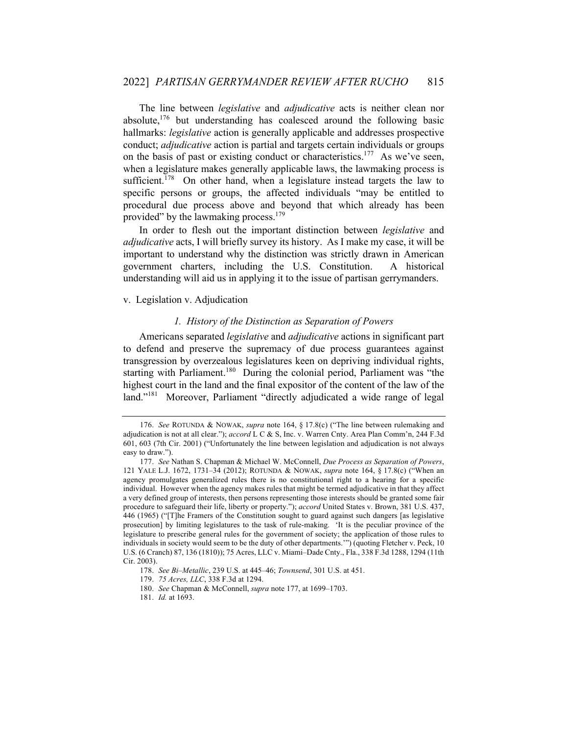The line between *legislative* and *adjudicative* acts is neither clean nor absolute, $176$  but understanding has coalesced around the following basic hallmarks: *legislative* action is generally applicable and addresses prospective conduct; *adjudicative* action is partial and targets certain individuals or groups on the basis of past or existing conduct or characteristics.<sup>177</sup> As we've seen, when a legislature makes generally applicable laws, the lawmaking process is sufficient.<sup>178</sup> On other hand, when a legislature instead targets the law to specific persons or groups, the affected individuals "may be entitled to procedural due process above and beyond that which already has been provided" by the lawmaking process.<sup>179</sup>

In order to flesh out the important distinction between *legislative* and *adjudicative* acts, I will briefly survey its history. As I make my case, it will be important to understand why the distinction was strictly drawn in American government charters, including the U.S. Constitution. A historical understanding will aid us in applying it to the issue of partisan gerrymanders.

v. Legislation v. Adjudication

# *1. History of the Distinction as Separation of Powers*

Americans separated *legislative* and *adjudicative* actions in significant part to defend and preserve the supremacy of due process guarantees against transgression by overzealous legislatures keen on depriving individual rights, starting with Parliament.<sup>180</sup> During the colonial period, Parliament was "the highest court in the land and the final expositor of the content of the law of the land."<sup>181</sup> Moreover, Parliament "directly adjudicated a wide range of legal

<sup>176.</sup> *See* ROTUNDA & NOWAK, *supra* note 164, § 17.8(c) ("The line between rulemaking and adjudication is not at all clear."); *accord* L C & S, Inc. v. Warren Cnty. Area Plan Comm'n, 244 F.3d 601, 603 (7th Cir. 2001) ("Unfortunately the line between legislation and adjudication is not always easy to draw.").

<sup>177.</sup> *See* Nathan S. Chapman & Michael W. McConnell, *Due Process as Separation of Powers*, 121 YALE L.J. 1672, 1731–34 (2012); ROTUNDA & NOWAK, *supra* note 164, § 17.8(c) ("When an agency promulgates generalized rules there is no constitutional right to a hearing for a specific individual. However when the agency makes rules that might be termed adjudicative in that they affect a very defined group of interests, then persons representing those interests should be granted some fair procedure to safeguard their life, liberty or property."); *accord* United States v. Brown, 381 U.S. 437, 446 (1965) ("[T]he Framers of the Constitution sought to guard against such dangers [as legislative prosecution] by limiting legislatures to the task of rule-making. 'It is the peculiar province of the legislature to prescribe general rules for the government of society; the application of those rules to individuals in society would seem to be the duty of other departments.'") (quoting Fletcher v. Peck, 10 U.S. (6 Cranch) 87, 136 (1810)); 75 Acres, LLC v. Miami–Dade Cnty., Fla., 338 F.3d 1288, 1294 (11th Cir. 2003).

<sup>178.</sup> *See Bi–Metallic*, 239 U.S. at 445–46; *Townsend*, 301 U.S. at 451.

<sup>179.</sup> *75 Acres, LLC*, 338 F.3d at 1294.

<sup>180.</sup> *See* Chapman & McConnell, *supra* note 177, at 1699–1703.

<sup>181.</sup> *Id.* at 1693.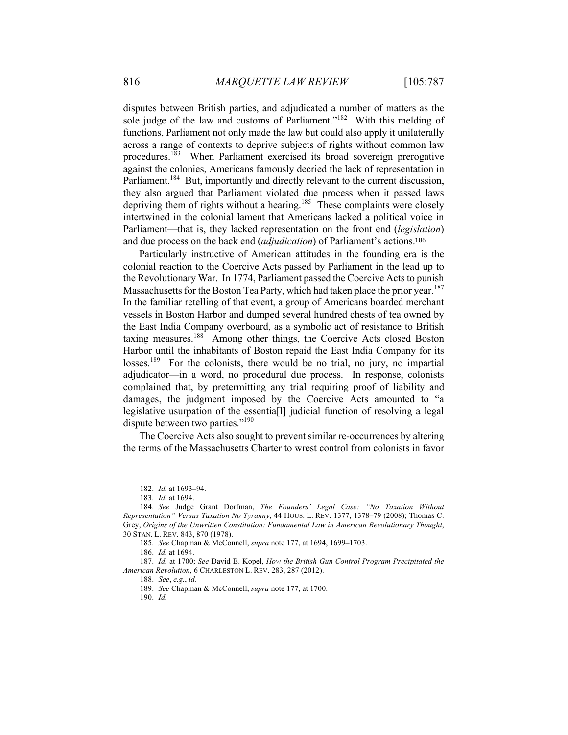disputes between British parties, and adjudicated a number of matters as the sole judge of the law and customs of Parliament."<sup>182</sup> With this melding of functions, Parliament not only made the law but could also apply it unilaterally across a range of contexts to deprive subjects of rights without common law procedures.<sup>183</sup> When Parliament exercised its broad sovereign prerogative against the colonies, Americans famously decried the lack of representation in Parliament.<sup>184</sup> But, importantly and directly relevant to the current discussion, they also argued that Parliament violated due process when it passed laws depriving them of rights without a hearing.<sup>185</sup> These complaints were closely intertwined in the colonial lament that Americans lacked a political voice in Parliament—that is, they lacked representation on the front end (*legislation*) and due process on the back end (*adjudication*) of Parliament's actions.<sup>186</sup>

Particularly instructive of American attitudes in the founding era is the colonial reaction to the Coercive Acts passed by Parliament in the lead up to the Revolutionary War. In 1774, Parliament passed the Coercive Acts to punish Massachusetts for the Boston Tea Party, which had taken place the prior year.<sup>187</sup> In the familiar retelling of that event, a group of Americans boarded merchant vessels in Boston Harbor and dumped several hundred chests of tea owned by the East India Company overboard, as a symbolic act of resistance to British taxing measures.<sup>188</sup> Among other things, the Coercive Acts closed Boston Harbor until the inhabitants of Boston repaid the East India Company for its losses.<sup>189</sup> For the colonists, there would be no trial, no jury, no impartial adjudicator—in a word, no procedural due process. In response, colonists complained that, by pretermitting any trial requiring proof of liability and damages, the judgment imposed by the Coercive Acts amounted to "a legislative usurpation of the essentia[l] judicial function of resolving a legal dispute between two parties."<sup>190</sup>

The Coercive Acts also sought to prevent similar re-occurrences by altering the terms of the Massachusetts Charter to wrest control from colonists in favor

188. *See*, *e.g.*, *id.*

190. *Id.*

<sup>182.</sup> *Id.* at 1693–94.

<sup>183.</sup> *Id.* at 1694.

<sup>184.</sup> *See* Judge Grant Dorfman, *The Founders' Legal Case: "No Taxation Without Representation" Versus Taxation No Tyranny*, 44 HOUS. L. REV. 1377, 1378–79 (2008); Thomas C. Grey, *Origins of the Unwritten Constitution: Fundamental Law in American Revolutionary Thought*, 30 STAN. L. REV. 843, 870 (1978).

<sup>185.</sup> *See* Chapman & McConnell, *supra* note 177, at 1694, 1699–1703.

<sup>186.</sup> *Id.* at 1694.

<sup>187.</sup> *Id.* at 1700; *See* David B. Kopel, *How the British Gun Control Program Precipitated the American Revolution*, 6 CHARLESTON L. REV. 283, 287 (2012).

<sup>189.</sup> *See* Chapman & McConnell, *supra* note 177, at 1700.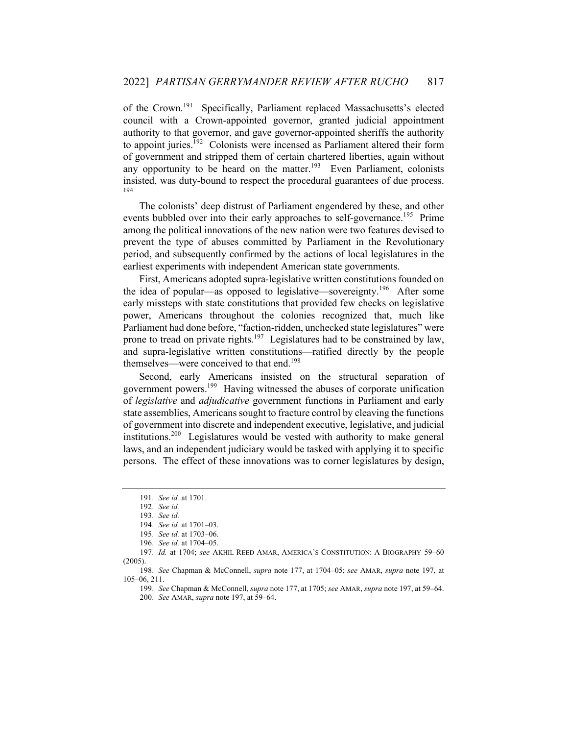of the Crown.<sup>191</sup> Specifically, Parliament replaced Massachusetts's elected council with a Crown-appointed governor, granted judicial appointment authority to that governor, and gave governor-appointed sheriffs the authority to appoint juries.<sup>192</sup> Colonists were incensed as Parliament altered their form of government and stripped them of certain chartered liberties, again without any opportunity to be heard on the matter.<sup>193</sup> Even Parliament, colonists insisted, was duty-bound to respect the procedural guarantees of due process. 194

The colonists' deep distrust of Parliament engendered by these, and other events bubbled over into their early approaches to self-governance.<sup>195</sup> Prime among the political innovations of the new nation were two features devised to prevent the type of abuses committed by Parliament in the Revolutionary period, and subsequently confirmed by the actions of local legislatures in the earliest experiments with independent American state governments.

First, Americans adopted supra-legislative written constitutions founded on the idea of popular—as opposed to legislative—sovereignty.<sup>196</sup> After some early missteps with state constitutions that provided few checks on legislative power, Americans throughout the colonies recognized that, much like Parliament had done before, "faction-ridden, unchecked state legislatures" were prone to tread on private rights.<sup>197</sup> Legislatures had to be constrained by law, and supra-legislative written constitutions—ratified directly by the people themselves—were conceived to that end.<sup>198</sup>

Second, early Americans insisted on the structural separation of government powers.199 Having witnessed the abuses of corporate unification of *legislative* and *adjudicative* government functions in Parliament and early state assemblies, Americans sought to fracture control by cleaving the functions of government into discrete and independent executive, legislative, and judicial institutions.<sup>200</sup> Legislatures would be vested with authority to make general laws, and an independent judiciary would be tasked with applying it to specific persons. The effect of these innovations was to corner legislatures by design,

<sup>191.</sup> *See id.* at 1701.

<sup>192.</sup> *See id.*

<sup>193.</sup> *See id.*

<sup>194.</sup> *See id.* at 1701–03.

<sup>195.</sup> *See id.* at 1703–06.

<sup>196.</sup> *See id.* at 1704–05.

<sup>197.</sup> *Id.* at 1704; *see* AKHIL REED AMAR, AMERICA'S CONSTITUTION: A BIOGRAPHY 59–60 (2005).

<sup>198.</sup> *See* Chapman & McConnell, *supra* note 177, at 1704–05; *see* AMAR, *supra* note 197, at 105–06, 211.

<sup>199.</sup> *See* Chapman & McConnell, *supra* note 177, at 1705; *see* AMAR, *supra* note 197, at 59–64. 200. *See* AMAR, *supra* note 197, at 59–64.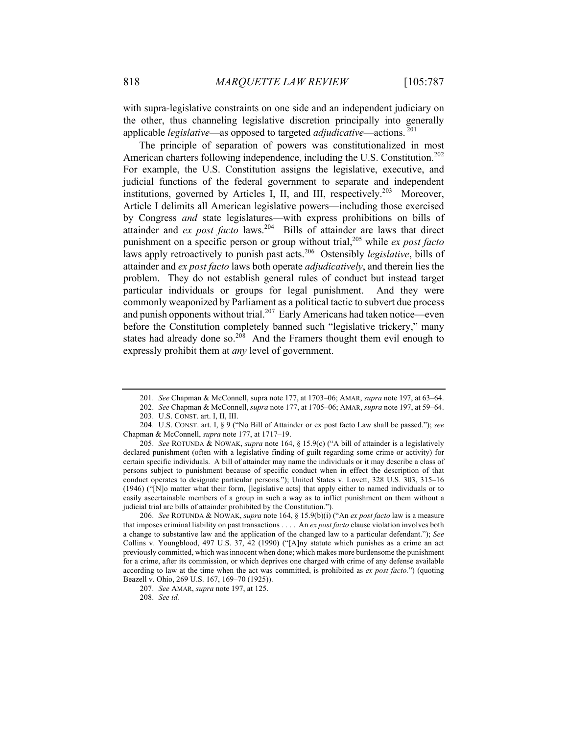with supra-legislative constraints on one side and an independent judiciary on the other, thus channeling legislative discretion principally into generally applicable *legislative*—as opposed to targeted *adjudicative*—actions.<sup>201</sup>

The principle of separation of powers was constitutionalized in most American charters following independence, including the U.S. Constitution.<sup>202</sup> For example, the U.S. Constitution assigns the legislative, executive, and judicial functions of the federal government to separate and independent institutions, governed by Articles I, II, and III, respectively.<sup>203</sup> Moreover, Article I delimits all American legislative powers—including those exercised by Congress *and* state legislatures—with express prohibitions on bills of attainder and *ex post facto* laws.<sup>204</sup> Bills of attainder are laws that direct punishment on a specific person or group without trial,205 while *ex post facto* laws apply retroactively to punish past acts.<sup>206</sup> Ostensibly *legislative*, bills of attainder and *ex post facto* laws both operate *adjudicatively*, and therein lies the problem. They do not establish general rules of conduct but instead target particular individuals or groups for legal punishment. And they were commonly weaponized by Parliament as a political tactic to subvert due process and punish opponents without trial.<sup>207</sup> Early Americans had taken notice—even before the Constitution completely banned such "legislative trickery," many states had already done so.<sup>208</sup> And the Framers thought them evil enough to expressly prohibit them at *any* level of government.

206. *See* ROTUNDA & NOWAK, *supra* note 164, § 15.9(b)(i) ("An *ex post facto* law is a measure that imposes criminal liability on past transactions . . . . An *ex post facto* clause violation involves both a change to substantive law and the application of the changed law to a particular defendant."); *See*  Collins v. Youngblood, 497 U.S. 37, 42 (1990) ("[A]ny statute which punishes as a crime an act previously committed, which was innocent when done; which makes more burdensome the punishment for a crime, after its commission, or which deprives one charged with crime of any defense available according to law at the time when the act was committed, is prohibited as *ex post facto.*") (quoting Beazell v. Ohio, 269 U.S. 167, 169–70 (1925)).

<sup>201.</sup> *See* Chapman & McConnell, supra note 177, at 1703–06; AMAR, *supra* note 197, at 63–64.

<sup>202.</sup> *See* Chapman & McConnell, *supra* note 177, at 1705–06; AMAR, *supra* note 197, at 59–64. 203. U.S. CONST. art. I, II, III.

<sup>204.</sup> U.S. CONST. art. I, § 9 ("No Bill of Attainder or ex post facto Law shall be passed."); *see*  Chapman & McConnell, *supra* note 177, at 1717–19.

<sup>205.</sup> *See* ROTUNDA & NOWAK, *supra* note 164, § 15.9(c) ("A bill of attainder is a legislatively declared punishment (often with a legislative finding of guilt regarding some crime or activity) for certain specific individuals. A bill of attainder may name the individuals or it may describe a class of persons subject to punishment because of specific conduct when in effect the description of that conduct operates to designate particular persons."); United States v. Lovett, 328 U.S. 303, 315–16 (1946) ("[N]o matter what their form, [legislative acts] that apply either to named individuals or to easily ascertainable members of a group in such a way as to inflict punishment on them without a judicial trial are bills of attainder prohibited by the Constitution.").

<sup>207.</sup> *See* AMAR, *supra* note 197, at 125.

<sup>208.</sup> *See id.*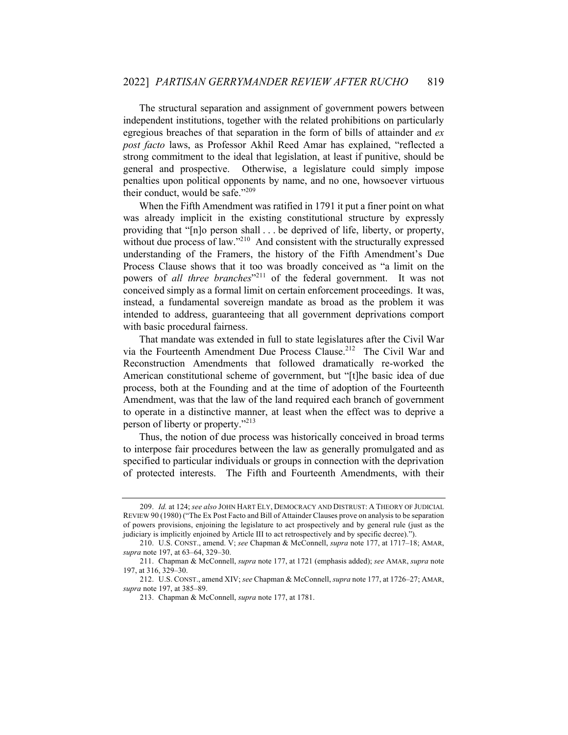The structural separation and assignment of government powers between independent institutions, together with the related prohibitions on particularly egregious breaches of that separation in the form of bills of attainder and *ex post facto* laws, as Professor Akhil Reed Amar has explained, "reflected a strong commitment to the ideal that legislation, at least if punitive, should be general and prospective. Otherwise, a legislature could simply impose penalties upon political opponents by name, and no one, howsoever virtuous their conduct, would be safe."<sup>209</sup>

When the Fifth Amendment was ratified in 1791 it put a finer point on what was already implicit in the existing constitutional structure by expressly providing that "[n]o person shall . . . be deprived of life, liberty, or property, without due process of law."<sup>210</sup> And consistent with the structurally expressed understanding of the Framers, the history of the Fifth Amendment's Due Process Clause shows that it too was broadly conceived as "a limit on the powers of *all three branches*<sup>"211</sup> of the federal government. It was not conceived simply as a formal limit on certain enforcement proceedings. It was, instead, a fundamental sovereign mandate as broad as the problem it was intended to address, guaranteeing that all government deprivations comport with basic procedural fairness.

That mandate was extended in full to state legislatures after the Civil War via the Fourteenth Amendment Due Process Clause.<sup>212</sup> The Civil War and Reconstruction Amendments that followed dramatically re-worked the American constitutional scheme of government, but "[t]he basic idea of due process, both at the Founding and at the time of adoption of the Fourteenth Amendment, was that the law of the land required each branch of government to operate in a distinctive manner, at least when the effect was to deprive a person of liberty or property."<sup>213</sup>

Thus, the notion of due process was historically conceived in broad terms to interpose fair procedures between the law as generally promulgated and as specified to particular individuals or groups in connection with the deprivation of protected interests. The Fifth and Fourteenth Amendments, with their

<sup>209.</sup> *Id.* at 124; *see also* JOHN HART ELY, DEMOCRACY AND DISTRUST: A THEORY OF JUDICIAL REVIEW 90 (1980) ("The Ex Post Facto and Bill of Attainder Clauses prove on analysis to be separation of powers provisions, enjoining the legislature to act prospectively and by general rule (just as the judiciary is implicitly enjoined by Article III to act retrospectively and by specific decree).").

<sup>210.</sup> U.S. CONST., amend. V; *see* Chapman & McConnell, *supra* note 177, at 1717–18; AMAR, *supra* note 197, at 63–64, 329–30.

<sup>211.</sup> Chapman & McConnell, *supra* note 177, at 1721 (emphasis added); *see* AMAR, *supra* note 197, at 316, 329–30.

<sup>212.</sup> U.S. CONST., amend XIV; *see* Chapman & McConnell, *supra* note 177, at 1726–27; AMAR, *supra* note 197, at 385–89.

<sup>213.</sup> Chapman & McConnell, *supra* note 177, at 1781.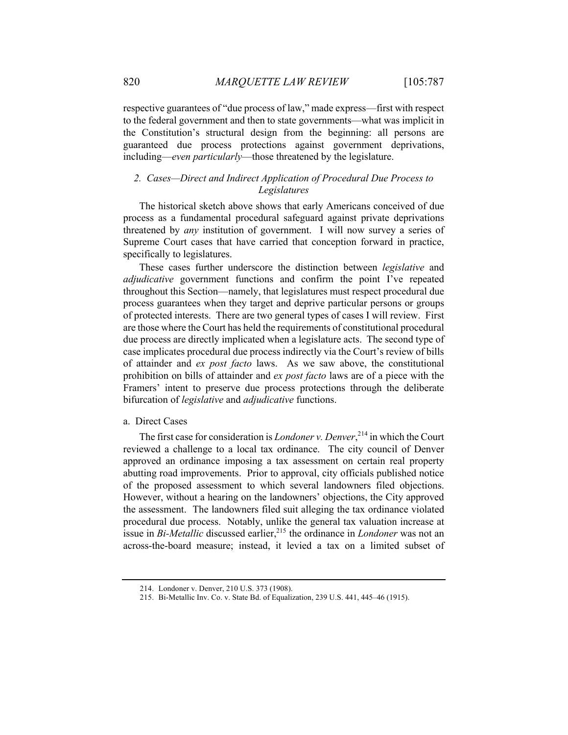respective guarantees of "due process of law," made express—first with respect to the federal government and then to state governments—what was implicit in the Constitution's structural design from the beginning: all persons are guaranteed due process protections against government deprivations, including—*even particularly*—those threatened by the legislature.

# *2. Cases—Direct and Indirect Application of Procedural Due Process to Legislatures*

The historical sketch above shows that early Americans conceived of due process as a fundamental procedural safeguard against private deprivations threatened by *any* institution of government. I will now survey a series of Supreme Court cases that have carried that conception forward in practice, specifically to legislatures.

These cases further underscore the distinction between *legislative* and *adjudicative* government functions and confirm the point I've repeated throughout this Section—namely, that legislatures must respect procedural due process guarantees when they target and deprive particular persons or groups of protected interests. There are two general types of cases I will review. First are those where the Court has held the requirements of constitutional procedural due process are directly implicated when a legislature acts. The second type of case implicates procedural due process indirectly via the Court's review of bills of attainder and *ex post facto* laws. As we saw above, the constitutional prohibition on bills of attainder and *ex post facto* laws are of a piece with the Framers' intent to preserve due process protections through the deliberate bifurcation of *legislative* and *adjudicative* functions.

#### a. Direct Cases

The first case for consideration is *Londoner v. Denver*, <sup>214</sup> in which the Court reviewed a challenge to a local tax ordinance. The city council of Denver approved an ordinance imposing a tax assessment on certain real property abutting road improvements. Prior to approval, city officials published notice of the proposed assessment to which several landowners filed objections. However, without a hearing on the landowners' objections, the City approved the assessment. The landowners filed suit alleging the tax ordinance violated procedural due process. Notably, unlike the general tax valuation increase at issue in *Bi-Metallic* discussed earlier,<sup>215</sup> the ordinance in *Londoner* was not an across-the-board measure; instead, it levied a tax on a limited subset of

<sup>214.</sup> Londoner v. Denver, 210 U.S. 373 (1908).

<sup>215.</sup> Bi-Metallic Inv. Co. v. State Bd. of Equalization, 239 U.S. 441, 445–46 (1915).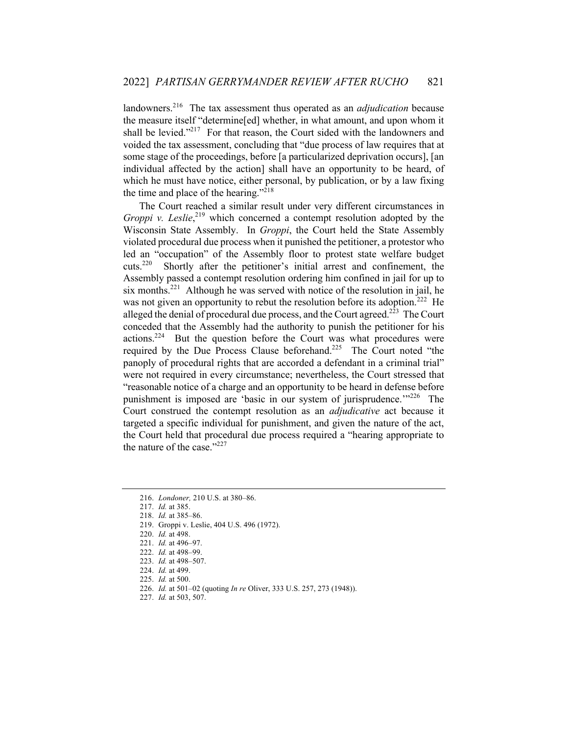landowners.<sup>216</sup> The tax assessment thus operated as an *adjudication* because the measure itself "determine[ed] whether, in what amount, and upon whom it shall be levied."<sup>217</sup> For that reason, the Court sided with the landowners and voided the tax assessment, concluding that "due process of law requires that at some stage of the proceedings, before [a particularized deprivation occurs], [an individual affected by the action] shall have an opportunity to be heard, of which he must have notice, either personal, by publication, or by a law fixing the time and place of the hearing."<sup>218</sup>

The Court reached a similar result under very different circumstances in *Groppi v. Leslie*<sup>219</sup> which concerned a contempt resolution adopted by the Wisconsin State Assembly. In *Groppi*, the Court held the State Assembly violated procedural due process when it punished the petitioner, a protestor who led an "occupation" of the Assembly floor to protest state welfare budget cuts.220 Shortly after the petitioner's initial arrest and confinement, the Assembly passed a contempt resolution ordering him confined in jail for up to six months.<sup>221</sup> Although he was served with notice of the resolution in jail, he was not given an opportunity to rebut the resolution before its adoption.<sup>222</sup> He alleged the denial of procedural due process, and the Court agreed.<sup>223</sup> The Court conceded that the Assembly had the authority to punish the petitioner for his actions.<sup>224</sup> But the question before the Court was what procedures were required by the Due Process Clause beforehand.<sup>225</sup> The Court noted "the panoply of procedural rights that are accorded a defendant in a criminal trial" were not required in every circumstance; nevertheless, the Court stressed that "reasonable notice of a charge and an opportunity to be heard in defense before punishment is imposed are 'basic in our system of jurisprudence.'"<sup>226</sup> The Court construed the contempt resolution as an *adjudicative* act because it targeted a specific individual for punishment, and given the nature of the act, the Court held that procedural due process required a "hearing appropriate to the nature of the case." $227$ 

<sup>216.</sup> *Londoner,* 210 U.S. at 380–86.

<sup>217.</sup> *Id.* at 385.

<sup>218.</sup> *Id.* at 385–86.

<sup>219.</sup> Groppi v. Leslie, 404 U.S. 496 (1972).

<sup>220.</sup> *Id.* at 498.

<sup>221.</sup> *Id.* at 496–97.

<sup>222.</sup> *Id.* at 498–99.

<sup>223.</sup> *Id.* at 498–507.

<sup>224.</sup> *Id.* at 499.

<sup>225.</sup> *Id.* at 500.

<sup>226.</sup> *Id.* at 501–02 (quoting *In re* Oliver, 333 U.S. 257, 273 (1948)).

<sup>227.</sup> *Id.* at 503, 507.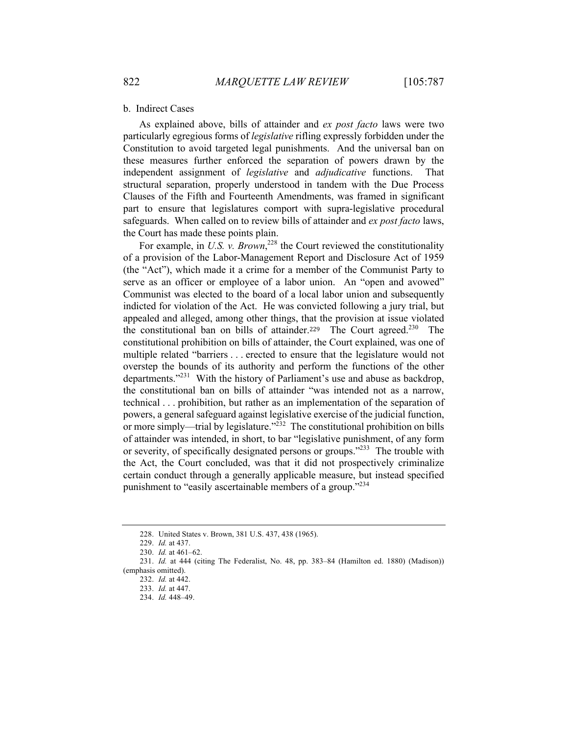#### b. Indirect Cases

As explained above, bills of attainder and *ex post facto* laws were two particularly egregious forms of *legislative* rifling expressly forbidden under the Constitution to avoid targeted legal punishments. And the universal ban on these measures further enforced the separation of powers drawn by the independent assignment of *legislative* and *adjudicative* functions. That structural separation, properly understood in tandem with the Due Process Clauses of the Fifth and Fourteenth Amendments, was framed in significant part to ensure that legislatures comport with supra-legislative procedural safeguards. When called on to review bills of attainder and *ex post facto* laws, the Court has made these points plain.

For example, in *U.S. v. Brown*<sup>228</sup> the Court reviewed the constitutionality of a provision of the Labor-Management Report and Disclosure Act of 1959 (the "Act"), which made it a crime for a member of the Communist Party to serve as an officer or employee of a labor union. An "open and avowed" Communist was elected to the board of a local labor union and subsequently indicted for violation of the Act. He was convicted following a jury trial, but appealed and alleged, among other things, that the provision at issue violated the constitutional ban on bills of attainder.<sup>229</sup> The Court agreed.<sup>230</sup> The constitutional prohibition on bills of attainder, the Court explained, was one of multiple related "barriers . . . erected to ensure that the legislature would not overstep the bounds of its authority and perform the functions of the other departments."<sup>231</sup> With the history of Parliament's use and abuse as backdrop, the constitutional ban on bills of attainder "was intended not as a narrow, technical . . . prohibition, but rather as an implementation of the separation of powers, a general safeguard against legislative exercise of the judicial function, or more simply—trial by legislature."<sup>232</sup> The constitutional prohibition on bills of attainder was intended, in short, to bar "legislative punishment, of any form or severity, of specifically designated persons or groups."<sup>233</sup> The trouble with the Act, the Court concluded, was that it did not prospectively criminalize certain conduct through a generally applicable measure, but instead specified punishment to "easily ascertainable members of a group."<sup>234</sup>

<sup>228.</sup> United States v. Brown, 381 U.S. 437, 438 (1965).

<sup>229.</sup> *Id.* at 437.

<sup>230.</sup> *Id.* at 461–62.

<sup>231.</sup> *Id.* at 444 (citing The Federalist, No. 48, pp. 383–84 (Hamilton ed. 1880) (Madison)) (emphasis omitted).

<sup>232.</sup> *Id.* at 442.

<sup>233.</sup> *Id.* at 447.

<sup>234.</sup> *Id.* 448–49.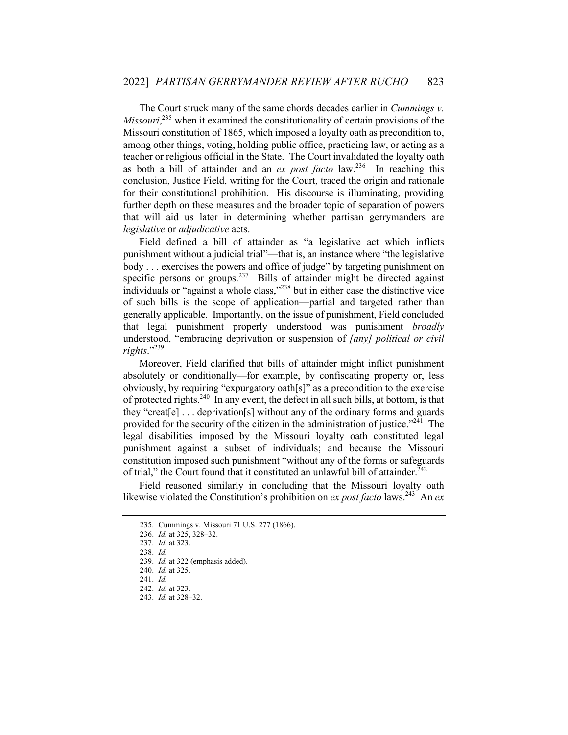The Court struck many of the same chords decades earlier in *Cummings v. Missouri*, <sup>235</sup> when it examined the constitutionality of certain provisions of the Missouri constitution of 1865, which imposed a loyalty oath as precondition to, among other things, voting, holding public office, practicing law, or acting as a teacher or religious official in the State. The Court invalidated the loyalty oath as both a bill of attainder and an *ex post facto* law.236 In reaching this conclusion, Justice Field, writing for the Court, traced the origin and rationale for their constitutional prohibition. His discourse is illuminating, providing further depth on these measures and the broader topic of separation of powers that will aid us later in determining whether partisan gerrymanders are *legislative* or *adjudicative* acts.

Field defined a bill of attainder as "a legislative act which inflicts punishment without a judicial trial"—that is, an instance where "the legislative body . . . exercises the powers and office of judge" by targeting punishment on specific persons or groups.<sup>237</sup> Bills of attainder might be directed against individuals or "against a whole class,"<sup>238</sup> but in either case the distinctive vice of such bills is the scope of application—partial and targeted rather than generally applicable. Importantly, on the issue of punishment, Field concluded that legal punishment properly understood was punishment *broadly* understood, "embracing deprivation or suspension of *[any] political or civil rights*."<sup>239</sup>

Moreover, Field clarified that bills of attainder might inflict punishment absolutely or conditionally—for example, by confiscating property or, less obviously, by requiring "expurgatory oath[s]" as a precondition to the exercise of protected rights.<sup>240</sup> In any event, the defect in all such bills, at bottom, is that they "creat[e] . . . deprivation[s] without any of the ordinary forms and guards provided for the security of the citizen in the administration of justice."<sup>241</sup> The legal disabilities imposed by the Missouri loyalty oath constituted legal punishment against a subset of individuals; and because the Missouri constitution imposed such punishment "without any of the forms or safeguards of trial," the Court found that it constituted an unlawful bill of attainder.<sup>242</sup>

Field reasoned similarly in concluding that the Missouri loyalty oath likewise violated the Constitution's prohibition on *ex post facto* laws.<sup>243</sup> An *ex* 

<sup>235.</sup> Cummings v. Missouri 71 U.S. 277 (1866).

<sup>236.</sup> *Id.* at 325, 328–32.

<sup>237.</sup> *Id.* at 323.

<sup>238.</sup> *Id.*

<sup>239.</sup> *Id.* at 322 (emphasis added).

<sup>240.</sup> *Id.* at 325.

<sup>241.</sup> *Id.*

<sup>242.</sup> *Id.* at 323. 243. *Id.* at 328–32.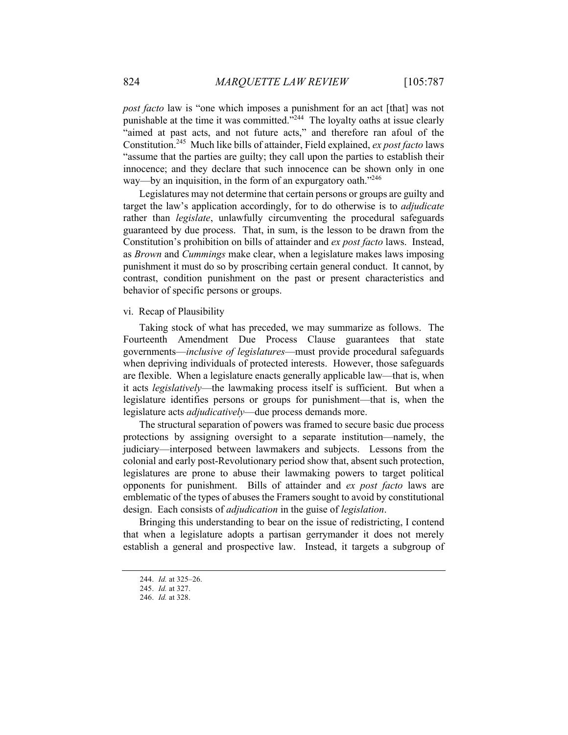*post facto* law is "one which imposes a punishment for an act [that] was not punishable at the time it was committed."<sup>244</sup> The loyalty oaths at issue clearly "aimed at past acts, and not future acts," and therefore ran afoul of the Constitution.245 Much like bills of attainder, Field explained, *ex post facto* laws "assume that the parties are guilty; they call upon the parties to establish their innocence; and they declare that such innocence can be shown only in one way—by an inquisition, in the form of an expurgatory oath."<sup>246</sup>

Legislatures may not determine that certain persons or groups are guilty and target the law's application accordingly, for to do otherwise is to *adjudicate* rather than *legislate*, unlawfully circumventing the procedural safeguards guaranteed by due process. That, in sum, is the lesson to be drawn from the Constitution's prohibition on bills of attainder and *ex post facto* laws. Instead, as *Brown* and *Cummings* make clear, when a legislature makes laws imposing punishment it must do so by proscribing certain general conduct. It cannot, by contrast, condition punishment on the past or present characteristics and behavior of specific persons or groups.

# vi. Recap of Plausibility

Taking stock of what has preceded, we may summarize as follows. The Fourteenth Amendment Due Process Clause guarantees that state governments—*inclusive of legislatures*—must provide procedural safeguards when depriving individuals of protected interests. However, those safeguards are flexible. When a legislature enacts generally applicable law—that is, when it acts *legislatively*—the lawmaking process itself is sufficient. But when a legislature identifies persons or groups for punishment—that is, when the legislature acts *adjudicatively*—due process demands more.

The structural separation of powers was framed to secure basic due process protections by assigning oversight to a separate institution—namely, the judiciary—interposed between lawmakers and subjects. Lessons from the colonial and early post-Revolutionary period show that, absent such protection, legislatures are prone to abuse their lawmaking powers to target political opponents for punishment. Bills of attainder and *ex post facto* laws are emblematic of the types of abuses the Framers sought to avoid by constitutional design. Each consists of *adjudication* in the guise of *legislation*.

Bringing this understanding to bear on the issue of redistricting, I contend that when a legislature adopts a partisan gerrymander it does not merely establish a general and prospective law. Instead, it targets a subgroup of

<sup>244.</sup> *Id.* at 325–26.

<sup>245.</sup> *Id.* at 327.

<sup>246.</sup> *Id.* at 328.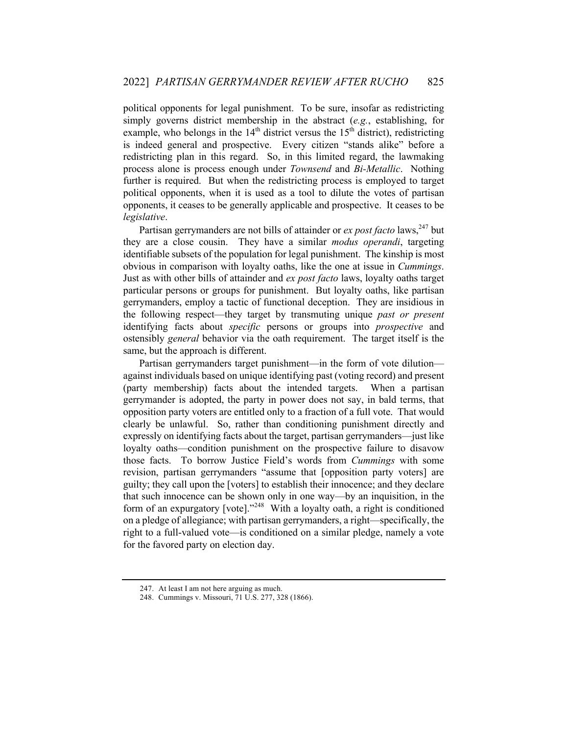political opponents for legal punishment. To be sure, insofar as redistricting simply governs district membership in the abstract (*e.g.*, establishing, for example, who belongs in the  $14<sup>th</sup>$  district versus the  $15<sup>th</sup>$  district), redistricting is indeed general and prospective. Every citizen "stands alike" before a redistricting plan in this regard. So, in this limited regard, the lawmaking process alone is process enough under *Townsend* and *Bi-Metallic*. Nothing further is required. But when the redistricting process is employed to target political opponents, when it is used as a tool to dilute the votes of partisan opponents, it ceases to be generally applicable and prospective. It ceases to be *legislative*.

Partisan gerrymanders are not bills of attainder or *ex post facto* laws,<sup>247</sup> but they are a close cousin. They have a similar *modus operandi*, targeting identifiable subsets of the population for legal punishment. The kinship is most obvious in comparison with loyalty oaths, like the one at issue in *Cummings*. Just as with other bills of attainder and *ex post facto* laws, loyalty oaths target particular persons or groups for punishment. But loyalty oaths, like partisan gerrymanders, employ a tactic of functional deception. They are insidious in the following respect—they target by transmuting unique *past or present* identifying facts about *specific* persons or groups into *prospective* and ostensibly *general* behavior via the oath requirement. The target itself is the same, but the approach is different.

Partisan gerrymanders target punishment—in the form of vote dilution against individuals based on unique identifying past (voting record) and present (party membership) facts about the intended targets. When a partisan gerrymander is adopted, the party in power does not say, in bald terms, that opposition party voters are entitled only to a fraction of a full vote. That would clearly be unlawful. So, rather than conditioning punishment directly and expressly on identifying facts about the target, partisan gerrymanders—just like loyalty oaths—condition punishment on the prospective failure to disavow those facts. To borrow Justice Field's words from *Cummings* with some revision, partisan gerrymanders "assume that [opposition party voters] are guilty; they call upon the [voters] to establish their innocence; and they declare that such innocence can be shown only in one way—by an inquisition, in the form of an expurgatory [vote]."<sup>248</sup> With a loyalty oath, a right is conditioned on a pledge of allegiance; with partisan gerrymanders, a right—specifically, the right to a full-valued vote—is conditioned on a similar pledge, namely a vote for the favored party on election day.

<sup>247.</sup> At least I am not here arguing as much.

<sup>248.</sup> Cummings v. Missouri, 71 U.S. 277, 328 (1866).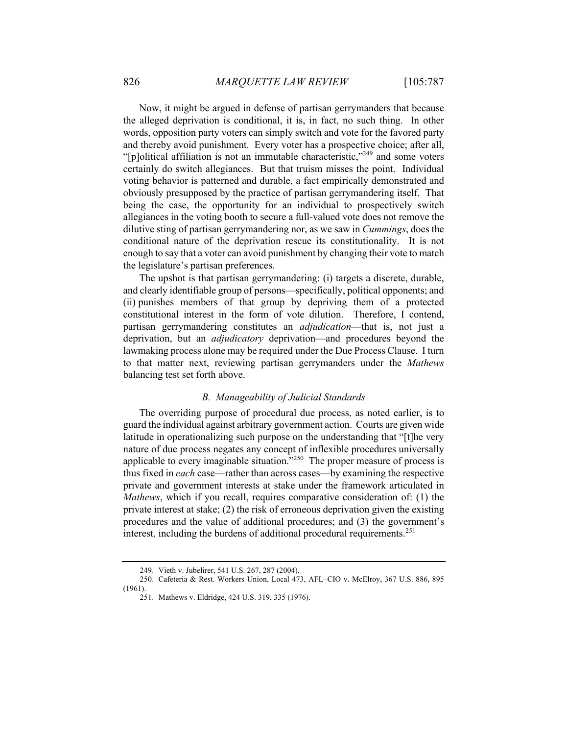Now, it might be argued in defense of partisan gerrymanders that because the alleged deprivation is conditional, it is, in fact, no such thing. In other words, opposition party voters can simply switch and vote for the favored party and thereby avoid punishment. Every voter has a prospective choice; after all, "[p]olitical affiliation is not an immutable characteristic,"<sup>249</sup> and some voters certainly do switch allegiances. But that truism misses the point. Individual voting behavior is patterned and durable, a fact empirically demonstrated and obviously presupposed by the practice of partisan gerrymandering itself. That being the case, the opportunity for an individual to prospectively switch allegiances in the voting booth to secure a full-valued vote does not remove the dilutive sting of partisan gerrymandering nor, as we saw in *Cummings*, does the conditional nature of the deprivation rescue its constitutionality. It is not enough to say that a voter can avoid punishment by changing their vote to match the legislature's partisan preferences.

The upshot is that partisan gerrymandering: (i) targets a discrete, durable, and clearly identifiable group of persons—specifically, political opponents; and (ii) punishes members of that group by depriving them of a protected constitutional interest in the form of vote dilution. Therefore, I contend, partisan gerrymandering constitutes an *adjudication*—that is, not just a deprivation, but an *adjudicatory* deprivation—and procedures beyond the lawmaking process alone may be required under the Due Process Clause. I turn to that matter next, reviewing partisan gerrymanders under the *Mathews* balancing test set forth above.

#### *B. Manageability of Judicial Standards*

The overriding purpose of procedural due process, as noted earlier, is to guard the individual against arbitrary government action. Courts are given wide latitude in operationalizing such purpose on the understanding that "[t]he very nature of due process negates any concept of inflexible procedures universally applicable to every imaginable situation. $\frac{1}{250}$  The proper measure of process is thus fixed in *each* case—rather than across cases—by examining the respective private and government interests at stake under the framework articulated in *Mathews*, which if you recall, requires comparative consideration of: (1) the private interest at stake; (2) the risk of erroneous deprivation given the existing procedures and the value of additional procedures; and (3) the government's interest, including the burdens of additional procedural requirements.<sup>251</sup>

<sup>249.</sup> Vieth v. Jubelirer, 541 U.S. 267, 287 (2004).

<sup>250.</sup> Cafeteria & Rest. Workers Union, Local 473, AFL–CIO v. McElroy, 367 U.S. 886, 895 (1961).

<sup>251.</sup> Mathews v. Eldridge, 424 U.S. 319, 335 (1976).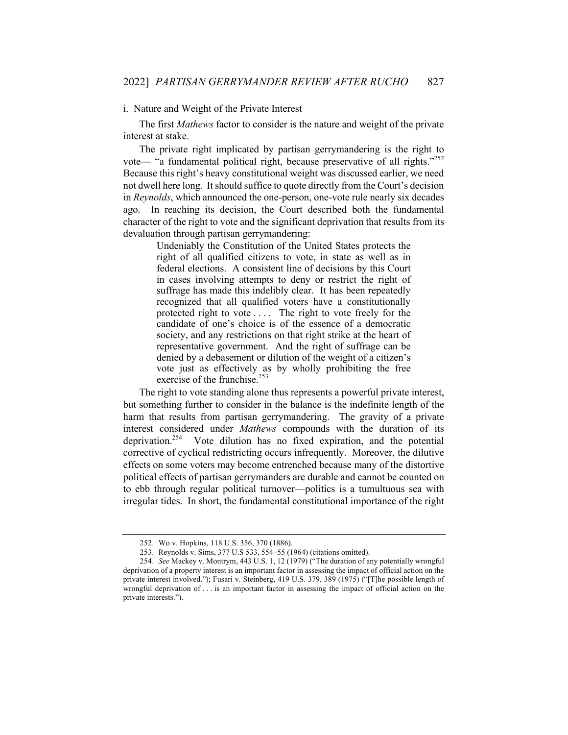#### i. Nature and Weight of the Private Interest

The first *Mathews* factor to consider is the nature and weight of the private interest at stake.

The private right implicated by partisan gerrymandering is the right to vote— "a fundamental political right, because preservative of all rights." $252$ Because this right's heavy constitutional weight was discussed earlier, we need not dwell here long. It should suffice to quote directly from the Court's decision in *Reynolds*, which announced the one-person, one-vote rule nearly six decades ago. In reaching its decision, the Court described both the fundamental character of the right to vote and the significant deprivation that results from its devaluation through partisan gerrymandering:

> Undeniably the Constitution of the United States protects the right of all qualified citizens to vote, in state as well as in federal elections. A consistent line of decisions by this Court in cases involving attempts to deny or restrict the right of suffrage has made this indelibly clear. It has been repeatedly recognized that all qualified voters have a constitutionally protected right to vote . . . . The right to vote freely for the candidate of one's choice is of the essence of a democratic society, and any restrictions on that right strike at the heart of representative government. And the right of suffrage can be denied by a debasement or dilution of the weight of a citizen's vote just as effectively as by wholly prohibiting the free exercise of the franchise.<sup>253</sup>

The right to vote standing alone thus represents a powerful private interest, but something further to consider in the balance is the indefinite length of the harm that results from partisan gerrymandering. The gravity of a private interest considered under *Mathews* compounds with the duration of its deprivation.<sup>254</sup> Vote dilution has no fixed expiration, and the potential corrective of cyclical redistricting occurs infrequently. Moreover, the dilutive effects on some voters may become entrenched because many of the distortive political effects of partisan gerrymanders are durable and cannot be counted on to ebb through regular political turnover—politics is a tumultuous sea with irregular tides. In short, the fundamental constitutional importance of the right

<sup>252.</sup> Wo v. Hopkins, 118 U.S. 356, 370 (1886).

<sup>253.</sup> Reynolds v. Sims, 377 U.S 533, 554–55 (1964) (citations omitted).

<sup>254.</sup> *See* Mackey v. Montrym, 443 U.S. 1, 12 (1979) ("The duration of any potentially wrongful deprivation of a property interest is an important factor in assessing the impact of official action on the private interest involved."); Fusari v. Steinberg, 419 U.S. 379, 389 (1975) ("[T]he possible length of wrongful deprivation of . . . is an important factor in assessing the impact of official action on the private interests.").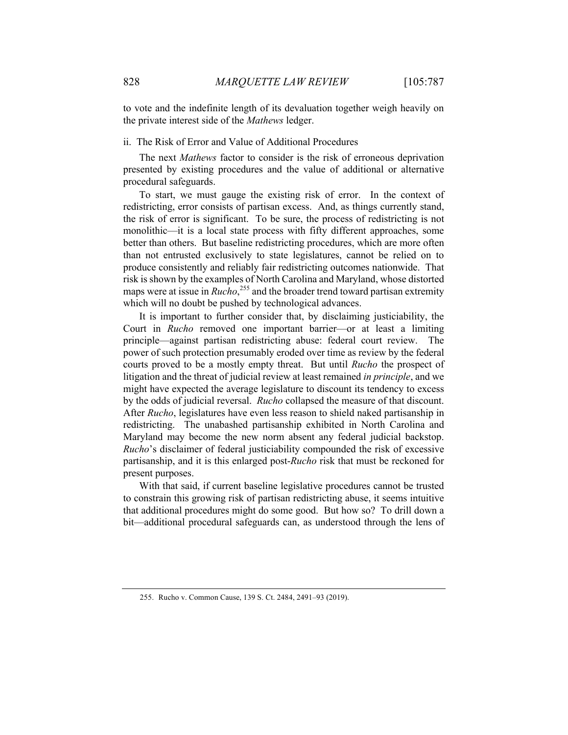to vote and the indefinite length of its devaluation together weigh heavily on the private interest side of the *Mathews* ledger.

#### ii. The Risk of Error and Value of Additional Procedures

The next *Mathews* factor to consider is the risk of erroneous deprivation presented by existing procedures and the value of additional or alternative procedural safeguards.

To start, we must gauge the existing risk of error. In the context of redistricting, error consists of partisan excess. And, as things currently stand, the risk of error is significant. To be sure, the process of redistricting is not monolithic—it is a local state process with fifty different approaches, some better than others. But baseline redistricting procedures, which are more often than not entrusted exclusively to state legislatures, cannot be relied on to produce consistently and reliably fair redistricting outcomes nationwide. That risk is shown by the examples of North Carolina and Maryland, whose distorted maps were at issue in *Rucho*, <sup>255</sup> and the broader trend toward partisan extremity which will no doubt be pushed by technological advances.

It is important to further consider that, by disclaiming justiciability, the Court in *Rucho* removed one important barrier—or at least a limiting principle—against partisan redistricting abuse: federal court review. The power of such protection presumably eroded over time as review by the federal courts proved to be a mostly empty threat. But until *Rucho* the prospect of litigation and the threat of judicial review at least remained *in principle*, and we might have expected the average legislature to discount its tendency to excess by the odds of judicial reversal. *Rucho* collapsed the measure of that discount. After *Rucho*, legislatures have even less reason to shield naked partisanship in redistricting. The unabashed partisanship exhibited in North Carolina and Maryland may become the new norm absent any federal judicial backstop. *Rucho*'s disclaimer of federal justiciability compounded the risk of excessive partisanship, and it is this enlarged post-*Rucho* risk that must be reckoned for present purposes.

With that said, if current baseline legislative procedures cannot be trusted to constrain this growing risk of partisan redistricting abuse, it seems intuitive that additional procedures might do some good. But how so? To drill down a bit—additional procedural safeguards can, as understood through the lens of

<sup>255.</sup> Rucho v. Common Cause, 139 S. Ct. 2484, 2491–93 (2019).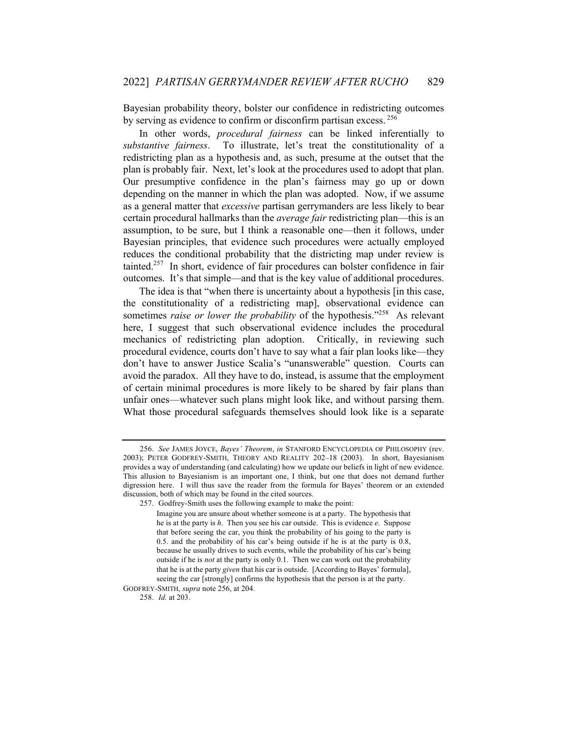Bayesian probability theory, bolster our confidence in redistricting outcomes by serving as evidence to confirm or disconfirm partisan excess. <sup>256</sup>

In other words, *procedural fairness* can be linked inferentially to *substantive fairness*. To illustrate, let's treat the constitutionality of a redistricting plan as a hypothesis and, as such, presume at the outset that the plan is probably fair. Next, let's look at the procedures used to adopt that plan. Our presumptive confidence in the plan's fairness may go up or down depending on the manner in which the plan was adopted. Now, if we assume as a general matter that *excessive* partisan gerrymanders are less likely to bear certain procedural hallmarks than the *average fair* redistricting plan—this is an assumption, to be sure, but I think a reasonable one—then it follows, under Bayesian principles, that evidence such procedures were actually employed reduces the conditional probability that the districting map under review is tainted.<sup>257</sup> In short, evidence of fair procedures can bolster confidence in fair outcomes. It's that simple—and that is the key value of additional procedures.

The idea is that "when there is uncertainty about a hypothesis [in this case, the constitutionality of a redistricting map], observational evidence can sometimes *raise* or lower the probability of the hypothesis."<sup>258</sup> As relevant here, I suggest that such observational evidence includes the procedural mechanics of redistricting plan adoption. Critically, in reviewing such procedural evidence, courts don't have to say what a fair plan looks like—they don't have to answer Justice Scalia's "unanswerable" question. Courts can avoid the paradox. All they have to do, instead, is assume that the employment of certain minimal procedures is more likely to be shared by fair plans than unfair ones—whatever such plans might look like, and without parsing them. What those procedural safeguards themselves should look like is a separate

<sup>256.</sup> *See* JAMES JOYCE, *Bayes' Theorem*, *in* STANFORD ENCYCLOPEDIA OF PHILOSOPHY (rev. 2003); PETER GODFREY-SMITH, THEORY AND REALITY 202–18 (2003). In short, Bayesianism provides a way of understanding (and calculating) how we update our beliefs in light of new evidence. This allusion to Bayesianism is an important one, I think, but one that does not demand further digression here. I will thus save the reader from the formula for Bayes' theorem or an extended discussion, both of which may be found in the cited sources.

<sup>257.</sup> Godfrey-Smith uses the following example to make the point:

Imagine you are unsure about whether someone is at a party. The hypothesis that he is at the party is *h*. Then you see his car outside. This is evidence *e*. Suppose that before seeing the car, you think the probability of his going to the party is 0.5. and the probability of his car's being outside if he is at the party is 0.8, because he usually drives to such events, while the probability of his car's being outside if he is *not* at the party is only 0.1. Then we can work out the probability that he is at the party *given* that his car is outside. [According to Bayes' formula], seeing the car [strongly] confirms the hypothesis that the person is at the party. GODFREY-SMITH, *supra* note 256, at 204.

<sup>258.</sup> *Id.* at 203.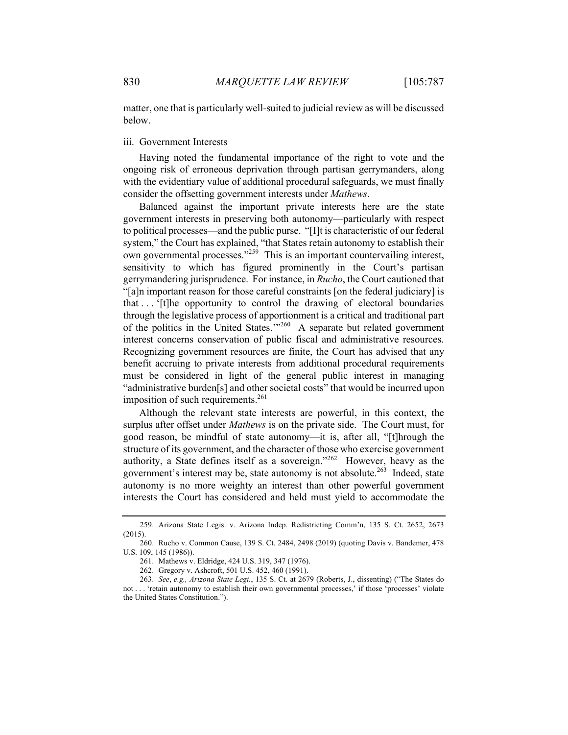matter, one that is particularly well-suited to judicial review as will be discussed below.

# iii. Government Interests

Having noted the fundamental importance of the right to vote and the ongoing risk of erroneous deprivation through partisan gerrymanders, along with the evidentiary value of additional procedural safeguards, we must finally consider the offsetting government interests under *Mathews*.

Balanced against the important private interests here are the state government interests in preserving both autonomy—particularly with respect to political processes—and the public purse. "[I]t is characteristic of our federal system," the Court has explained, "that States retain autonomy to establish their own governmental processes."<sup>259</sup> This is an important countervailing interest, sensitivity to which has figured prominently in the Court's partisan gerrymandering jurisprudence. For instance, in *Rucho*, the Court cautioned that "[a]n important reason for those careful constraints [on the federal judiciary] is that . . . '[t]he opportunity to control the drawing of electoral boundaries through the legislative process of apportionment is a critical and traditional part of the politics in the United States.'"<sup>260</sup> A separate but related government interest concerns conservation of public fiscal and administrative resources. Recognizing government resources are finite, the Court has advised that any benefit accruing to private interests from additional procedural requirements must be considered in light of the general public interest in managing "administrative burden[s] and other societal costs" that would be incurred upon imposition of such requirements. $^{261}$ 

Although the relevant state interests are powerful, in this context, the surplus after offset under *Mathews* is on the private side. The Court must, for good reason, be mindful of state autonomy—it is, after all, "[t]hrough the structure of its government, and the character of those who exercise government authority, a State defines itself as a sovereign."<sup>262</sup> However, heavy as the government's interest may be, state autonomy is not absolute.<sup>263</sup> Indeed, state autonomy is no more weighty an interest than other powerful government interests the Court has considered and held must yield to accommodate the

<sup>259.</sup> Arizona State Legis. v. Arizona Indep. Redistricting Comm'n, 135 S. Ct. 2652, 2673 (2015).

<sup>260.</sup> Rucho v. Common Cause, 139 S. Ct. 2484, 2498 (2019) (quoting Davis v. Bandemer, 478 U.S. 109, 145 (1986)).

<sup>261.</sup> Mathews v. Eldridge, 424 U.S. 319, 347 (1976).

<sup>262.</sup> Gregory v. Ashcroft, 501 U.S. 452, 460 (1991).

<sup>263.</sup> *See*, *e.g., Arizona State Legi.*, 135 S. Ct. at 2679 (Roberts, J., dissenting) ("The States do not . . . 'retain autonomy to establish their own governmental processes,' if those 'processes' violate the United States Constitution.").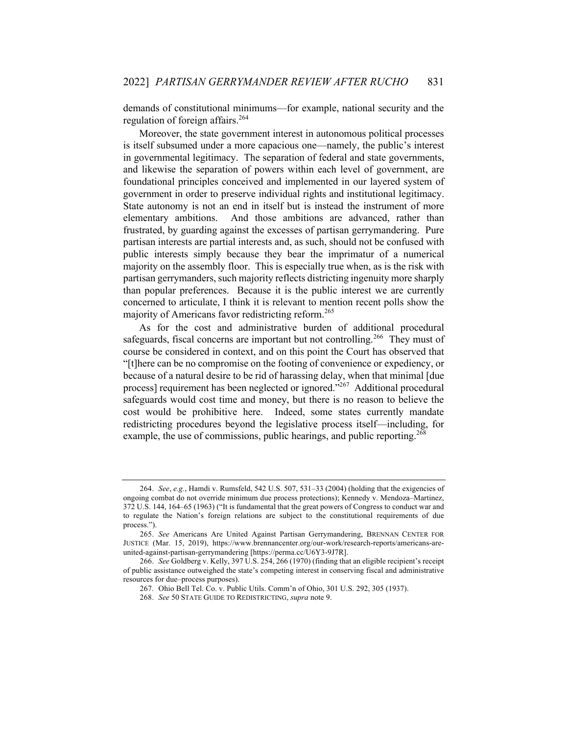demands of constitutional minimums—for example, national security and the regulation of foreign affairs.<sup>264</sup>

Moreover, the state government interest in autonomous political processes is itself subsumed under a more capacious one—namely, the public's interest in governmental legitimacy. The separation of federal and state governments, and likewise the separation of powers within each level of government, are foundational principles conceived and implemented in our layered system of government in order to preserve individual rights and institutional legitimacy. State autonomy is not an end in itself but is instead the instrument of more elementary ambitions. And those ambitions are advanced, rather than frustrated, by guarding against the excesses of partisan gerrymandering. Pure partisan interests are partial interests and, as such, should not be confused with public interests simply because they bear the imprimatur of a numerical majority on the assembly floor. This is especially true when, as is the risk with partisan gerrymanders, such majority reflects districting ingenuity more sharply than popular preferences. Because it is the public interest we are currently concerned to articulate, I think it is relevant to mention recent polls show the majority of Americans favor redistricting reform.<sup>265</sup>

As for the cost and administrative burden of additional procedural safeguards, fiscal concerns are important but not controlling.<sup>266</sup> They must of course be considered in context, and on this point the Court has observed that "[t]here can be no compromise on the footing of convenience or expediency, or because of a natural desire to be rid of harassing delay, when that minimal [due process] requirement has been neglected or ignored."<sup>267</sup> Additional procedural safeguards would cost time and money, but there is no reason to believe the cost would be prohibitive here. Indeed, some states currently mandate redistricting procedures beyond the legislative process itself—including, for example, the use of commissions, public hearings, and public reporting.<sup>268</sup>

<sup>264.</sup> *See*, *e.g.*, Hamdi v. Rumsfeld, 542 U.S. 507, 531–33 (2004) (holding that the exigencies of ongoing combat do not override minimum due process protections); Kennedy v. Mendoza–Martinez, 372 U.S. 144, 164–65 (1963) ("It is fundamental that the great powers of Congress to conduct war and to regulate the Nation's foreign relations are subject to the constitutional requirements of due process.").

<sup>265.</sup> *See* Americans Are United Against Partisan Gerrymandering, BRENNAN CENTER FOR JUSTICE (Mar. 15, 2019), https://www.brennancenter.org/our-work/research-reports/americans-areunited-against-partisan-gerrymandering [https://perma.cc/U6Y3-9J7R].

<sup>266.</sup> *See* Goldberg v. Kelly, 397 U.S. 254, 266 (1970) (finding that an eligible recipient's receipt of public assistance outweighed the state's competing interest in conserving fiscal and administrative resources for due–process purposes).

<sup>267.</sup> Ohio Bell Tel. Co. v. Public Utils. Comm'n of Ohio, 301 U.S. 292, 305 (1937).

<sup>268.</sup> *See* 50 STATE GUIDE TO REDISTRICTING, *supra* note 9.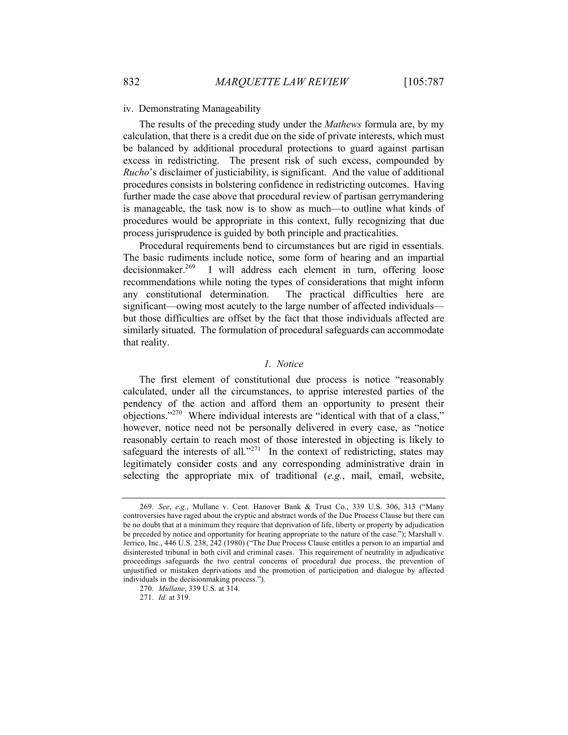#### iv. Demonstrating Manageability

The results of the preceding study under the *Mathews* formula are, by my calculation, that there is a credit due on the side of private interests, which must be balanced by additional procedural protections to guard against partisan excess in redistricting. The present risk of such excess, compounded by *Rucho*'s disclaimer of justiciability, is significant. And the value of additional procedures consists in bolstering confidence in redistricting outcomes. Having further made the case above that procedural review of partisan gerrymandering is manageable, the task now is to show as much—to outline what kinds of procedures would be appropriate in this context, fully recognizing that due process jurisprudence is guided by both principle and practicalities.

Procedural requirements bend to circumstances but are rigid in essentials. The basic rudiments include notice, some form of hearing and an impartial decisionmaker.<sup>269</sup> I will address each element in turn, offering loose recommendations while noting the types of considerations that might inform any constitutional determination. The practical difficulties here are significant—owing most acutely to the large number of affected individuals but those difficulties are offset by the fact that those individuals affected are similarly situated. The formulation of procedural safeguards can accommodate that reality.

# *1. Notice*

The first element of constitutional due process is notice "reasonably calculated, under all the circumstances, to apprise interested parties of the pendency of the action and afford them an opportunity to present their objections."270 Where individual interests are "identical with that of a class," however, notice need not be personally delivered in every case, as "notice reasonably certain to reach most of those interested in objecting is likely to safeguard the interests of all."<sup>271</sup> In the context of redistricting, states may legitimately consider costs and any corresponding administrative drain in selecting the appropriate mix of traditional (*e.g.*, mail, email, website,

<sup>269.</sup> *See*, *e.g.*, Mullane v. Cent. Hanover Bank & Trust Co., 339 U.S. 306, 313 ("Many controversies have raged about the cryptic and abstract words of the Due Process Clause but there can be no doubt that at a minimum they require that deprivation of life, liberty or property by adjudication be preceded by notice and opportunity for hearing appropriate to the nature of the case."); Marshall v. Jerrico, Inc., 446 U.S. 238, 242 (1980) ("The Due Process Clause entitles a person to an impartial and disinterested tribunal in both civil and criminal cases. This requirement of neutrality in adjudicative proceedings safeguards the two central concerns of procedural due process, the prevention of unjustified or mistaken deprivations and the promotion of participation and dialogue by affected individuals in the decisionmaking process.").

<sup>270.</sup> *Mullane*, 339 U.S. at 314.

<sup>271.</sup> *Id.* at 319.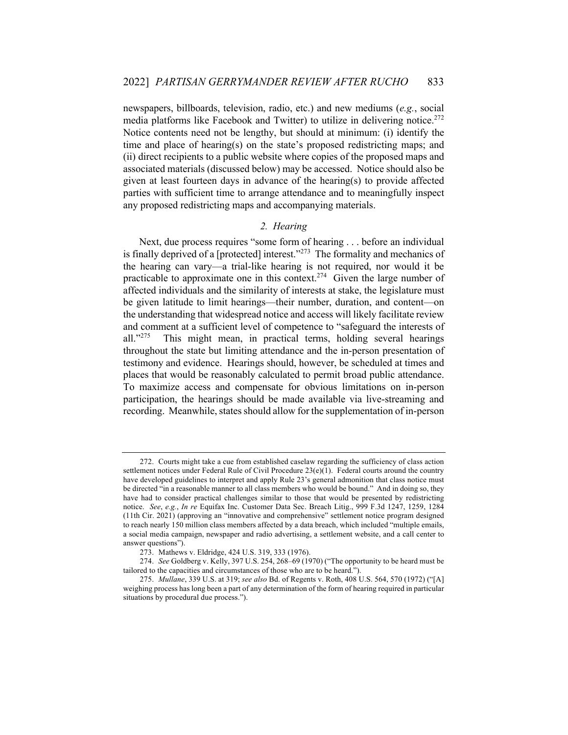newspapers, billboards, television, radio, etc.) and new mediums (*e.g.*, social media platforms like Facebook and Twitter) to utilize in delivering notice.<sup>272</sup> Notice contents need not be lengthy, but should at minimum: (i) identify the time and place of hearing(s) on the state's proposed redistricting maps; and (ii) direct recipients to a public website where copies of the proposed maps and associated materials (discussed below) may be accessed. Notice should also be given at least fourteen days in advance of the hearing(s) to provide affected parties with sufficient time to arrange attendance and to meaningfully inspect any proposed redistricting maps and accompanying materials.

# *2. Hearing*

Next, due process requires "some form of hearing . . . before an individual is finally deprived of a [protected] interest. $1273$  The formality and mechanics of the hearing can vary—a trial-like hearing is not required, nor would it be practicable to approximate one in this context.<sup>274</sup> Given the large number of affected individuals and the similarity of interests at stake, the legislature must be given latitude to limit hearings—their number, duration, and content—on the understanding that widespread notice and access will likely facilitate review and comment at a sufficient level of competence to "safeguard the interests of all."<sup>275</sup> This might mean, in practical terms, holding several hearings This might mean, in practical terms, holding several hearings throughout the state but limiting attendance and the in-person presentation of testimony and evidence. Hearings should, however, be scheduled at times and places that would be reasonably calculated to permit broad public attendance. To maximize access and compensate for obvious limitations on in-person participation, the hearings should be made available via live-streaming and recording. Meanwhile, states should allow for the supplementation of in-person

<sup>272.</sup> Courts might take a cue from established caselaw regarding the sufficiency of class action settlement notices under Federal Rule of Civil Procedure  $23(e)(1)$ . Federal courts around the country have developed guidelines to interpret and apply Rule 23's general admonition that class notice must be directed "in a reasonable manner to all class members who would be bound." And in doing so, they have had to consider practical challenges similar to those that would be presented by redistricting notice. *See*, *e.g.*, *In re* Equifax Inc. Customer Data Sec. Breach Litig., 999 F.3d 1247, 1259, 1284 (11th Cir. 2021) (approving an "innovative and comprehensive" settlement notice program designed to reach nearly 150 million class members affected by a data breach, which included "multiple emails, a social media campaign, newspaper and radio advertising, a settlement website, and a call center to answer questions").

<sup>273.</sup> Mathews v. Eldridge, 424 U.S. 319, 333 (1976).

<sup>274.</sup> *See* Goldberg v. Kelly, 397 U.S. 254, 268–69 (1970) ("The opportunity to be heard must be tailored to the capacities and circumstances of those who are to be heard.").

<sup>275.</sup> *Mullane*, 339 U.S. at 319; *see also* Bd. of Regents v. Roth, 408 U.S. 564, 570 (1972) ("[A] weighing process has long been a part of any determination of the form of hearing required in particular situations by procedural due process.").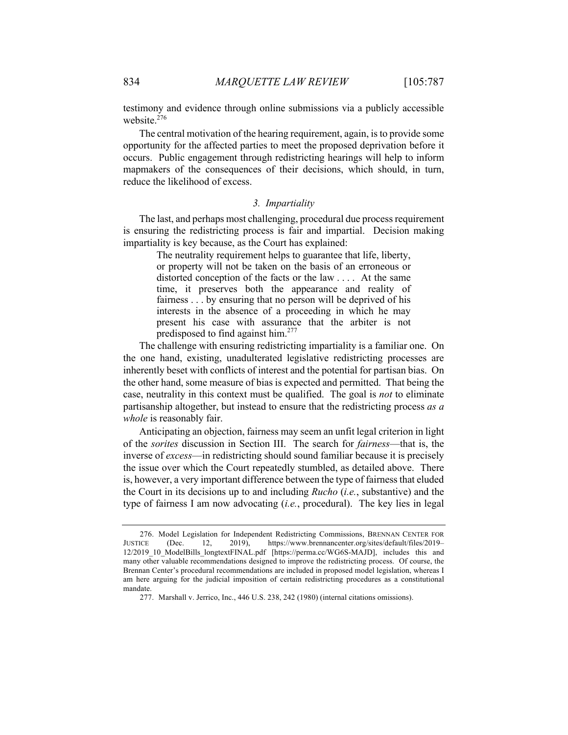testimony and evidence through online submissions via a publicly accessible website.<sup>276</sup>

The central motivation of the hearing requirement, again, is to provide some opportunity for the affected parties to meet the proposed deprivation before it occurs. Public engagement through redistricting hearings will help to inform mapmakers of the consequences of their decisions, which should, in turn, reduce the likelihood of excess.

#### *3. Impartiality*

The last, and perhaps most challenging, procedural due process requirement is ensuring the redistricting process is fair and impartial. Decision making impartiality is key because, as the Court has explained:

> The neutrality requirement helps to guarantee that life, liberty, or property will not be taken on the basis of an erroneous or distorted conception of the facts or the law . . . . At the same time, it preserves both the appearance and reality of fairness . . . by ensuring that no person will be deprived of his interests in the absence of a proceeding in which he may present his case with assurance that the arbiter is not predisposed to find against him.<sup>277</sup>

The challenge with ensuring redistricting impartiality is a familiar one. On the one hand, existing, unadulterated legislative redistricting processes are inherently beset with conflicts of interest and the potential for partisan bias. On the other hand, some measure of bias is expected and permitted. That being the case, neutrality in this context must be qualified. The goal is *not* to eliminate partisanship altogether, but instead to ensure that the redistricting process *as a whole* is reasonably fair.

Anticipating an objection, fairness may seem an unfit legal criterion in light of the *sorites* discussion in Section III. The search for *fairness*—that is, the inverse of *excess*—in redistricting should sound familiar because it is precisely the issue over which the Court repeatedly stumbled, as detailed above. There is, however, a very important difference between the type of fairness that eluded the Court in its decisions up to and including *Rucho* (*i.e.*, substantive) and the type of fairness I am now advocating (*i.e.*, procedural). The key lies in legal

<sup>276.</sup> Model Legislation for Independent Redistricting Commissions, BRENNAN CENTER FOR JUSTICE (Dec. 12, 2019), https://www.brennancenter.org/sites/default/files/2019– 12/2019\_10\_ModelBills\_longtextFINAL.pdf [https://perma.cc/WG6S-MAJD], includes this and many other valuable recommendations designed to improve the redistricting process. Of course, the Brennan Center's procedural recommendations are included in proposed model legislation, whereas I am here arguing for the judicial imposition of certain redistricting procedures as a constitutional mandate.

<sup>277.</sup> Marshall v. Jerrico, Inc., 446 U.S. 238, 242 (1980) (internal citations omissions).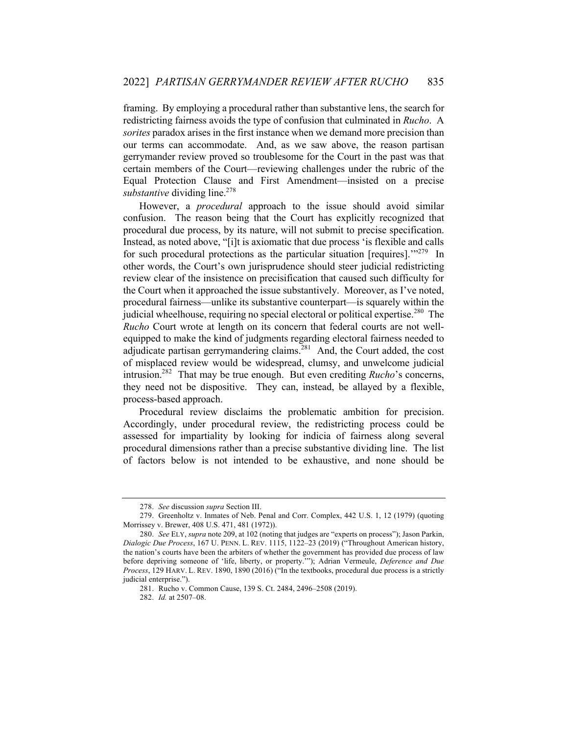framing. By employing a procedural rather than substantive lens, the search for redistricting fairness avoids the type of confusion that culminated in *Rucho*. A *sorites* paradox arises in the first instance when we demand more precision than our terms can accommodate. And, as we saw above, the reason partisan gerrymander review proved so troublesome for the Court in the past was that certain members of the Court—reviewing challenges under the rubric of the Equal Protection Clause and First Amendment—insisted on a precise substantive dividing line.<sup>278</sup>

However, a *procedural* approach to the issue should avoid similar confusion. The reason being that the Court has explicitly recognized that procedural due process, by its nature, will not submit to precise specification. Instead, as noted above, "[i]t is axiomatic that due process 'is flexible and calls for such procedural protections as the particular situation [requires]. $1^{279}$  In other words, the Court's own jurisprudence should steer judicial redistricting review clear of the insistence on precisification that caused such difficulty for the Court when it approached the issue substantively. Moreover, as I've noted, procedural fairness—unlike its substantive counterpart—is squarely within the judicial wheelhouse, requiring no special electoral or political expertise.<sup>280</sup> The *Rucho* Court wrote at length on its concern that federal courts are not wellequipped to make the kind of judgments regarding electoral fairness needed to adjudicate partisan gerrymandering claims. $^{281}$  And, the Court added, the cost of misplaced review would be widespread, clumsy, and unwelcome judicial intrusion.282 That may be true enough. But even crediting *Rucho*'s concerns, they need not be dispositive. They can, instead, be allayed by a flexible, process-based approach.

Procedural review disclaims the problematic ambition for precision. Accordingly, under procedural review, the redistricting process could be assessed for impartiality by looking for indicia of fairness along several procedural dimensions rather than a precise substantive dividing line. The list of factors below is not intended to be exhaustive, and none should be

<sup>278.</sup> *See* discussion *supra* Section III.

<sup>279.</sup> Greenholtz v. Inmates of Neb. Penal and Corr. Complex, 442 U.S. 1, 12 (1979) (quoting Morrissey v. Brewer, 408 U.S. 471, 481 (1972)).

<sup>280.</sup> *See* ELY, *supra* note 209, at 102 (noting that judges are "experts on process"); Jason Parkin, *Dialogic Due Process*, 167 U. PENN. L. REV. 1115, 1122–23 (2019) ("Throughout American history, the nation's courts have been the arbiters of whether the government has provided due process of law before depriving someone of 'life, liberty, or property.'"); Adrian Vermeule, *Deference and Due Process*, 129 HARV. L. REV. 1890, 1890 (2016) ("In the textbooks, procedural due process is a strictly judicial enterprise.").

<sup>281.</sup> Rucho v. Common Cause, 139 S. Ct. 2484, 2496–2508 (2019).

<sup>282.</sup> *Id.* at 2507–08.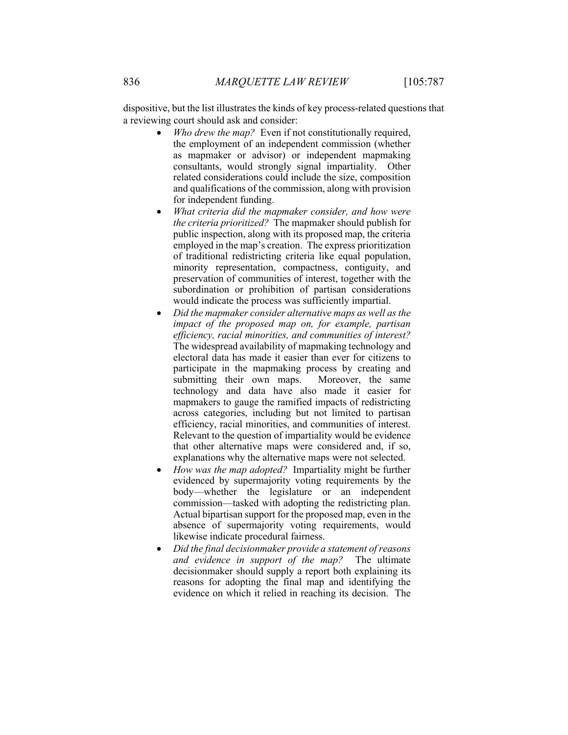dispositive, but the list illustrates the kinds of key process-related questions that a reviewing court should ask and consider:

- *Who drew the map?* Even if not constitutionally required, the employment of an independent commission (whether as mapmaker or advisor) or independent mapmaking consultants, would strongly signal impartiality. Other related considerations could include the size, composition and qualifications of the commission, along with provision for independent funding.
- *What criteria did the mapmaker consider, and how were the criteria prioritized?* The mapmaker should publish for public inspection, along with its proposed map, the criteria employed in the map's creation. The express prioritization of traditional redistricting criteria like equal population, minority representation, compactness, contiguity, and preservation of communities of interest, together with the subordination or prohibition of partisan considerations would indicate the process was sufficiently impartial.
- *Did the mapmaker consider alternative maps as well as the impact of the proposed map on, for example, partisan efficiency, racial minorities, and communities of interest?* The widespread availability of mapmaking technology and electoral data has made it easier than ever for citizens to participate in the mapmaking process by creating and submitting their own maps. Moreover, the same technology and data have also made it easier for mapmakers to gauge the ramified impacts of redistricting across categories, including but not limited to partisan efficiency, racial minorities, and communities of interest. Relevant to the question of impartiality would be evidence that other alternative maps were considered and, if so, explanations why the alternative maps were not selected.
- *How was the map adopted?* Impartiality might be further evidenced by supermajority voting requirements by the body—whether the legislature or an independent commission—tasked with adopting the redistricting plan. Actual bipartisan support for the proposed map, even in the absence of supermajority voting requirements, would likewise indicate procedural fairness.
- *Did the final decisionmaker provide a statement of reasons and evidence in support of the map?* The ultimate decisionmaker should supply a report both explaining its reasons for adopting the final map and identifying the evidence on which it relied in reaching its decision. The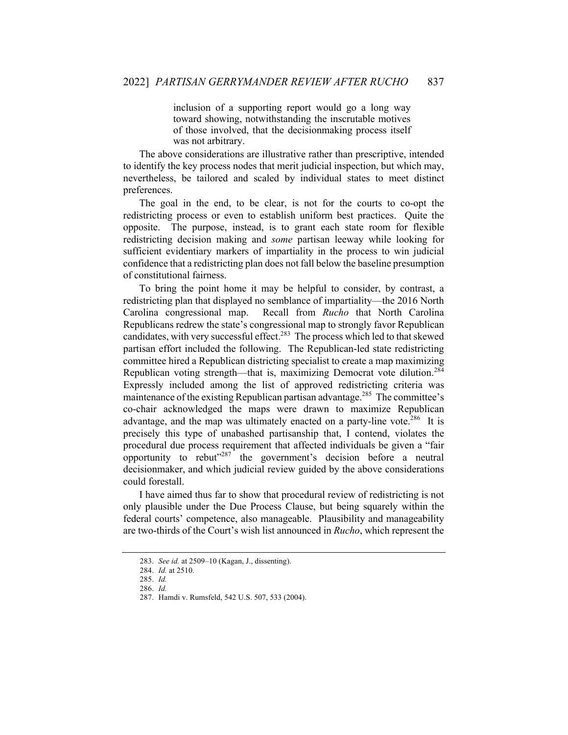inclusion of a supporting report would go a long way toward showing, notwithstanding the inscrutable motives of those involved, that the decisionmaking process itself was not arbitrary.

The above considerations are illustrative rather than prescriptive, intended to identify the key process nodes that merit judicial inspection, but which may, nevertheless, be tailored and scaled by individual states to meet distinct preferences.

The goal in the end, to be clear, is not for the courts to co-opt the redistricting process or even to establish uniform best practices. Quite the opposite. The purpose, instead, is to grant each state room for flexible redistricting decision making and *some* partisan leeway while looking for sufficient evidentiary markers of impartiality in the process to win judicial confidence that a redistricting plan does not fall below the baseline presumption of constitutional fairness.

To bring the point home it may be helpful to consider, by contrast, a redistricting plan that displayed no semblance of impartiality—the 2016 North Carolina congressional map. Recall from *Rucho* that North Carolina Republicans redrew the state's congressional map to strongly favor Republican candidates, with very successful effect.<sup>283</sup> The process which led to that skewed partisan effort included the following. The Republican-led state redistricting committee hired a Republican districting specialist to create a map maximizing Republican voting strength—that is, maximizing Democrat vote dilution.<sup>284</sup> Expressly included among the list of approved redistricting criteria was maintenance of the existing Republican partisan advantage.<sup>285</sup> The committee's co-chair acknowledged the maps were drawn to maximize Republican advantage, and the map was ultimately enacted on a party-line vote.<sup>286</sup> It is precisely this type of unabashed partisanship that, I contend, violates the procedural due process requirement that affected individuals be given a "fair opportunity to rebut"<sup>287</sup> the government's decision before a neutral decisionmaker, and which judicial review guided by the above considerations could forestall.

I have aimed thus far to show that procedural review of redistricting is not only plausible under the Due Process Clause, but being squarely within the federal courts' competence, also manageable. Plausibility and manageability are two-thirds of the Court's wish list announced in *Rucho*, which represent the

<sup>283.</sup> *See id.* at 2509–10 (Kagan, J., dissenting).

<sup>284.</sup> *Id.* at 2510.

<sup>285.</sup> *Id.*

<sup>286.</sup> *Id.*

<sup>287.</sup> Hamdi v. Rumsfeld, 542 U.S. 507, 533 (2004).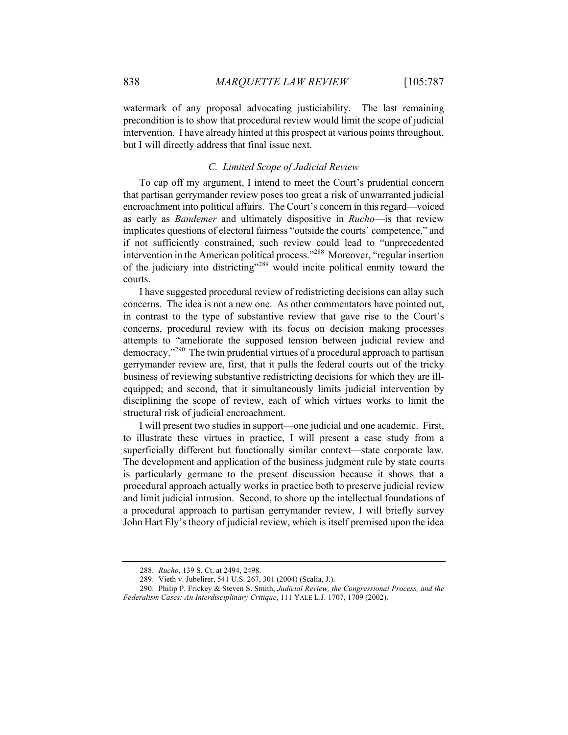watermark of any proposal advocating justiciability. The last remaining precondition is to show that procedural review would limit the scope of judicial intervention. I have already hinted at this prospect at various points throughout, but I will directly address that final issue next.

#### *C. Limited Scope of Judicial Review*

To cap off my argument, I intend to meet the Court's prudential concern that partisan gerrymander review poses too great a risk of unwarranted judicial encroachment into political affairs. The Court's concern in this regard—voiced as early as *Bandemer* and ultimately dispositive in *Rucho*—is that review implicates questions of electoral fairness "outside the courts' competence," and if not sufficiently constrained, such review could lead to "unprecedented intervention in the American political process."<sup>288</sup> Moreover, "regular insertion of the judiciary into districting"<sup>289</sup> would incite political enmity toward the courts.

I have suggested procedural review of redistricting decisions can allay such concerns. The idea is not a new one. As other commentators have pointed out, in contrast to the type of substantive review that gave rise to the Court's concerns, procedural review with its focus on decision making processes attempts to "ameliorate the supposed tension between judicial review and democracy."<sup>290</sup> The twin prudential virtues of a procedural approach to partisan gerrymander review are, first, that it pulls the federal courts out of the tricky business of reviewing substantive redistricting decisions for which they are illequipped; and second, that it simultaneously limits judicial intervention by disciplining the scope of review, each of which virtues works to limit the structural risk of judicial encroachment.

I will present two studies in support—one judicial and one academic. First, to illustrate these virtues in practice, I will present a case study from a superficially different but functionally similar context—state corporate law. The development and application of the business judgment rule by state courts is particularly germane to the present discussion because it shows that a procedural approach actually works in practice both to preserve judicial review and limit judicial intrusion. Second, to shore up the intellectual foundations of a procedural approach to partisan gerrymander review, I will briefly survey John Hart Ely's theory of judicial review, which is itself premised upon the idea

<sup>288.</sup> *Rucho*, 139 S. Ct. at 2494, 2498.

<sup>289.</sup> Vieth v. Jubelirer, 541 U.S. 267, 301 (2004) (Scalia, J.).

<sup>290.</sup> Philip P. Frickey & Steven S. Smith, *Judicial Review, the Congressional Process, and the Federalism Cases: An Interdisciplinary Critique*, 111 YALE L.J. 1707, 1709 (2002).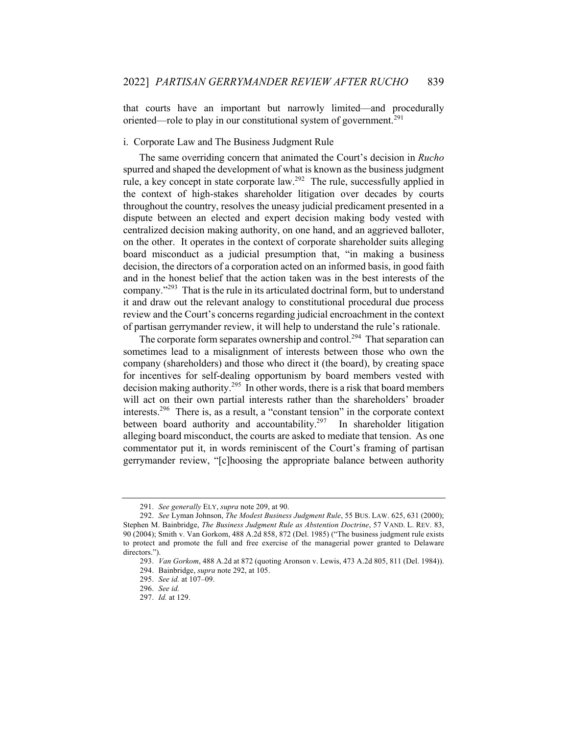that courts have an important but narrowly limited—and procedurally oriented—role to play in our constitutional system of government.<sup>291</sup>

# i. Corporate Law and The Business Judgment Rule

The same overriding concern that animated the Court's decision in *Rucho* spurred and shaped the development of what is known as the business judgment rule, a key concept in state corporate law.<sup>292</sup> The rule, successfully applied in the context of high-stakes shareholder litigation over decades by courts throughout the country, resolves the uneasy judicial predicament presented in a dispute between an elected and expert decision making body vested with centralized decision making authority, on one hand, and an aggrieved balloter, on the other. It operates in the context of corporate shareholder suits alleging board misconduct as a judicial presumption that, "in making a business decision, the directors of a corporation acted on an informed basis, in good faith and in the honest belief that the action taken was in the best interests of the company."<sup>293</sup> That is the rule in its articulated doctrinal form, but to understand it and draw out the relevant analogy to constitutional procedural due process review and the Court's concerns regarding judicial encroachment in the context of partisan gerrymander review, it will help to understand the rule's rationale.

The corporate form separates ownership and control.<sup>294</sup> That separation can sometimes lead to a misalignment of interests between those who own the company (shareholders) and those who direct it (the board), by creating space for incentives for self-dealing opportunism by board members vested with decision making authority.<sup>295</sup> In other words, there is a risk that board members will act on their own partial interests rather than the shareholders' broader interests.296 There is, as a result, a "constant tension" in the corporate context between board authority and accountability.<sup>297</sup> In shareholder litigation alleging board misconduct, the courts are asked to mediate that tension. As one commentator put it, in words reminiscent of the Court's framing of partisan gerrymander review, "[c]hoosing the appropriate balance between authority

<sup>291.</sup> *See generally* ELY, *supra* note 209, at 90.

<sup>292.</sup> *See* Lyman Johnson, *The Modest Business Judgment Rule*, 55 BUS. LAW. 625, 631 (2000); Stephen M. Bainbridge, *The Business Judgment Rule as Abstention Doctrine*, 57 VAND. L. REV. 83, 90 (2004); Smith v. Van Gorkom, 488 A.2d 858, 872 (Del. 1985) ("The business judgment rule exists to protect and promote the full and free exercise of the managerial power granted to Delaware directors.").

<sup>293.</sup> *Van Gorkom*, 488 A.2d at 872 (quoting Aronson v. Lewis, 473 A.2d 805, 811 (Del. 1984)).

<sup>294.</sup> Bainbridge, *supra* note 292, at 105.

<sup>295.</sup> *See id.* at 107–09.

<sup>296.</sup> *See id.*

<sup>297.</sup> *Id.* at 129.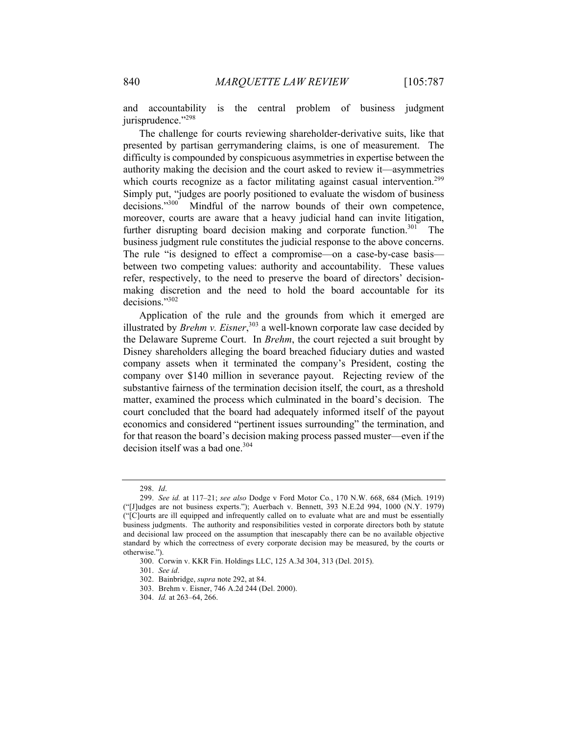and accountability is the central problem of business judgment jurisprudence."<sup>298</sup>

The challenge for courts reviewing shareholder-derivative suits, like that presented by partisan gerrymandering claims, is one of measurement. The difficulty is compounded by conspicuous asymmetries in expertise between the authority making the decision and the court asked to review it—asymmetries which courts recognize as a factor militating against casual intervention.<sup>299</sup> Simply put, "judges are poorly positioned to evaluate the wisdom of business decisions."<sup>300</sup> Mindful of the narrow bounds of their own competence, moreover, courts are aware that a heavy judicial hand can invite litigation, further disrupting board decision making and corporate function.<sup>301</sup> The business judgment rule constitutes the judicial response to the above concerns. The rule "is designed to effect a compromise—on a case-by-case basis between two competing values: authority and accountability. These values refer, respectively, to the need to preserve the board of directors' decisionmaking discretion and the need to hold the board accountable for its decisions."302

Application of the rule and the grounds from which it emerged are illustrated by *Brehm v. Eisner*, <sup>303</sup> a well-known corporate law case decided by the Delaware Supreme Court. In *Brehm*, the court rejected a suit brought by Disney shareholders alleging the board breached fiduciary duties and wasted company assets when it terminated the company's President, costing the company over \$140 million in severance payout. Rejecting review of the substantive fairness of the termination decision itself, the court, as a threshold matter, examined the process which culminated in the board's decision. The court concluded that the board had adequately informed itself of the payout economics and considered "pertinent issues surrounding" the termination, and for that reason the board's decision making process passed muster—even if the decision itself was a bad one. $304$ 

<sup>298.</sup> *Id*.

<sup>299.</sup> *See id.* at 117–21; *see also* Dodge v Ford Motor Co*.*, 170 N.W. 668, 684 (Mich. 1919) ("[J]udges are not business experts."); Auerbach v. Bennett, 393 N.E.2d 994, 1000 (N.Y. 1979) ("[C]ourts are ill equipped and infrequently called on to evaluate what are and must be essentially business judgments. The authority and responsibilities vested in corporate directors both by statute and decisional law proceed on the assumption that inescapably there can be no available objective standard by which the correctness of every corporate decision may be measured, by the courts or otherwise.").

<sup>300.</sup> Corwin v. KKR Fin. Holdings LLC, 125 A.3d 304, 313 (Del. 2015).

<sup>301.</sup> *See id*.

<sup>302.</sup> Bainbridge, *supra* note 292, at 84.

<sup>303.</sup> Brehm v. Eisner, 746 A.2d 244 (Del. 2000).

<sup>304.</sup> *Id.* at 263–64, 266.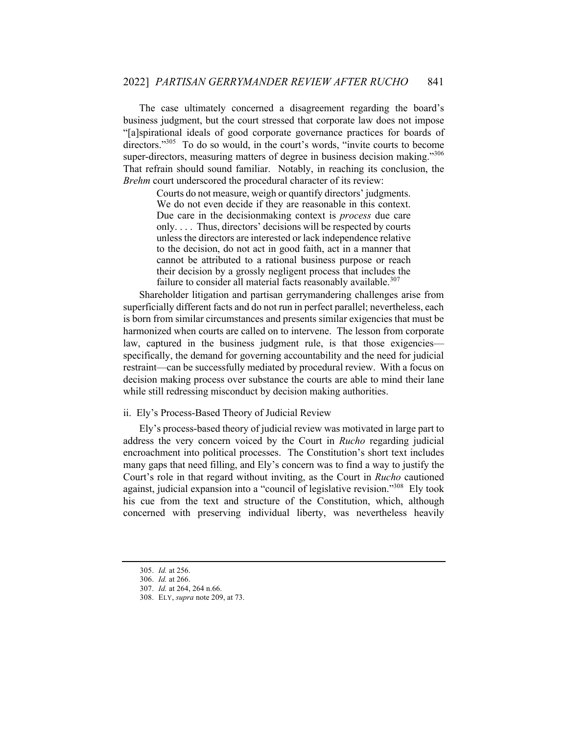The case ultimately concerned a disagreement regarding the board's business judgment, but the court stressed that corporate law does not impose "[a]spirational ideals of good corporate governance practices for boards of directors."<sup>305</sup> To do so would, in the court's words, "invite courts to become super-directors, measuring matters of degree in business decision making."<sup>306</sup> That refrain should sound familiar. Notably, in reaching its conclusion, the *Brehm* court underscored the procedural character of its review:

> Courts do not measure, weigh or quantify directors' judgments. We do not even decide if they are reasonable in this context. Due care in the decisionmaking context is *process* due care only. . . . Thus, directors' decisions will be respected by courts unless the directors are interested or lack independence relative to the decision, do not act in good faith, act in a manner that cannot be attributed to a rational business purpose or reach their decision by a grossly negligent process that includes the failure to consider all material facts reasonably available.<sup>307</sup>

Shareholder litigation and partisan gerrymandering challenges arise from superficially different facts and do not run in perfect parallel; nevertheless, each is born from similar circumstances and presents similar exigencies that must be harmonized when courts are called on to intervene. The lesson from corporate law, captured in the business judgment rule, is that those exigenciesspecifically, the demand for governing accountability and the need for judicial restraint—can be successfully mediated by procedural review. With a focus on decision making process over substance the courts are able to mind their lane while still redressing misconduct by decision making authorities.

#### ii. Ely's Process-Based Theory of Judicial Review

Ely's process-based theory of judicial review was motivated in large part to address the very concern voiced by the Court in *Rucho* regarding judicial encroachment into political processes. The Constitution's short text includes many gaps that need filling, and Ely's concern was to find a way to justify the Court's role in that regard without inviting, as the Court in *Rucho* cautioned against, judicial expansion into a "council of legislative revision."<sup>308</sup> Ely took his cue from the text and structure of the Constitution, which, although concerned with preserving individual liberty, was nevertheless heavily

<sup>305.</sup> *Id.* at 256.

<sup>306.</sup> *Id.* at 266.

<sup>307.</sup> *Id.* at 264, 264 n.66.

<sup>308.</sup> ELY, *supra* note 209, at 73.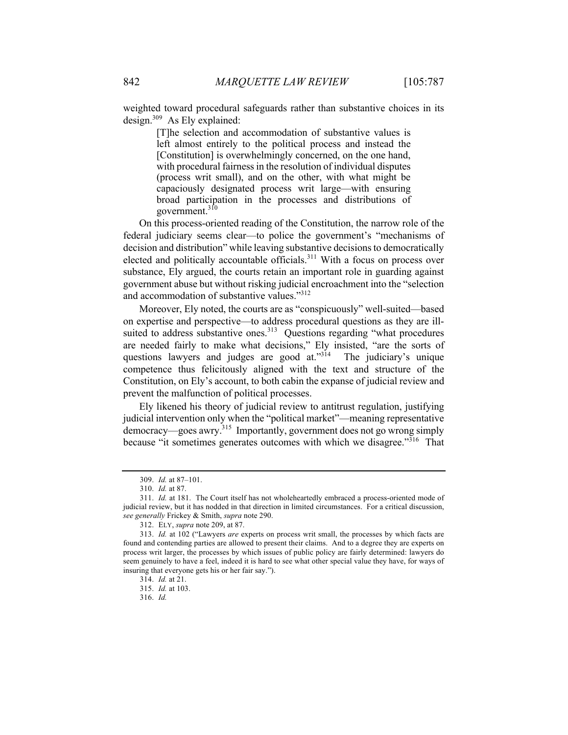weighted toward procedural safeguards rather than substantive choices in its design. $309$  As Ely explained:

> [T]he selection and accommodation of substantive values is left almost entirely to the political process and instead the [Constitution] is overwhelmingly concerned, on the one hand, with procedural fairness in the resolution of individual disputes (process writ small), and on the other, with what might be capaciously designated process writ large—with ensuring broad participation in the processes and distributions of government.310

On this process-oriented reading of the Constitution, the narrow role of the federal judiciary seems clear—to police the government's "mechanisms of decision and distribution" while leaving substantive decisions to democratically elected and politically accountable officials.<sup>311</sup> With a focus on process over substance, Ely argued, the courts retain an important role in guarding against government abuse but without risking judicial encroachment into the "selection and accommodation of substantive values."<sup>312</sup>

Moreover, Ely noted, the courts are as "conspicuously" well-suited—based on expertise and perspective—to address procedural questions as they are illsuited to address substantive ones.<sup>313</sup> Questions regarding "what procedures are needed fairly to make what decisions," Ely insisted, "are the sorts of questions lawyers and judges are good at."<sup>314</sup> The judiciary's unique competence thus felicitously aligned with the text and structure of the Constitution, on Ely's account, to both cabin the expanse of judicial review and prevent the malfunction of political processes.

Ely likened his theory of judicial review to antitrust regulation, justifying judicial intervention only when the "political market"—meaning representative democracy—goes awry.<sup>315</sup> Importantly, government does not go wrong simply because "it sometimes generates outcomes with which we disagree."<sup>316</sup> That

<sup>309.</sup> *Id.* at 87–101.

<sup>310.</sup> *Id.* at 87.

<sup>311.</sup> *Id.* at 181. The Court itself has not wholeheartedly embraced a process-oriented mode of judicial review, but it has nodded in that direction in limited circumstances. For a critical discussion, *see generally* Frickey & Smith, *supra* note 290.

<sup>312.</sup> ELY, *supra* note 209, at 87.

<sup>313.</sup> *Id.* at 102 ("Lawyers *are* experts on process writ small, the processes by which facts are found and contending parties are allowed to present their claims. And to a degree they are experts on process writ larger, the processes by which issues of public policy are fairly determined: lawyers do seem genuinely to have a feel, indeed it is hard to see what other special value they have, for ways of insuring that everyone gets his or her fair say.").

<sup>314.</sup> *Id.* at 21.

<sup>315.</sup> *Id.* at 103.

<sup>316.</sup> *Id.*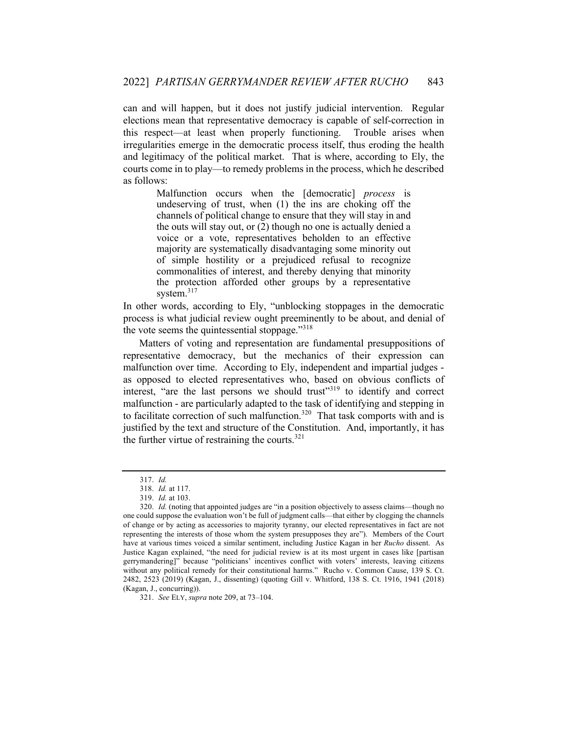can and will happen, but it does not justify judicial intervention. Regular elections mean that representative democracy is capable of self-correction in this respect—at least when properly functioning. Trouble arises when irregularities emerge in the democratic process itself, thus eroding the health and legitimacy of the political market. That is where, according to Ely, the courts come in to play—to remedy problems in the process, which he described as follows:

> Malfunction occurs when the [democratic] *process* is undeserving of trust, when (1) the ins are choking off the channels of political change to ensure that they will stay in and the outs will stay out, or (2) though no one is actually denied a voice or a vote, representatives beholden to an effective majority are systematically disadvantaging some minority out of simple hostility or a prejudiced refusal to recognize commonalities of interest, and thereby denying that minority the protection afforded other groups by a representative system.<sup>317</sup>

In other words, according to Ely, "unblocking stoppages in the democratic process is what judicial review ought preeminently to be about, and denial of the vote seems the quintessential stoppage."<sup>318</sup>

Matters of voting and representation are fundamental presuppositions of representative democracy, but the mechanics of their expression can malfunction over time. According to Ely, independent and impartial judges as opposed to elected representatives who, based on obvious conflicts of interest, "are the last persons we should trust"<sup>319</sup> to identify and correct malfunction - are particularly adapted to the task of identifying and stepping in to facilitate correction of such malfunction.<sup>320</sup> That task comports with and is justified by the text and structure of the Constitution. And, importantly, it has the further virtue of restraining the courts. $321$ 

321. *See* ELY, *supra* note 209, at 73–104.

<sup>317.</sup> *Id.*

<sup>318.</sup> *Id.* at 117.

<sup>319.</sup> *Id.* at 103.

<sup>320.</sup> *Id.* (noting that appointed judges are "in a position objectively to assess claims—though no one could suppose the evaluation won't be full of judgment calls—that either by clogging the channels of change or by acting as accessories to majority tyranny, our elected representatives in fact are not representing the interests of those whom the system presupposes they are"). Members of the Court have at various times voiced a similar sentiment, including Justice Kagan in her *Rucho* dissent. As Justice Kagan explained, "the need for judicial review is at its most urgent in cases like [partisan gerrymandering]" because "politicians' incentives conflict with voters' interests, leaving citizens without any political remedy for their constitutional harms." Rucho v. Common Cause, 139 S. Ct. 2482, 2523 (2019) (Kagan, J., dissenting) (quoting Gill v. Whitford, 138 S. Ct. 1916, 1941 (2018) (Kagan, J., concurring)).